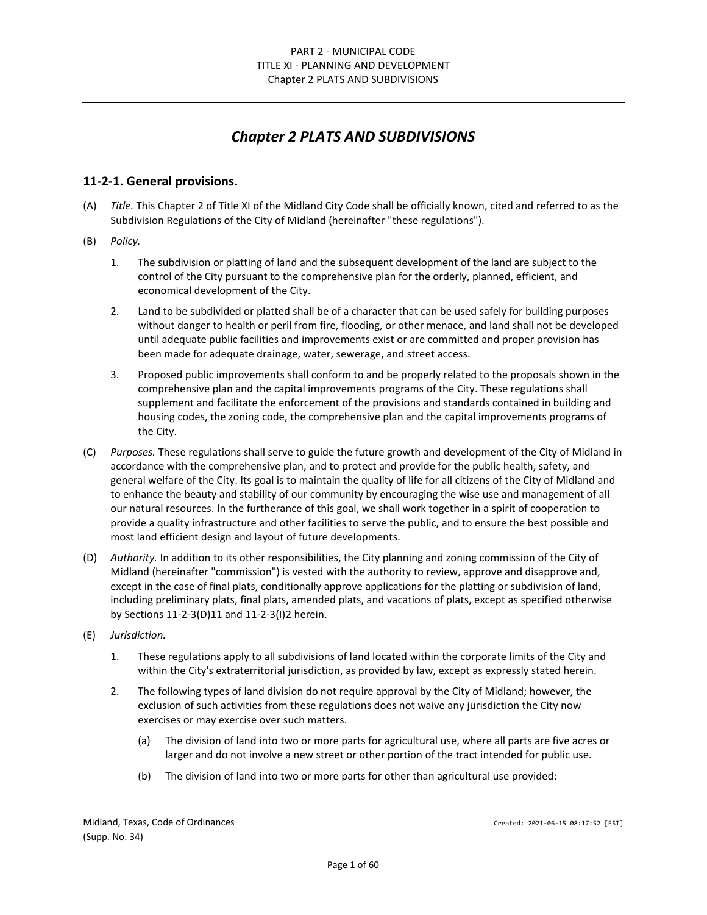# *Chapter 2 PLATS AND SUBDIVISIONS*

# **11-2-1. General provisions.**

- (A) *Title.* This Chapter 2 of Title XI of the Midland City Code shall be officially known, cited and referred to as the Subdivision Regulations of the City of Midland (hereinafter "these regulations").
- (B) *Policy.*
	- 1. The subdivision or platting of land and the subsequent development of the land are subject to the control of the City pursuant to the comprehensive plan for the orderly, planned, efficient, and economical development of the City.
	- 2. Land to be subdivided or platted shall be of a character that can be used safely for building purposes without danger to health or peril from fire, flooding, or other menace, and land shall not be developed until adequate public facilities and improvements exist or are committed and proper provision has been made for adequate drainage, water, sewerage, and street access.
	- 3. Proposed public improvements shall conform to and be properly related to the proposals shown in the comprehensive plan and the capital improvements programs of the City. These regulations shall supplement and facilitate the enforcement of the provisions and standards contained in building and housing codes, the zoning code, the comprehensive plan and the capital improvements programs of the City.
- (C) *Purposes.* These regulations shall serve to guide the future growth and development of the City of Midland in accordance with the comprehensive plan, and to protect and provide for the public health, safety, and general welfare of the City. Its goal is to maintain the quality of life for all citizens of the City of Midland and to enhance the beauty and stability of our community by encouraging the wise use and management of all our natural resources. In the furtherance of this goal, we shall work together in a spirit of cooperation to provide a quality infrastructure and other facilities to serve the public, and to ensure the best possible and most land efficient design and layout of future developments.
- (D) *Authority.* In addition to its other responsibilities, the City planning and zoning commission of the City of Midland (hereinafter "commission") is vested with the authority to review, approve and disapprove and, except in the case of final plats, conditionally approve applications for the platting or subdivision of land, including preliminary plats, final plats, amended plats, and vacations of plats, except as specified otherwise by Sections 11-2-3(D)11 and 11-2-3(I)2 herein.
- (E) *Jurisdiction.*
	- 1. These regulations apply to all subdivisions of land located within the corporate limits of the City and within the City's extraterritorial jurisdiction, as provided by law, except as expressly stated herein.
	- 2. The following types of land division do not require approval by the City of Midland; however, the exclusion of such activities from these regulations does not waive any jurisdiction the City now exercises or may exercise over such matters.
		- (a) The division of land into two or more parts for agricultural use, where all parts are five acres or larger and do not involve a new street or other portion of the tract intended for public use.
		- (b) The division of land into two or more parts for other than agricultural use provided: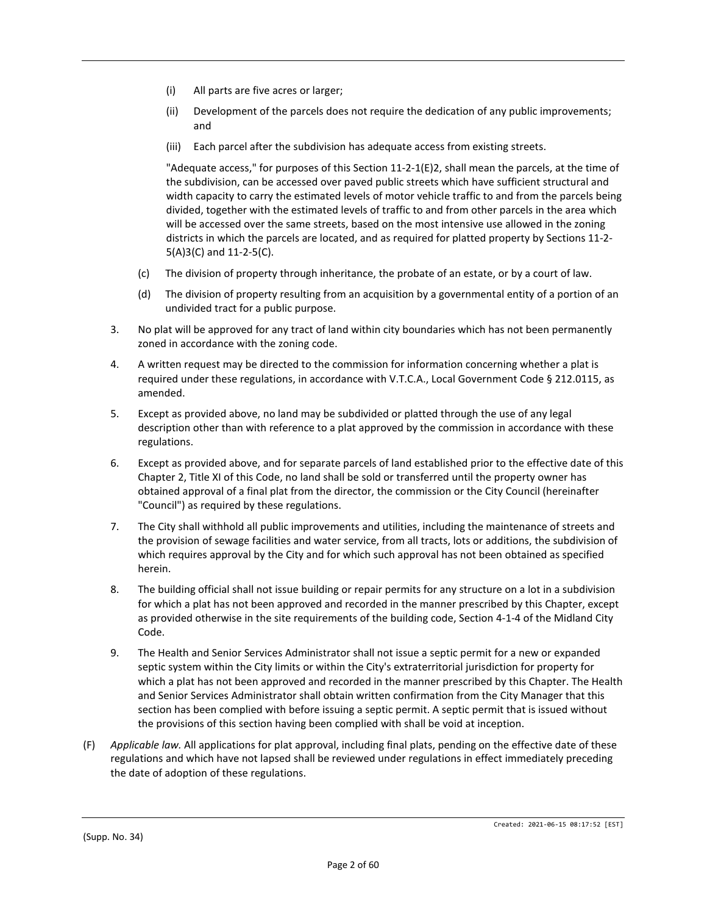- (i) All parts are five acres or larger;
- (ii) Development of the parcels does not require the dedication of any public improvements; and
- (iii) Each parcel after the subdivision has adequate access from existing streets.

"Adequate access," for purposes of this Section 11-2-1(E)2, shall mean the parcels, at the time of the subdivision, can be accessed over paved public streets which have sufficient structural and width capacity to carry the estimated levels of motor vehicle traffic to and from the parcels being divided, together with the estimated levels of traffic to and from other parcels in the area which will be accessed over the same streets, based on the most intensive use allowed in the zoning districts in which the parcels are located, and as required for platted property by Sections 11-2- 5(A)3(C) and 11-2-5(C).

- (c) The division of property through inheritance, the probate of an estate, or by a court of law.
- (d) The division of property resulting from an acquisition by a governmental entity of a portion of an undivided tract for a public purpose.
- 3. No plat will be approved for any tract of land within city boundaries which has not been permanently zoned in accordance with the zoning code.
- 4. A written request may be directed to the commission for information concerning whether a plat is required under these regulations, in accordance with V.T.C.A., Local Government Code § 212.0115, as amended.
- 5. Except as provided above, no land may be subdivided or platted through the use of any legal description other than with reference to a plat approved by the commission in accordance with these regulations.
- 6. Except as provided above, and for separate parcels of land established prior to the effective date of this Chapter 2, Title XI of this Code, no land shall be sold or transferred until the property owner has obtained approval of a final plat from the director, the commission or the City Council (hereinafter "Council") as required by these regulations.
- 7. The City shall withhold all public improvements and utilities, including the maintenance of streets and the provision of sewage facilities and water service, from all tracts, lots or additions, the subdivision of which requires approval by the City and for which such approval has not been obtained as specified herein.
- 8. The building official shall not issue building or repair permits for any structure on a lot in a subdivision for which a plat has not been approved and recorded in the manner prescribed by this Chapter, except as provided otherwise in the site requirements of the building code, Section 4-1-4 of the Midland City Code.
- 9. The Health and Senior Services Administrator shall not issue a septic permit for a new or expanded septic system within the City limits or within the City's extraterritorial jurisdiction for property for which a plat has not been approved and recorded in the manner prescribed by this Chapter. The Health and Senior Services Administrator shall obtain written confirmation from the City Manager that this section has been complied with before issuing a septic permit. A septic permit that is issued without the provisions of this section having been complied with shall be void at inception.
- (F) *Applicable law.* All applications for plat approval, including final plats, pending on the effective date of these regulations and which have not lapsed shall be reviewed under regulations in effect immediately preceding the date of adoption of these regulations.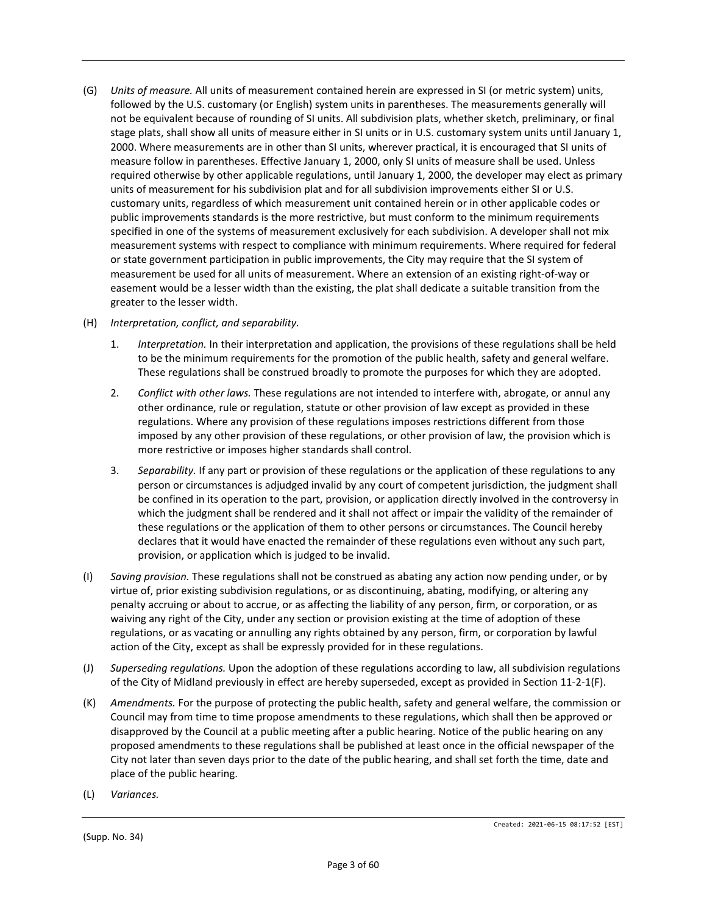- (G) *Units of measure.* All units of measurement contained herein are expressed in SI (or metric system) units, followed by the U.S. customary (or English) system units in parentheses. The measurements generally will not be equivalent because of rounding of SI units. All subdivision plats, whether sketch, preliminary, or final stage plats, shall show all units of measure either in SI units or in U.S. customary system units until January 1, 2000. Where measurements are in other than SI units, wherever practical, it is encouraged that SI units of measure follow in parentheses. Effective January 1, 2000, only SI units of measure shall be used. Unless required otherwise by other applicable regulations, until January 1, 2000, the developer may elect as primary units of measurement for his subdivision plat and for all subdivision improvements either SI or U.S. customary units, regardless of which measurement unit contained herein or in other applicable codes or public improvements standards is the more restrictive, but must conform to the minimum requirements specified in one of the systems of measurement exclusively for each subdivision. A developer shall not mix measurement systems with respect to compliance with minimum requirements. Where required for federal or state government participation in public improvements, the City may require that the SI system of measurement be used for all units of measurement. Where an extension of an existing right-of-way or easement would be a lesser width than the existing, the plat shall dedicate a suitable transition from the greater to the lesser width.
- (H) *Interpretation, conflict, and separability.*
	- 1. *Interpretation.* In their interpretation and application, the provisions of these regulations shall be held to be the minimum requirements for the promotion of the public health, safety and general welfare. These regulations shall be construed broadly to promote the purposes for which they are adopted.
	- 2. *Conflict with other laws.* These regulations are not intended to interfere with, abrogate, or annul any other ordinance, rule or regulation, statute or other provision of law except as provided in these regulations. Where any provision of these regulations imposes restrictions different from those imposed by any other provision of these regulations, or other provision of law, the provision which is more restrictive or imposes higher standards shall control.
	- 3. *Separability.* If any part or provision of these regulations or the application of these regulations to any person or circumstances is adjudged invalid by any court of competent jurisdiction, the judgment shall be confined in its operation to the part, provision, or application directly involved in the controversy in which the judgment shall be rendered and it shall not affect or impair the validity of the remainder of these regulations or the application of them to other persons or circumstances. The Council hereby declares that it would have enacted the remainder of these regulations even without any such part, provision, or application which is judged to be invalid.
- (I) *Saving provision.* These regulations shall not be construed as abating any action now pending under, or by virtue of, prior existing subdivision regulations, or as discontinuing, abating, modifying, or altering any penalty accruing or about to accrue, or as affecting the liability of any person, firm, or corporation, or as waiving any right of the City, under any section or provision existing at the time of adoption of these regulations, or as vacating or annulling any rights obtained by any person, firm, or corporation by lawful action of the City, except as shall be expressly provided for in these regulations.
- (J) *Superseding regulations.* Upon the adoption of these regulations according to law, all subdivision regulations of the City of Midland previously in effect are hereby superseded, except as provided in Section 11-2-1(F).
- (K) *Amendments.* For the purpose of protecting the public health, safety and general welfare, the commission or Council may from time to time propose amendments to these regulations, which shall then be approved or disapproved by the Council at a public meeting after a public hearing. Notice of the public hearing on any proposed amendments to these regulations shall be published at least once in the official newspaper of the City not later than seven days prior to the date of the public hearing, and shall set forth the time, date and place of the public hearing.
- (L) *Variances.*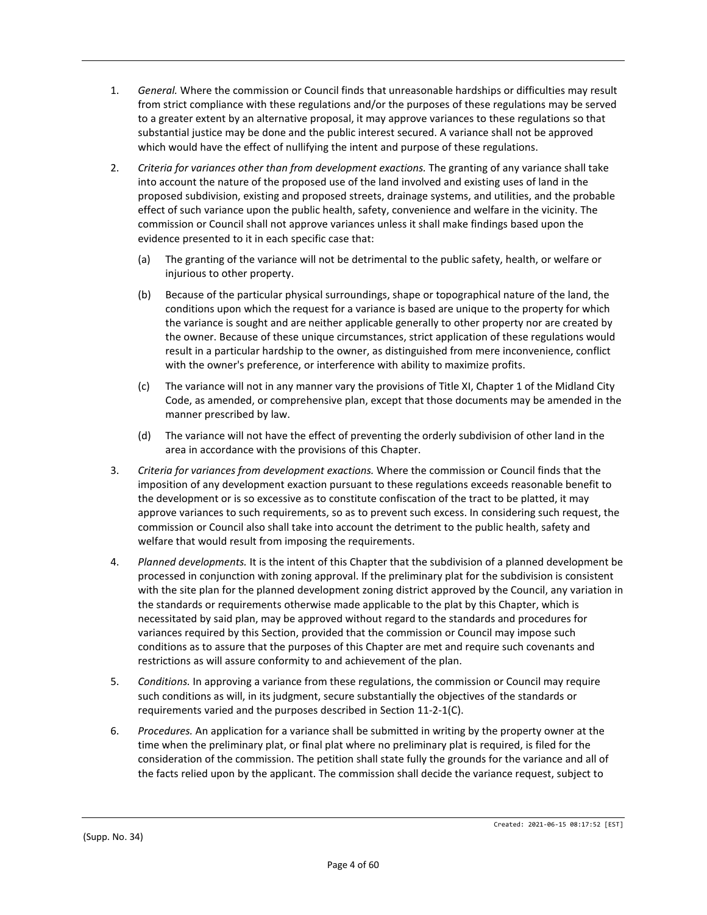- 1. *General.* Where the commission or Council finds that unreasonable hardships or difficulties may result from strict compliance with these regulations and/or the purposes of these regulations may be served to a greater extent by an alternative proposal, it may approve variances to these regulations so that substantial justice may be done and the public interest secured. A variance shall not be approved which would have the effect of nullifying the intent and purpose of these regulations.
- 2. *Criteria for variances other than from development exactions.* The granting of any variance shall take into account the nature of the proposed use of the land involved and existing uses of land in the proposed subdivision, existing and proposed streets, drainage systems, and utilities, and the probable effect of such variance upon the public health, safety, convenience and welfare in the vicinity. The commission or Council shall not approve variances unless it shall make findings based upon the evidence presented to it in each specific case that:
	- (a) The granting of the variance will not be detrimental to the public safety, health, or welfare or injurious to other property.
	- (b) Because of the particular physical surroundings, shape or topographical nature of the land, the conditions upon which the request for a variance is based are unique to the property for which the variance is sought and are neither applicable generally to other property nor are created by the owner. Because of these unique circumstances, strict application of these regulations would result in a particular hardship to the owner, as distinguished from mere inconvenience, conflict with the owner's preference, or interference with ability to maximize profits.
	- (c) The variance will not in any manner vary the provisions of Title XI, Chapter 1 of the Midland City Code, as amended, or comprehensive plan, except that those documents may be amended in the manner prescribed by law.
	- (d) The variance will not have the effect of preventing the orderly subdivision of other land in the area in accordance with the provisions of this Chapter.
- 3. *Criteria for variances from development exactions.* Where the commission or Council finds that the imposition of any development exaction pursuant to these regulations exceeds reasonable benefit to the development or is so excessive as to constitute confiscation of the tract to be platted, it may approve variances to such requirements, so as to prevent such excess. In considering such request, the commission or Council also shall take into account the detriment to the public health, safety and welfare that would result from imposing the requirements.
- 4. *Planned developments.* It is the intent of this Chapter that the subdivision of a planned development be processed in conjunction with zoning approval. If the preliminary plat for the subdivision is consistent with the site plan for the planned development zoning district approved by the Council, any variation in the standards or requirements otherwise made applicable to the plat by this Chapter, which is necessitated by said plan, may be approved without regard to the standards and procedures for variances required by this Section, provided that the commission or Council may impose such conditions as to assure that the purposes of this Chapter are met and require such covenants and restrictions as will assure conformity to and achievement of the plan.
- 5. *Conditions.* In approving a variance from these regulations, the commission or Council may require such conditions as will, in its judgment, secure substantially the objectives of the standards or requirements varied and the purposes described in Section 11-2-1(C).
- 6. *Procedures.* An application for a variance shall be submitted in writing by the property owner at the time when the preliminary plat, or final plat where no preliminary plat is required, is filed for the consideration of the commission. The petition shall state fully the grounds for the variance and all of the facts relied upon by the applicant. The commission shall decide the variance request, subject to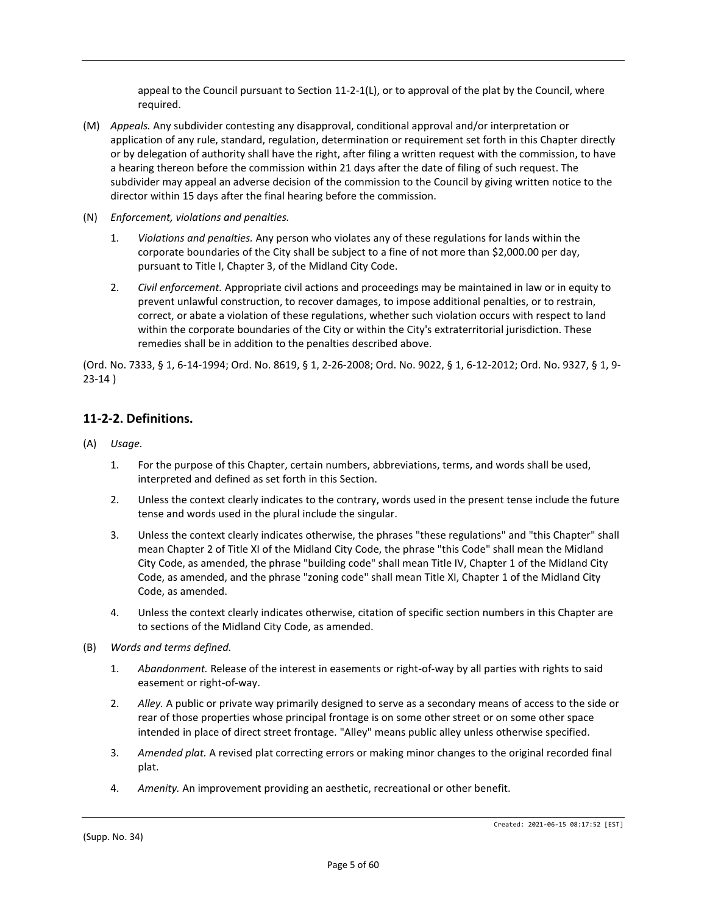appeal to the Council pursuant to Section 11-2-1(L), or to approval of the plat by the Council, where required.

- (M) *Appeals.* Any subdivider contesting any disapproval, conditional approval and/or interpretation or application of any rule, standard, regulation, determination or requirement set forth in this Chapter directly or by delegation of authority shall have the right, after filing a written request with the commission, to have a hearing thereon before the commission within 21 days after the date of filing of such request. The subdivider may appeal an adverse decision of the commission to the Council by giving written notice to the director within 15 days after the final hearing before the commission.
- (N) *Enforcement, violations and penalties.*
	- 1. *Violations and penalties.* Any person who violates any of these regulations for lands within the corporate boundaries of the City shall be subject to a fine of not more than \$2,000.00 per day, pursuant to Title I, Chapter 3, of the Midland City Code.
	- 2. *Civil enforcement.* Appropriate civil actions and proceedings may be maintained in law or in equity to prevent unlawful construction, to recover damages, to impose additional penalties, or to restrain, correct, or abate a violation of these regulations, whether such violation occurs with respect to land within the corporate boundaries of the City or within the City's extraterritorial jurisdiction. These remedies shall be in addition to the penalties described above.

(Ord. No. 7333, § 1, 6-14-1994; Ord. No. 8619, § 1, 2-26-2008; Ord. No. 9022, § 1, 6-12-2012; Ord. No. 9327, § 1, 9- 23-14 )

# **11-2-2. Definitions.**

- (A) *Usage.*
	- 1. For the purpose of this Chapter, certain numbers, abbreviations, terms, and words shall be used, interpreted and defined as set forth in this Section.
	- 2. Unless the context clearly indicates to the contrary, words used in the present tense include the future tense and words used in the plural include the singular.
	- 3. Unless the context clearly indicates otherwise, the phrases "these regulations" and "this Chapter" shall mean Chapter 2 of Title XI of the Midland City Code, the phrase "this Code" shall mean the Midland City Code, as amended, the phrase "building code" shall mean Title IV, Chapter 1 of the Midland City Code, as amended, and the phrase "zoning code" shall mean Title XI, Chapter 1 of the Midland City Code, as amended.
	- 4. Unless the context clearly indicates otherwise, citation of specific section numbers in this Chapter are to sections of the Midland City Code, as amended.
- (B) *Words and terms defined.*
	- 1. *Abandonment.* Release of the interest in easements or right-of-way by all parties with rights to said easement or right-of-way.
	- 2. *Alley.* A public or private way primarily designed to serve as a secondary means of access to the side or rear of those properties whose principal frontage is on some other street or on some other space intended in place of direct street frontage. "Alley" means public alley unless otherwise specified.
	- 3. *Amended plat.* A revised plat correcting errors or making minor changes to the original recorded final plat.
	- 4. *Amenity.* An improvement providing an aesthetic, recreational or other benefit.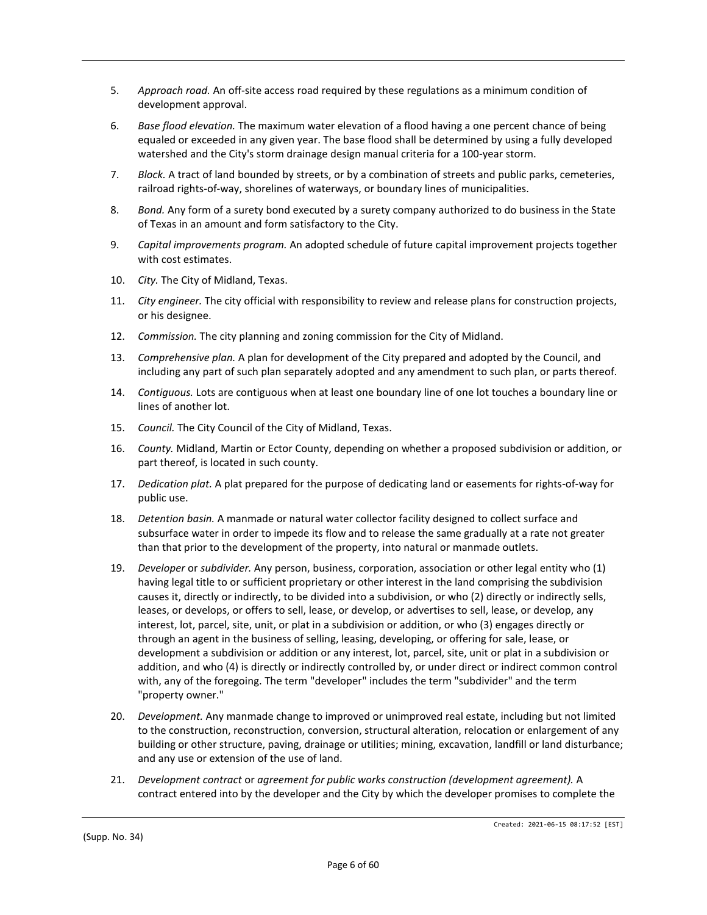- 5. *Approach road.* An off-site access road required by these regulations as a minimum condition of development approval.
- 6. *Base flood elevation.* The maximum water elevation of a flood having a one percent chance of being equaled or exceeded in any given year. The base flood shall be determined by using a fully developed watershed and the City's storm drainage design manual criteria for a 100-year storm.
- 7. *Block.* A tract of land bounded by streets, or by a combination of streets and public parks, cemeteries, railroad rights-of-way, shorelines of waterways, or boundary lines of municipalities.
- 8. *Bond.* Any form of a surety bond executed by a surety company authorized to do business in the State of Texas in an amount and form satisfactory to the City.
- 9. *Capital improvements program.* An adopted schedule of future capital improvement projects together with cost estimates.
- 10. *City.* The City of Midland, Texas.
- 11. *City engineer.* The city official with responsibility to review and release plans for construction projects, or his designee.
- 12. *Commission.* The city planning and zoning commission for the City of Midland.
- 13. *Comprehensive plan.* A plan for development of the City prepared and adopted by the Council, and including any part of such plan separately adopted and any amendment to such plan, or parts thereof.
- 14. *Contiguous.* Lots are contiguous when at least one boundary line of one lot touches a boundary line or lines of another lot.
- 15. *Council.* The City Council of the City of Midland, Texas.
- 16. *County.* Midland, Martin or Ector County, depending on whether a proposed subdivision or addition, or part thereof, is located in such county.
- 17. *Dedication plat.* A plat prepared for the purpose of dedicating land or easements for rights-of-way for public use.
- 18. *Detention basin.* A manmade or natural water collector facility designed to collect surface and subsurface water in order to impede its flow and to release the same gradually at a rate not greater than that prior to the development of the property, into natural or manmade outlets.
- 19. *Developer* or *subdivider.* Any person, business, corporation, association or other legal entity who (1) having legal title to or sufficient proprietary or other interest in the land comprising the subdivision causes it, directly or indirectly, to be divided into a subdivision, or who (2) directly or indirectly sells, leases, or develops, or offers to sell, lease, or develop, or advertises to sell, lease, or develop, any interest, lot, parcel, site, unit, or plat in a subdivision or addition, or who (3) engages directly or through an agent in the business of selling, leasing, developing, or offering for sale, lease, or development a subdivision or addition or any interest, lot, parcel, site, unit or plat in a subdivision or addition, and who (4) is directly or indirectly controlled by, or under direct or indirect common control with, any of the foregoing. The term "developer" includes the term "subdivider" and the term "property owner."
- 20. *Development.* Any manmade change to improved or unimproved real estate, including but not limited to the construction, reconstruction, conversion, structural alteration, relocation or enlargement of any building or other structure, paving, drainage or utilities; mining, excavation, landfill or land disturbance; and any use or extension of the use of land.
- 21. *Development contract* or *agreement for public works construction (development agreement).* A contract entered into by the developer and the City by which the developer promises to complete the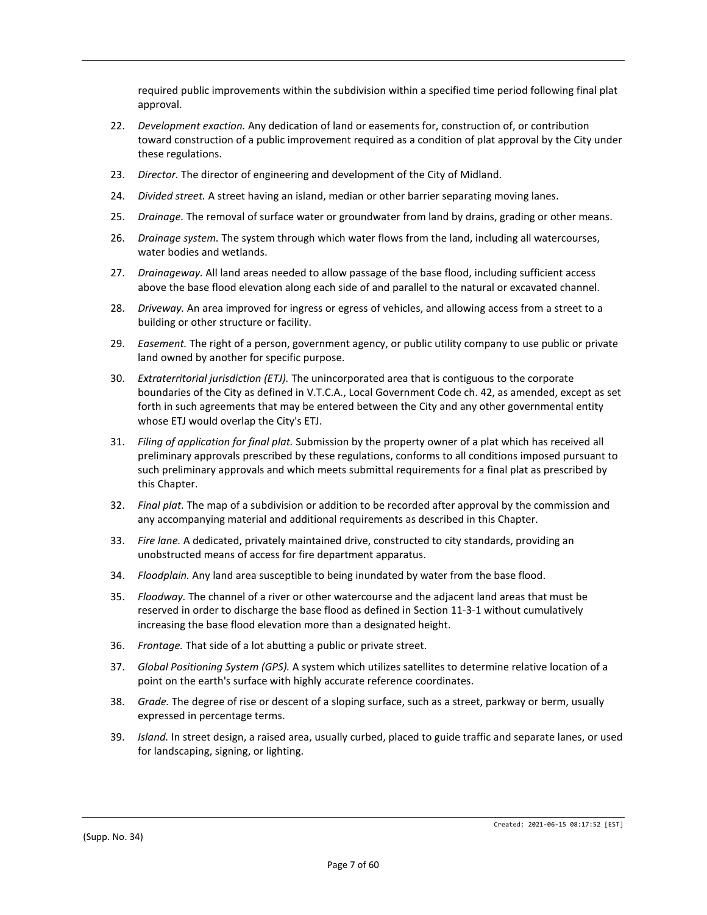required public improvements within the subdivision within a specified time period following final plat approval.

- 22. *Development exaction.* Any dedication of land or easements for, construction of, or contribution toward construction of a public improvement required as a condition of plat approval by the City under these regulations.
- 23. *Director.* The director of engineering and development of the City of Midland.
- 24. *Divided street.* A street having an island, median or other barrier separating moving lanes.
- 25. *Drainage.* The removal of surface water or groundwater from land by drains, grading or other means.
- 26. *Drainage system.* The system through which water flows from the land, including all watercourses, water bodies and wetlands.
- 27. *Drainageway.* All land areas needed to allow passage of the base flood, including sufficient access above the base flood elevation along each side of and parallel to the natural or excavated channel.
- 28. *Driveway.* An area improved for ingress or egress of vehicles, and allowing access from a street to a building or other structure or facility.
- 29. *Easement.* The right of a person, government agency, or public utility company to use public or private land owned by another for specific purpose.
- 30. *Extraterritorial jurisdiction (ETJ).* The unincorporated area that is contiguous to the corporate boundaries of the City as defined in V.T.C.A., Local Government Code ch. 42, as amended, except as set forth in such agreements that may be entered between the City and any other governmental entity whose ETJ would overlap the City's ETJ.
- 31. *Filing of application for final plat.* Submission by the property owner of a plat which has received all preliminary approvals prescribed by these regulations, conforms to all conditions imposed pursuant to such preliminary approvals and which meets submittal requirements for a final plat as prescribed by this Chapter.
- 32. *Final plat.* The map of a subdivision or addition to be recorded after approval by the commission and any accompanying material and additional requirements as described in this Chapter.
- 33. *Fire lane.* A dedicated, privately maintained drive, constructed to city standards, providing an unobstructed means of access for fire department apparatus.
- 34. *Floodplain.* Any land area susceptible to being inundated by water from the base flood.
- 35. *Floodway.* The channel of a river or other watercourse and the adjacent land areas that must be reserved in order to discharge the base flood as defined in Section 11-3-1 without cumulatively increasing the base flood elevation more than a designated height.
- 36. *Frontage.* That side of a lot abutting a public or private street.
- 37. *Global Positioning System (GPS).* A system which utilizes satellites to determine relative location of a point on the earth's surface with highly accurate reference coordinates.
- 38. *Grade.* The degree of rise or descent of a sloping surface, such as a street, parkway or berm, usually expressed in percentage terms.
- 39. *Island.* In street design, a raised area, usually curbed, placed to guide traffic and separate lanes, or used for landscaping, signing, or lighting.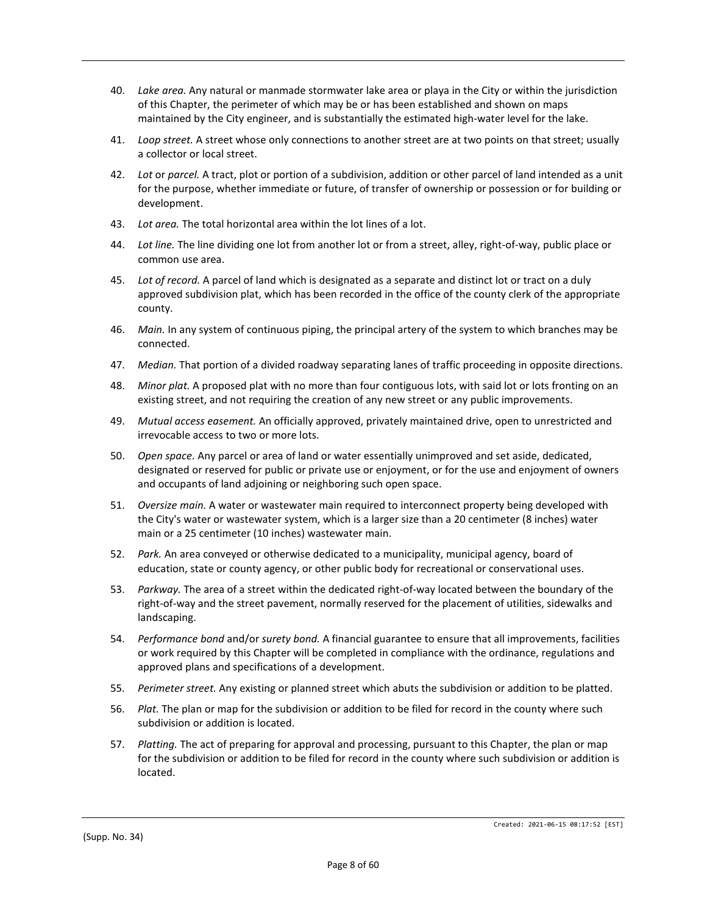- 40. *Lake area.* Any natural or manmade stormwater lake area or playa in the City or within the jurisdiction of this Chapter, the perimeter of which may be or has been established and shown on maps maintained by the City engineer, and is substantially the estimated high-water level for the lake.
- 41. *Loop street.* A street whose only connections to another street are at two points on that street; usually a collector or local street.
- 42. *Lot* or *parcel.* A tract, plot or portion of a subdivision, addition or other parcel of land intended as a unit for the purpose, whether immediate or future, of transfer of ownership or possession or for building or development.
- 43. *Lot area.* The total horizontal area within the lot lines of a lot.
- 44. *Lot line.* The line dividing one lot from another lot or from a street, alley, right-of-way, public place or common use area.
- 45. *Lot of record.* A parcel of land which is designated as a separate and distinct lot or tract on a duly approved subdivision plat, which has been recorded in the office of the county clerk of the appropriate county.
- 46. *Main.* In any system of continuous piping, the principal artery of the system to which branches may be connected.
- 47. *Median.* That portion of a divided roadway separating lanes of traffic proceeding in opposite directions.
- 48. *Minor plat.* A proposed plat with no more than four contiguous lots, with said lot or lots fronting on an existing street, and not requiring the creation of any new street or any public improvements.
- 49. *Mutual access easement.* An officially approved, privately maintained drive, open to unrestricted and irrevocable access to two or more lots.
- 50. *Open space.* Any parcel or area of land or water essentially unimproved and set aside, dedicated, designated or reserved for public or private use or enjoyment, or for the use and enjoyment of owners and occupants of land adjoining or neighboring such open space.
- 51. *Oversize main.* A water or wastewater main required to interconnect property being developed with the City's water or wastewater system, which is a larger size than a 20 centimeter (8 inches) water main or a 25 centimeter (10 inches) wastewater main.
- 52. *Park.* An area conveyed or otherwise dedicated to a municipality, municipal agency, board of education, state or county agency, or other public body for recreational or conservational uses.
- 53. *Parkway.* The area of a street within the dedicated right-of-way located between the boundary of the right-of-way and the street pavement, normally reserved for the placement of utilities, sidewalks and landscaping.
- 54. *Performance bond* and/or *surety bond.* A financial guarantee to ensure that all improvements, facilities or work required by this Chapter will be completed in compliance with the ordinance, regulations and approved plans and specifications of a development.
- 55. *Perimeter street.* Any existing or planned street which abuts the subdivision or addition to be platted.
- 56. *Plat.* The plan or map for the subdivision or addition to be filed for record in the county where such subdivision or addition is located.
- 57. *Platting.* The act of preparing for approval and processing, pursuant to this Chapter, the plan or map for the subdivision or addition to be filed for record in the county where such subdivision or addition is located.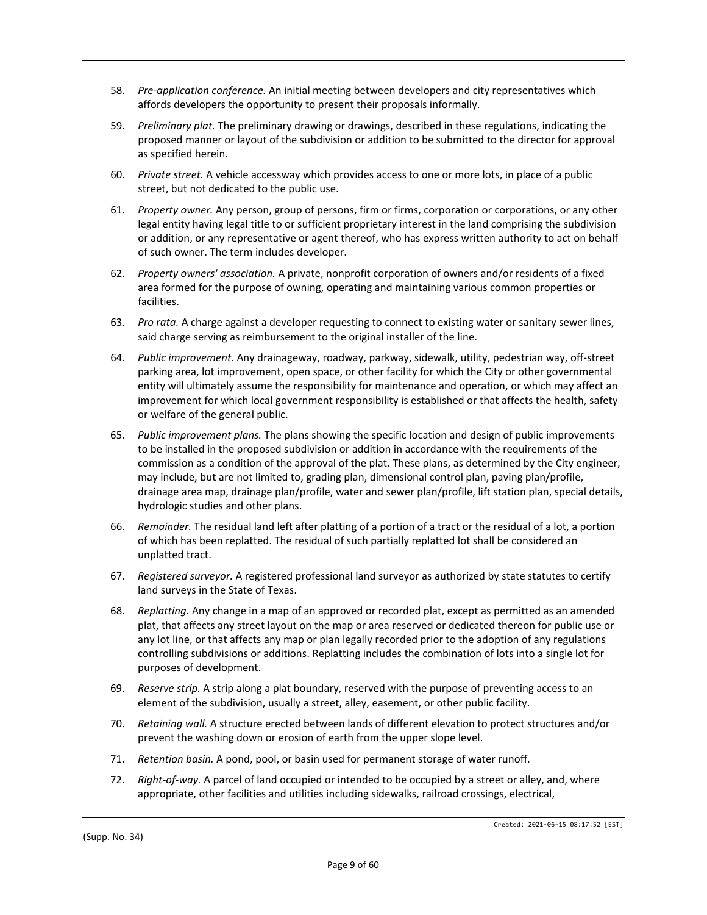- 58. *Pre-application conference.* An initial meeting between developers and city representatives which affords developers the opportunity to present their proposals informally.
- 59. *Preliminary plat.* The preliminary drawing or drawings, described in these regulations, indicating the proposed manner or layout of the subdivision or addition to be submitted to the director for approval as specified herein.
- 60. *Private street.* A vehicle accessway which provides access to one or more lots, in place of a public street, but not dedicated to the public use.
- 61. *Property owner.* Any person, group of persons, firm or firms, corporation or corporations, or any other legal entity having legal title to or sufficient proprietary interest in the land comprising the subdivision or addition, or any representative or agent thereof, who has express written authority to act on behalf of such owner. The term includes developer.
- 62. *Property owners' association.* A private, nonprofit corporation of owners and/or residents of a fixed area formed for the purpose of owning, operating and maintaining various common properties or facilities.
- 63. *Pro rata.* A charge against a developer requesting to connect to existing water or sanitary sewer lines, said charge serving as reimbursement to the original installer of the line.
- 64. *Public improvement.* Any drainageway, roadway, parkway, sidewalk, utility, pedestrian way, off-street parking area, lot improvement, open space, or other facility for which the City or other governmental entity will ultimately assume the responsibility for maintenance and operation, or which may affect an improvement for which local government responsibility is established or that affects the health, safety or welfare of the general public.
- 65. *Public improvement plans.* The plans showing the specific location and design of public improvements to be installed in the proposed subdivision or addition in accordance with the requirements of the commission as a condition of the approval of the plat. These plans, as determined by the City engineer, may include, but are not limited to, grading plan, dimensional control plan, paving plan/profile, drainage area map, drainage plan/profile, water and sewer plan/profile, lift station plan, special details, hydrologic studies and other plans.
- 66. *Remainder.* The residual land left after platting of a portion of a tract or the residual of a lot, a portion of which has been replatted. The residual of such partially replatted lot shall be considered an unplatted tract.
- 67. *Registered surveyor.* A registered professional land surveyor as authorized by state statutes to certify land surveys in the State of Texas.
- 68. *Replatting.* Any change in a map of an approved or recorded plat, except as permitted as an amended plat, that affects any street layout on the map or area reserved or dedicated thereon for public use or any lot line, or that affects any map or plan legally recorded prior to the adoption of any regulations controlling subdivisions or additions. Replatting includes the combination of lots into a single lot for purposes of development.
- 69. *Reserve strip.* A strip along a plat boundary, reserved with the purpose of preventing access to an element of the subdivision, usually a street, alley, easement, or other public facility.
- 70. *Retaining wall.* A structure erected between lands of different elevation to protect structures and/or prevent the washing down or erosion of earth from the upper slope level.
- 71. *Retention basin.* A pond, pool, or basin used for permanent storage of water runoff.
- 72. *Right-of-way.* A parcel of land occupied or intended to be occupied by a street or alley, and, where appropriate, other facilities and utilities including sidewalks, railroad crossings, electrical,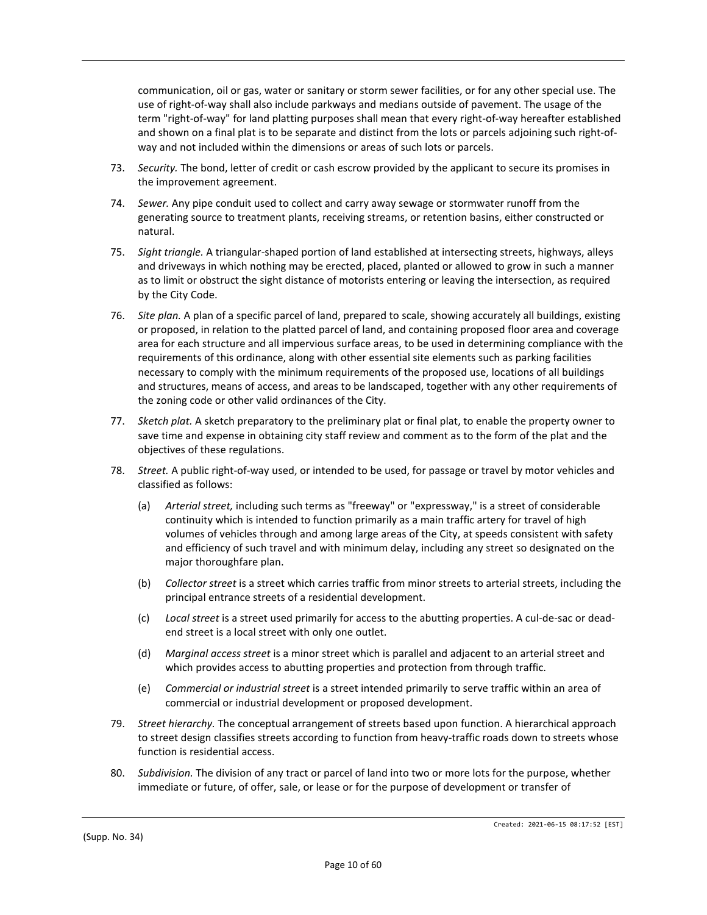communication, oil or gas, water or sanitary or storm sewer facilities, or for any other special use. The use of right-of-way shall also include parkways and medians outside of pavement. The usage of the term "right-of-way" for land platting purposes shall mean that every right-of-way hereafter established and shown on a final plat is to be separate and distinct from the lots or parcels adjoining such right-ofway and not included within the dimensions or areas of such lots or parcels.

- 73. *Security.* The bond, letter of credit or cash escrow provided by the applicant to secure its promises in the improvement agreement.
- 74. *Sewer.* Any pipe conduit used to collect and carry away sewage or stormwater runoff from the generating source to treatment plants, receiving streams, or retention basins, either constructed or natural.
- 75. *Sight triangle.* A triangular-shaped portion of land established at intersecting streets, highways, alleys and driveways in which nothing may be erected, placed, planted or allowed to grow in such a manner as to limit or obstruct the sight distance of motorists entering or leaving the intersection, as required by the City Code.
- 76. *Site plan.* A plan of a specific parcel of land, prepared to scale, showing accurately all buildings, existing or proposed, in relation to the platted parcel of land, and containing proposed floor area and coverage area for each structure and all impervious surface areas, to be used in determining compliance with the requirements of this ordinance, along with other essential site elements such as parking facilities necessary to comply with the minimum requirements of the proposed use, locations of all buildings and structures, means of access, and areas to be landscaped, together with any other requirements of the zoning code or other valid ordinances of the City.
- 77. *Sketch plat.* A sketch preparatory to the preliminary plat or final plat, to enable the property owner to save time and expense in obtaining city staff review and comment as to the form of the plat and the objectives of these regulations.
- 78. *Street.* A public right-of-way used, or intended to be used, for passage or travel by motor vehicles and classified as follows:
	- (a) *Arterial street,* including such terms as "freeway" or "expressway," is a street of considerable continuity which is intended to function primarily as a main traffic artery for travel of high volumes of vehicles through and among large areas of the City, at speeds consistent with safety and efficiency of such travel and with minimum delay, including any street so designated on the major thoroughfare plan.
	- (b) *Collector street* is a street which carries traffic from minor streets to arterial streets, including the principal entrance streets of a residential development.
	- (c) *Local street* is a street used primarily for access to the abutting properties. A cul-de-sac or deadend street is a local street with only one outlet.
	- (d) *Marginal access street* is a minor street which is parallel and adjacent to an arterial street and which provides access to abutting properties and protection from through traffic.
	- (e) *Commercial or industrial street* is a street intended primarily to serve traffic within an area of commercial or industrial development or proposed development.
- 79. *Street hierarchy.* The conceptual arrangement of streets based upon function. A hierarchical approach to street design classifies streets according to function from heavy-traffic roads down to streets whose function is residential access.
- 80. *Subdivision.* The division of any tract or parcel of land into two or more lots for the purpose, whether immediate or future, of offer, sale, or lease or for the purpose of development or transfer of

(Supp. No. 34)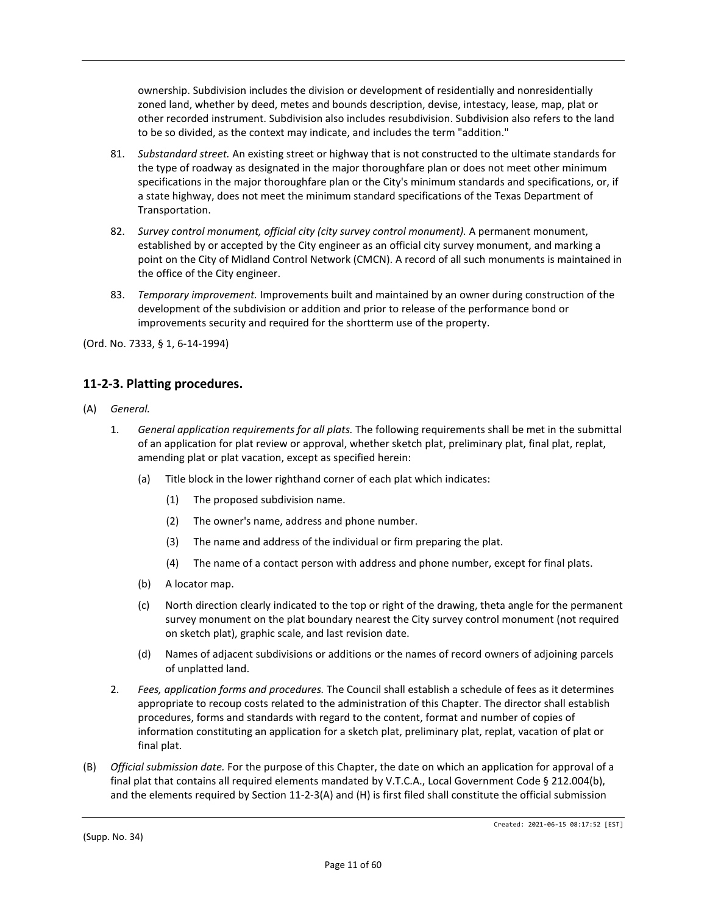ownership. Subdivision includes the division or development of residentially and nonresidentially zoned land, whether by deed, metes and bounds description, devise, intestacy, lease, map, plat or other recorded instrument. Subdivision also includes resubdivision. Subdivision also refers to the land to be so divided, as the context may indicate, and includes the term "addition."

- 81. *Substandard street.* An existing street or highway that is not constructed to the ultimate standards for the type of roadway as designated in the major thoroughfare plan or does not meet other minimum specifications in the major thoroughfare plan or the City's minimum standards and specifications, or, if a state highway, does not meet the minimum standard specifications of the Texas Department of Transportation.
- 82. *Survey control monument, official city (city survey control monument).* A permanent monument, established by or accepted by the City engineer as an official city survey monument, and marking a point on the City of Midland Control Network (CMCN). A record of all such monuments is maintained in the office of the City engineer.
- 83. *Temporary improvement.* Improvements built and maintained by an owner during construction of the development of the subdivision or addition and prior to release of the performance bond or improvements security and required for the shortterm use of the property.

(Ord. No. 7333, § 1, 6-14-1994)

# **11-2-3. Platting procedures.**

- (A) *General.*
	- 1. *General application requirements for all plats.* The following requirements shall be met in the submittal of an application for plat review or approval, whether sketch plat, preliminary plat, final plat, replat, amending plat or plat vacation, except as specified herein:
		- (a) Title block in the lower righthand corner of each plat which indicates:
			- (1) The proposed subdivision name.
			- (2) The owner's name, address and phone number.
			- (3) The name and address of the individual or firm preparing the plat.
			- (4) The name of a contact person with address and phone number, except for final plats.
		- (b) A locator map.
		- (c) North direction clearly indicated to the top or right of the drawing, theta angle for the permanent survey monument on the plat boundary nearest the City survey control monument (not required on sketch plat), graphic scale, and last revision date.
		- (d) Names of adjacent subdivisions or additions or the names of record owners of adjoining parcels of unplatted land.
	- 2. *Fees, application forms and procedures.* The Council shall establish a schedule of fees as it determines appropriate to recoup costs related to the administration of this Chapter. The director shall establish procedures, forms and standards with regard to the content, format and number of copies of information constituting an application for a sketch plat, preliminary plat, replat, vacation of plat or final plat.
- (B) *Official submission date.* For the purpose of this Chapter, the date on which an application for approval of a final plat that contains all required elements mandated by V.T.C.A., Local Government Code § 212.004(b), and the elements required by Section 11-2-3(A) and (H) is first filed shall constitute the official submission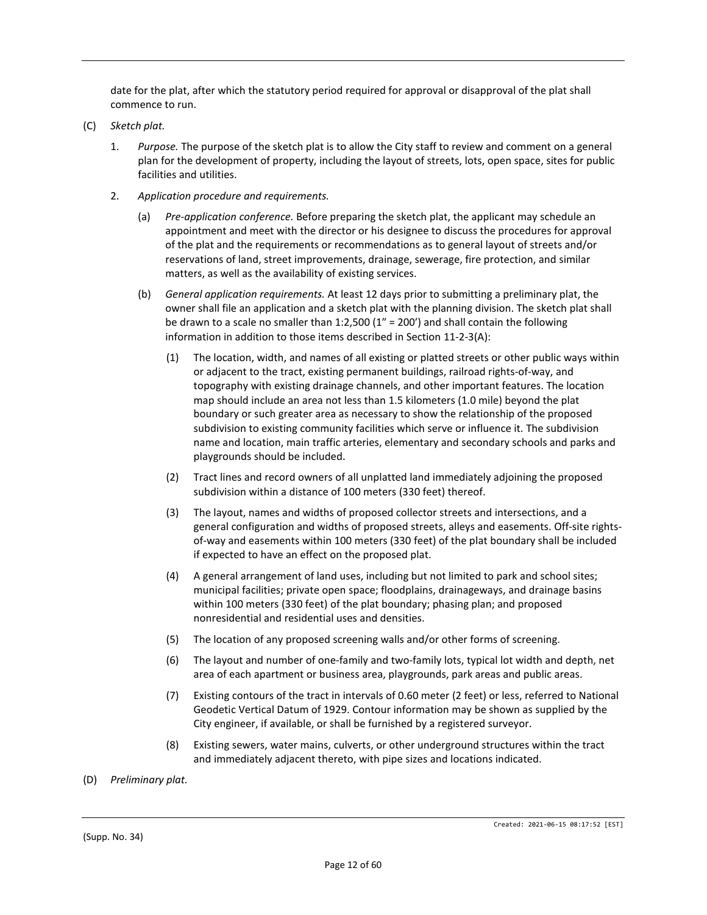date for the plat, after which the statutory period required for approval or disapproval of the plat shall commence to run.

- (C) *Sketch plat.*
	- 1. *Purpose.* The purpose of the sketch plat is to allow the City staff to review and comment on a general plan for the development of property, including the layout of streets, lots, open space, sites for public facilities and utilities.
	- 2. *Application procedure and requirements.*
		- (a) *Pre-application conference.* Before preparing the sketch plat, the applicant may schedule an appointment and meet with the director or his designee to discuss the procedures for approval of the plat and the requirements or recommendations as to general layout of streets and/or reservations of land, street improvements, drainage, sewerage, fire protection, and similar matters, as well as the availability of existing services.
		- (b) *General application requirements.* At least 12 days prior to submitting a preliminary plat, the owner shall file an application and a sketch plat with the planning division. The sketch plat shall be drawn to a scale no smaller than 1:2,500 ( $1'' = 200'$ ) and shall contain the following information in addition to those items described in Section 11-2-3(A):
			- (1) The location, width, and names of all existing or platted streets or other public ways within or adjacent to the tract, existing permanent buildings, railroad rights-of-way, and topography with existing drainage channels, and other important features. The location map should include an area not less than 1.5 kilometers (1.0 mile) beyond the plat boundary or such greater area as necessary to show the relationship of the proposed subdivision to existing community facilities which serve or influence it. The subdivision name and location, main traffic arteries, elementary and secondary schools and parks and playgrounds should be included.
			- (2) Tract lines and record owners of all unplatted land immediately adjoining the proposed subdivision within a distance of 100 meters (330 feet) thereof.
			- (3) The layout, names and widths of proposed collector streets and intersections, and a general configuration and widths of proposed streets, alleys and easements. Off-site rightsof-way and easements within 100 meters (330 feet) of the plat boundary shall be included if expected to have an effect on the proposed plat.
			- (4) A general arrangement of land uses, including but not limited to park and school sites; municipal facilities; private open space; floodplains, drainageways, and drainage basins within 100 meters (330 feet) of the plat boundary; phasing plan; and proposed nonresidential and residential uses and densities.
			- (5) The location of any proposed screening walls and/or other forms of screening.
			- (6) The layout and number of one-family and two-family lots, typical lot width and depth, net area of each apartment or business area, playgrounds, park areas and public areas.
			- (7) Existing contours of the tract in intervals of 0.60 meter (2 feet) or less, referred to National Geodetic Vertical Datum of 1929. Contour information may be shown as supplied by the City engineer, if available, or shall be furnished by a registered surveyor.
			- (8) Existing sewers, water mains, culverts, or other underground structures within the tract and immediately adjacent thereto, with pipe sizes and locations indicated.
- (D) *Preliminary plat.*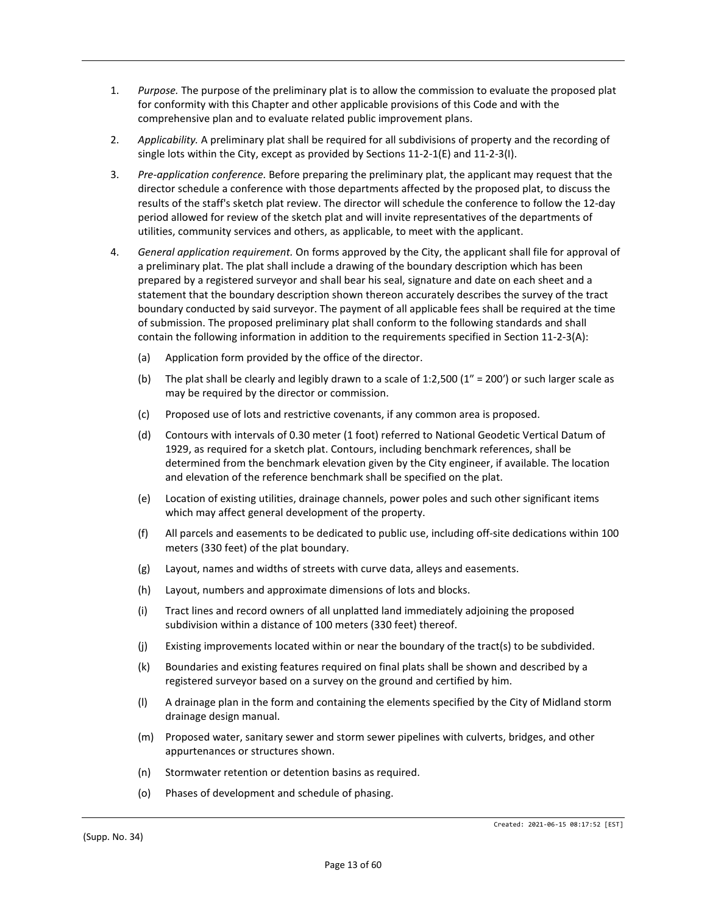- 1. *Purpose.* The purpose of the preliminary plat is to allow the commission to evaluate the proposed plat for conformity with this Chapter and other applicable provisions of this Code and with the comprehensive plan and to evaluate related public improvement plans.
- 2. *Applicability.* A preliminary plat shall be required for all subdivisions of property and the recording of single lots within the City, except as provided by Sections 11-2-1(E) and 11-2-3(I).
- 3. *Pre-application conference.* Before preparing the preliminary plat, the applicant may request that the director schedule a conference with those departments affected by the proposed plat, to discuss the results of the staff's sketch plat review. The director will schedule the conference to follow the 12-day period allowed for review of the sketch plat and will invite representatives of the departments of utilities, community services and others, as applicable, to meet with the applicant.
- 4. *General application requirement.* On forms approved by the City, the applicant shall file for approval of a preliminary plat. The plat shall include a drawing of the boundary description which has been prepared by a registered surveyor and shall bear his seal, signature and date on each sheet and a statement that the boundary description shown thereon accurately describes the survey of the tract boundary conducted by said surveyor. The payment of all applicable fees shall be required at the time of submission. The proposed preliminary plat shall conform to the following standards and shall contain the following information in addition to the requirements specified in Section 11-2-3(A):
	- (a) Application form provided by the office of the director.
	- (b) The plat shall be clearly and legibly drawn to a scale of 1:2,500 (1″ = 200′) or such larger scale as may be required by the director or commission.
	- (c) Proposed use of lots and restrictive covenants, if any common area is proposed.
	- (d) Contours with intervals of 0.30 meter (1 foot) referred to National Geodetic Vertical Datum of 1929, as required for a sketch plat. Contours, including benchmark references, shall be determined from the benchmark elevation given by the City engineer, if available. The location and elevation of the reference benchmark shall be specified on the plat.
	- (e) Location of existing utilities, drainage channels, power poles and such other significant items which may affect general development of the property.
	- (f) All parcels and easements to be dedicated to public use, including off-site dedications within 100 meters (330 feet) of the plat boundary.
	- (g) Layout, names and widths of streets with curve data, alleys and easements.
	- (h) Layout, numbers and approximate dimensions of lots and blocks.
	- (i) Tract lines and record owners of all unplatted land immediately adjoining the proposed subdivision within a distance of 100 meters (330 feet) thereof.
	- (j) Existing improvements located within or near the boundary of the tract(s) to be subdivided.
	- (k) Boundaries and existing features required on final plats shall be shown and described by a registered surveyor based on a survey on the ground and certified by him.
	- (l) A drainage plan in the form and containing the elements specified by the City of Midland storm drainage design manual.
	- (m) Proposed water, sanitary sewer and storm sewer pipelines with culverts, bridges, and other appurtenances or structures shown.
	- (n) Stormwater retention or detention basins as required.
	- (o) Phases of development and schedule of phasing.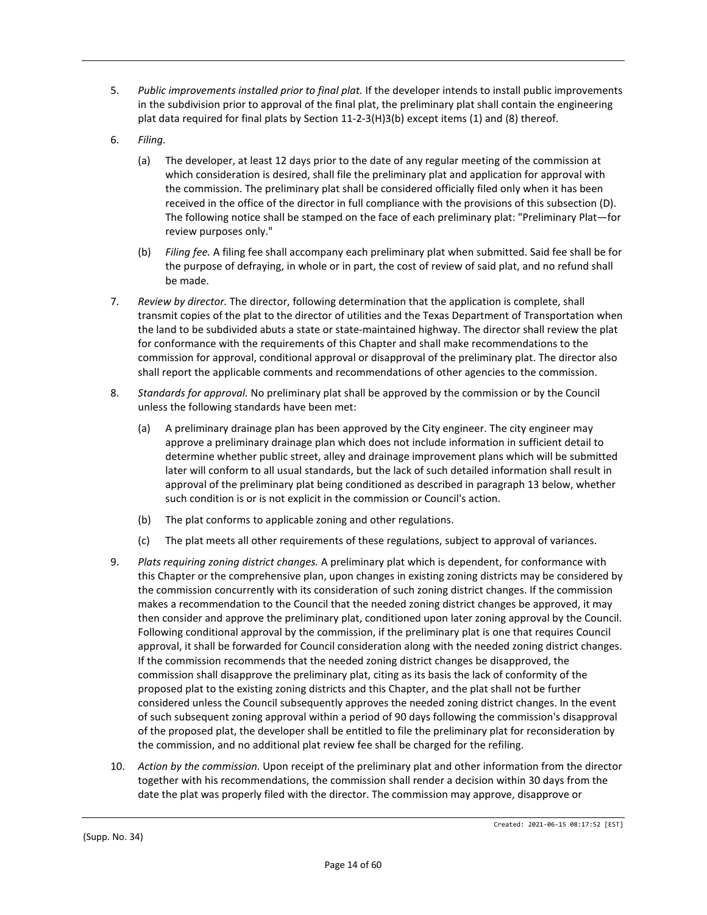- 5. *Public improvements installed prior to final plat.* If the developer intends to install public improvements in the subdivision prior to approval of the final plat, the preliminary plat shall contain the engineering plat data required for final plats by Section 11-2-3(H)3(b) except items (1) and (8) thereof.
- 6. *Filing.*
	- (a) The developer, at least 12 days prior to the date of any regular meeting of the commission at which consideration is desired, shall file the preliminary plat and application for approval with the commission. The preliminary plat shall be considered officially filed only when it has been received in the office of the director in full compliance with the provisions of this subsection (D). The following notice shall be stamped on the face of each preliminary plat: "Preliminary Plat—for review purposes only."
	- (b) *Filing fee.* A filing fee shall accompany each preliminary plat when submitted. Said fee shall be for the purpose of defraying, in whole or in part, the cost of review of said plat, and no refund shall be made.
- 7. *Review by director.* The director, following determination that the application is complete, shall transmit copies of the plat to the director of utilities and the Texas Department of Transportation when the land to be subdivided abuts a state or state-maintained highway. The director shall review the plat for conformance with the requirements of this Chapter and shall make recommendations to the commission for approval, conditional approval or disapproval of the preliminary plat. The director also shall report the applicable comments and recommendations of other agencies to the commission.
- 8. *Standards for approval.* No preliminary plat shall be approved by the commission or by the Council unless the following standards have been met:
	- (a) A preliminary drainage plan has been approved by the City engineer. The city engineer may approve a preliminary drainage plan which does not include information in sufficient detail to determine whether public street, alley and drainage improvement plans which will be submitted later will conform to all usual standards, but the lack of such detailed information shall result in approval of the preliminary plat being conditioned as described in paragraph 13 below, whether such condition is or is not explicit in the commission or Council's action.
	- (b) The plat conforms to applicable zoning and other regulations.
	- (c) The plat meets all other requirements of these regulations, subject to approval of variances.
- 9. *Plats requiring zoning district changes.* A preliminary plat which is dependent, for conformance with this Chapter or the comprehensive plan, upon changes in existing zoning districts may be considered by the commission concurrently with its consideration of such zoning district changes. If the commission makes a recommendation to the Council that the needed zoning district changes be approved, it may then consider and approve the preliminary plat, conditioned upon later zoning approval by the Council. Following conditional approval by the commission, if the preliminary plat is one that requires Council approval, it shall be forwarded for Council consideration along with the needed zoning district changes. If the commission recommends that the needed zoning district changes be disapproved, the commission shall disapprove the preliminary plat, citing as its basis the lack of conformity of the proposed plat to the existing zoning districts and this Chapter, and the plat shall not be further considered unless the Council subsequently approves the needed zoning district changes. In the event of such subsequent zoning approval within a period of 90 days following the commission's disapproval of the proposed plat, the developer shall be entitled to file the preliminary plat for reconsideration by the commission, and no additional plat review fee shall be charged for the refiling.
- 10. *Action by the commission.* Upon receipt of the preliminary plat and other information from the director together with his recommendations, the commission shall render a decision within 30 days from the date the plat was properly filed with the director. The commission may approve, disapprove or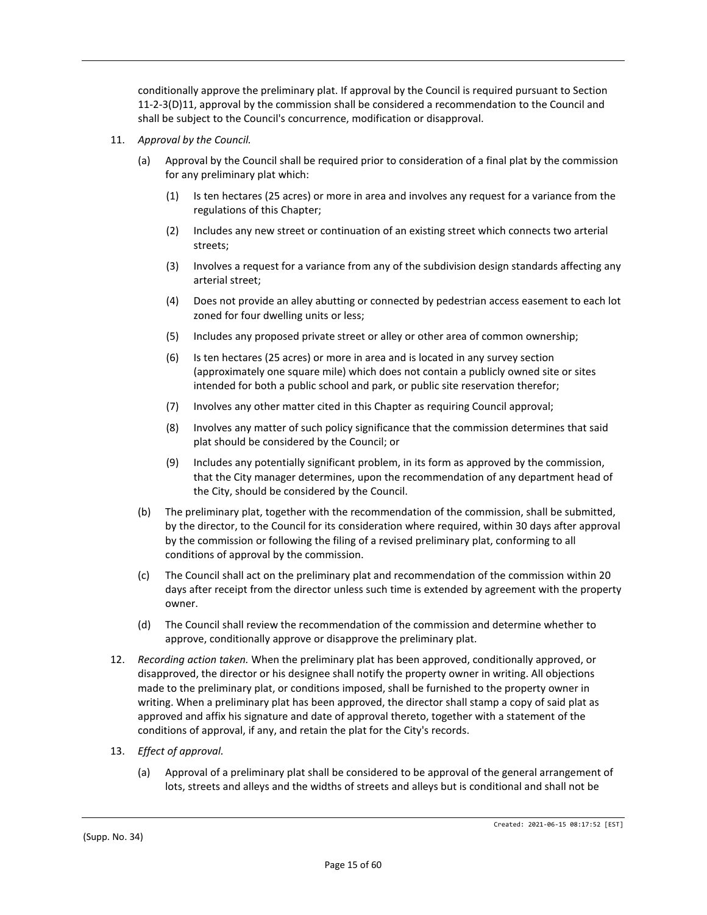conditionally approve the preliminary plat. If approval by the Council is required pursuant to Section 11-2-3(D)11, approval by the commission shall be considered a recommendation to the Council and shall be subject to the Council's concurrence, modification or disapproval.

- 11. *Approval by the Council.*
	- (a) Approval by the Council shall be required prior to consideration of a final plat by the commission for any preliminary plat which:
		- (1) Is ten hectares (25 acres) or more in area and involves any request for a variance from the regulations of this Chapter;
		- (2) Includes any new street or continuation of an existing street which connects two arterial streets;
		- (3) Involves a request for a variance from any of the subdivision design standards affecting any arterial street;
		- (4) Does not provide an alley abutting or connected by pedestrian access easement to each lot zoned for four dwelling units or less;
		- (5) Includes any proposed private street or alley or other area of common ownership;
		- (6) Is ten hectares (25 acres) or more in area and is located in any survey section (approximately one square mile) which does not contain a publicly owned site or sites intended for both a public school and park, or public site reservation therefor;
		- (7) Involves any other matter cited in this Chapter as requiring Council approval;
		- (8) Involves any matter of such policy significance that the commission determines that said plat should be considered by the Council; or
		- (9) Includes any potentially significant problem, in its form as approved by the commission, that the City manager determines, upon the recommendation of any department head of the City, should be considered by the Council.
	- (b) The preliminary plat, together with the recommendation of the commission, shall be submitted, by the director, to the Council for its consideration where required, within 30 days after approval by the commission or following the filing of a revised preliminary plat, conforming to all conditions of approval by the commission.
	- (c) The Council shall act on the preliminary plat and recommendation of the commission within 20 days after receipt from the director unless such time is extended by agreement with the property owner.
	- (d) The Council shall review the recommendation of the commission and determine whether to approve, conditionally approve or disapprove the preliminary plat.
- 12. *Recording action taken.* When the preliminary plat has been approved, conditionally approved, or disapproved, the director or his designee shall notify the property owner in writing. All objections made to the preliminary plat, or conditions imposed, shall be furnished to the property owner in writing. When a preliminary plat has been approved, the director shall stamp a copy of said plat as approved and affix his signature and date of approval thereto, together with a statement of the conditions of approval, if any, and retain the plat for the City's records.
- 13. *Effect of approval.*
	- (a) Approval of a preliminary plat shall be considered to be approval of the general arrangement of lots, streets and alleys and the widths of streets and alleys but is conditional and shall not be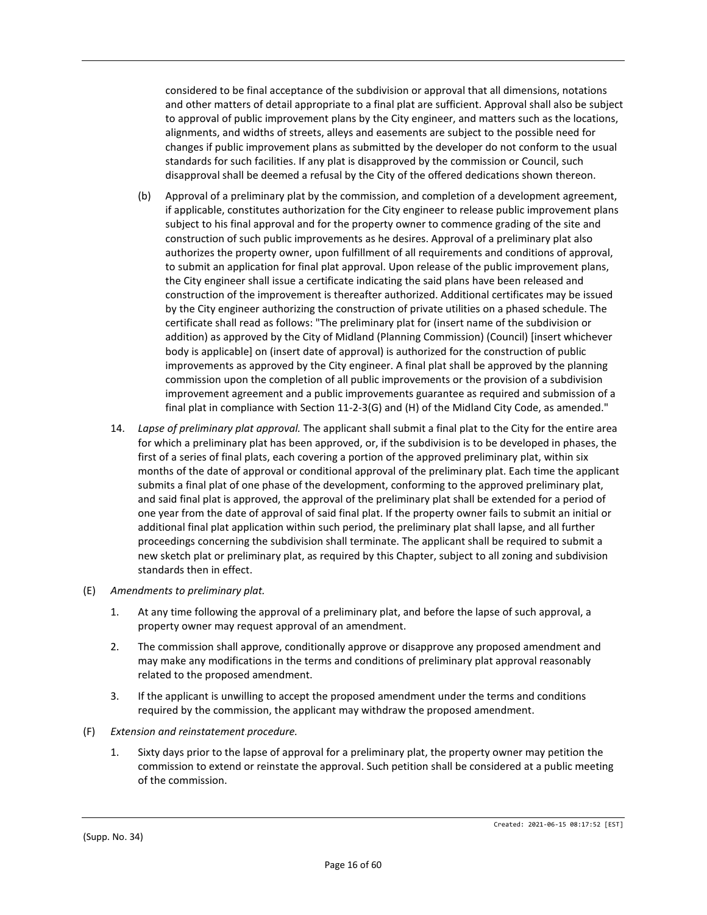considered to be final acceptance of the subdivision or approval that all dimensions, notations and other matters of detail appropriate to a final plat are sufficient. Approval shall also be subject to approval of public improvement plans by the City engineer, and matters such as the locations, alignments, and widths of streets, alleys and easements are subject to the possible need for changes if public improvement plans as submitted by the developer do not conform to the usual standards for such facilities. If any plat is disapproved by the commission or Council, such disapproval shall be deemed a refusal by the City of the offered dedications shown thereon.

- (b) Approval of a preliminary plat by the commission, and completion of a development agreement, if applicable, constitutes authorization for the City engineer to release public improvement plans subject to his final approval and for the property owner to commence grading of the site and construction of such public improvements as he desires. Approval of a preliminary plat also authorizes the property owner, upon fulfillment of all requirements and conditions of approval, to submit an application for final plat approval. Upon release of the public improvement plans, the City engineer shall issue a certificate indicating the said plans have been released and construction of the improvement is thereafter authorized. Additional certificates may be issued by the City engineer authorizing the construction of private utilities on a phased schedule. The certificate shall read as follows: "The preliminary plat for (insert name of the subdivision or addition) as approved by the City of Midland (Planning Commission) (Council) [insert whichever body is applicable] on (insert date of approval) is authorized for the construction of public improvements as approved by the City engineer. A final plat shall be approved by the planning commission upon the completion of all public improvements or the provision of a subdivision improvement agreement and a public improvements guarantee as required and submission of a final plat in compliance with Section 11-2-3(G) and (H) of the Midland City Code, as amended."
- 14. *Lapse of preliminary plat approval.* The applicant shall submit a final plat to the City for the entire area for which a preliminary plat has been approved, or, if the subdivision is to be developed in phases, the first of a series of final plats, each covering a portion of the approved preliminary plat, within six months of the date of approval or conditional approval of the preliminary plat. Each time the applicant submits a final plat of one phase of the development, conforming to the approved preliminary plat, and said final plat is approved, the approval of the preliminary plat shall be extended for a period of one year from the date of approval of said final plat. If the property owner fails to submit an initial or additional final plat application within such period, the preliminary plat shall lapse, and all further proceedings concerning the subdivision shall terminate. The applicant shall be required to submit a new sketch plat or preliminary plat, as required by this Chapter, subject to all zoning and subdivision standards then in effect.
- (E) *Amendments to preliminary plat.*
	- 1. At any time following the approval of a preliminary plat, and before the lapse of such approval, a property owner may request approval of an amendment.
	- 2. The commission shall approve, conditionally approve or disapprove any proposed amendment and may make any modifications in the terms and conditions of preliminary plat approval reasonably related to the proposed amendment.
	- 3. If the applicant is unwilling to accept the proposed amendment under the terms and conditions required by the commission, the applicant may withdraw the proposed amendment.
- (F) *Extension and reinstatement procedure.*
	- 1. Sixty days prior to the lapse of approval for a preliminary plat, the property owner may petition the commission to extend or reinstate the approval. Such petition shall be considered at a public meeting of the commission.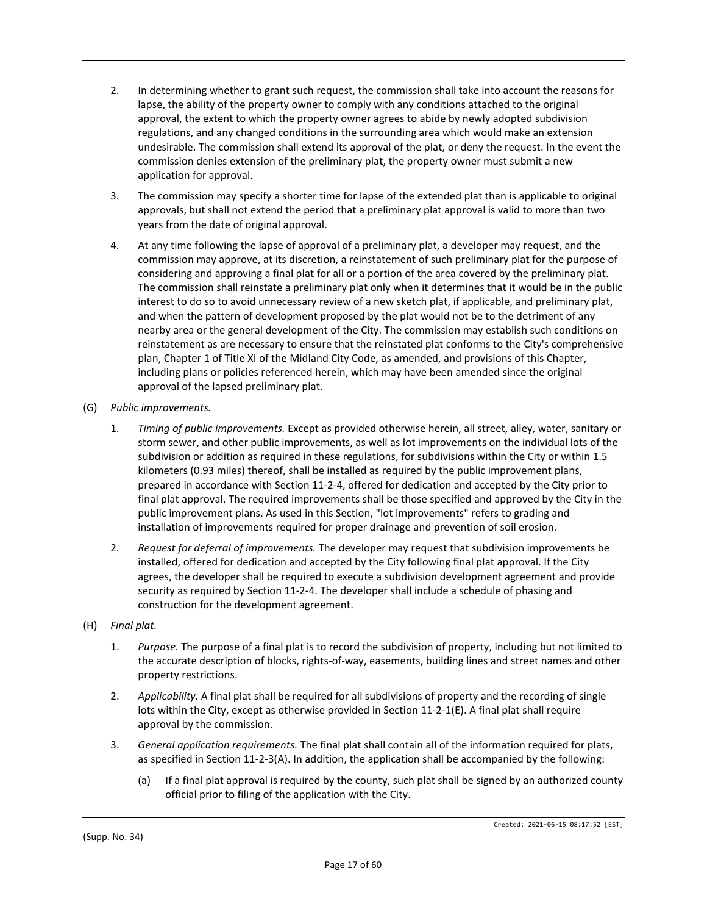- 2. In determining whether to grant such request, the commission shall take into account the reasons for lapse, the ability of the property owner to comply with any conditions attached to the original approval, the extent to which the property owner agrees to abide by newly adopted subdivision regulations, and any changed conditions in the surrounding area which would make an extension undesirable. The commission shall extend its approval of the plat, or deny the request. In the event the commission denies extension of the preliminary plat, the property owner must submit a new application for approval.
- 3. The commission may specify a shorter time for lapse of the extended plat than is applicable to original approvals, but shall not extend the period that a preliminary plat approval is valid to more than two years from the date of original approval.
- 4. At any time following the lapse of approval of a preliminary plat, a developer may request, and the commission may approve, at its discretion, a reinstatement of such preliminary plat for the purpose of considering and approving a final plat for all or a portion of the area covered by the preliminary plat. The commission shall reinstate a preliminary plat only when it determines that it would be in the public interest to do so to avoid unnecessary review of a new sketch plat, if applicable, and preliminary plat, and when the pattern of development proposed by the plat would not be to the detriment of any nearby area or the general development of the City. The commission may establish such conditions on reinstatement as are necessary to ensure that the reinstated plat conforms to the City's comprehensive plan, Chapter 1 of Title XI of the Midland City Code, as amended, and provisions of this Chapter, including plans or policies referenced herein, which may have been amended since the original approval of the lapsed preliminary plat.
- (G) *Public improvements.*
	- 1. *Timing of public improvements.* Except as provided otherwise herein, all street, alley, water, sanitary or storm sewer, and other public improvements, as well as lot improvements on the individual lots of the subdivision or addition as required in these regulations, for subdivisions within the City or within 1.5 kilometers (0.93 miles) thereof, shall be installed as required by the public improvement plans, prepared in accordance with Section 11-2-4, offered for dedication and accepted by the City prior to final plat approval. The required improvements shall be those specified and approved by the City in the public improvement plans. As used in this Section, "lot improvements" refers to grading and installation of improvements required for proper drainage and prevention of soil erosion.
	- 2. *Request for deferral of improvements.* The developer may request that subdivision improvements be installed, offered for dedication and accepted by the City following final plat approval. If the City agrees, the developer shall be required to execute a subdivision development agreement and provide security as required by Section 11-2-4. The developer shall include a schedule of phasing and construction for the development agreement.

## (H) *Final plat.*

- 1. *Purpose.* The purpose of a final plat is to record the subdivision of property, including but not limited to the accurate description of blocks, rights-of-way, easements, building lines and street names and other property restrictions.
- 2. *Applicability.* A final plat shall be required for all subdivisions of property and the recording of single lots within the City, except as otherwise provided in Section 11-2-1(E). A final plat shall require approval by the commission.
- 3. *General application requirements.* The final plat shall contain all of the information required for plats, as specified in Section 11-2-3(A). In addition, the application shall be accompanied by the following:
	- (a) If a final plat approval is required by the county, such plat shall be signed by an authorized county official prior to filing of the application with the City.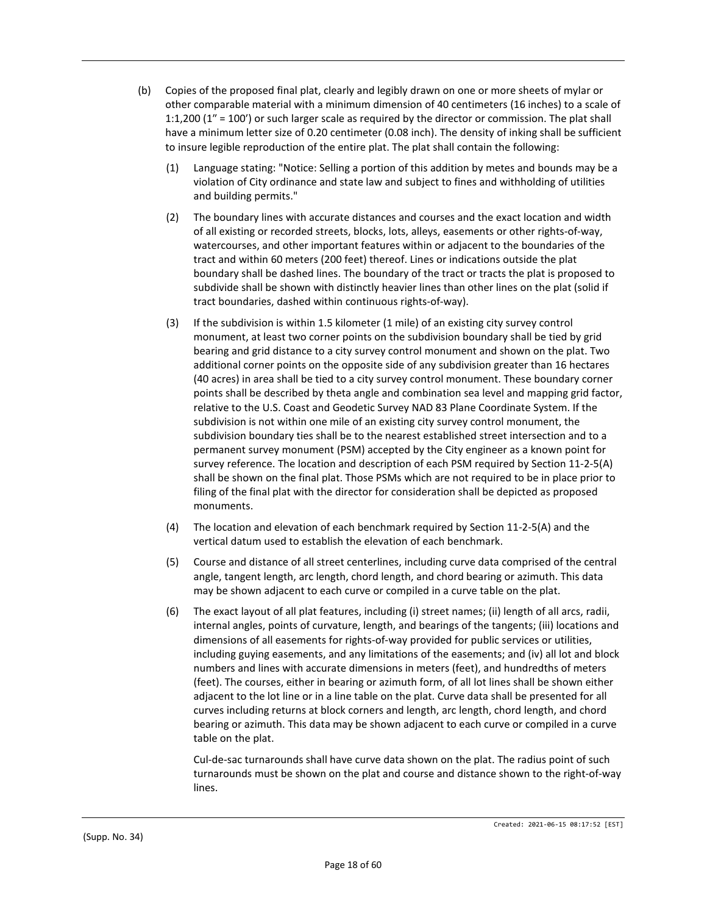- (b) Copies of the proposed final plat, clearly and legibly drawn on one or more sheets of mylar or other comparable material with a minimum dimension of 40 centimeters (16 inches) to a scale of 1:1,200 (1″ = 100′) or such larger scale as required by the director or commission. The plat shall have a minimum letter size of 0.20 centimeter (0.08 inch). The density of inking shall be sufficient to insure legible reproduction of the entire plat. The plat shall contain the following:
	- (1) Language stating: "Notice: Selling a portion of this addition by metes and bounds may be a violation of City ordinance and state law and subject to fines and withholding of utilities and building permits."
	- (2) The boundary lines with accurate distances and courses and the exact location and width of all existing or recorded streets, blocks, lots, alleys, easements or other rights-of-way, watercourses, and other important features within or adjacent to the boundaries of the tract and within 60 meters (200 feet) thereof. Lines or indications outside the plat boundary shall be dashed lines. The boundary of the tract or tracts the plat is proposed to subdivide shall be shown with distinctly heavier lines than other lines on the plat (solid if tract boundaries, dashed within continuous rights-of-way).
	- (3) If the subdivision is within 1.5 kilometer (1 mile) of an existing city survey control monument, at least two corner points on the subdivision boundary shall be tied by grid bearing and grid distance to a city survey control monument and shown on the plat. Two additional corner points on the opposite side of any subdivision greater than 16 hectares (40 acres) in area shall be tied to a city survey control monument. These boundary corner points shall be described by theta angle and combination sea level and mapping grid factor, relative to the U.S. Coast and Geodetic Survey NAD 83 Plane Coordinate System. If the subdivision is not within one mile of an existing city survey control monument, the subdivision boundary ties shall be to the nearest established street intersection and to a permanent survey monument (PSM) accepted by the City engineer as a known point for survey reference. The location and description of each PSM required by Section 11-2-5(A) shall be shown on the final plat. Those PSMs which are not required to be in place prior to filing of the final plat with the director for consideration shall be depicted as proposed monuments.
	- (4) The location and elevation of each benchmark required by Section 11-2-5(A) and the vertical datum used to establish the elevation of each benchmark.
	- (5) Course and distance of all street centerlines, including curve data comprised of the central angle, tangent length, arc length, chord length, and chord bearing or azimuth. This data may be shown adjacent to each curve or compiled in a curve table on the plat.
	- (6) The exact layout of all plat features, including (i) street names; (ii) length of all arcs, radii, internal angles, points of curvature, length, and bearings of the tangents; (iii) locations and dimensions of all easements for rights-of-way provided for public services or utilities, including guying easements, and any limitations of the easements; and (iv) all lot and block numbers and lines with accurate dimensions in meters (feet), and hundredths of meters (feet). The courses, either in bearing or azimuth form, of all lot lines shall be shown either adjacent to the lot line or in a line table on the plat. Curve data shall be presented for all curves including returns at block corners and length, arc length, chord length, and chord bearing or azimuth. This data may be shown adjacent to each curve or compiled in a curve table on the plat.

Cul-de-sac turnarounds shall have curve data shown on the plat. The radius point of such turnarounds must be shown on the plat and course and distance shown to the right-of-way lines.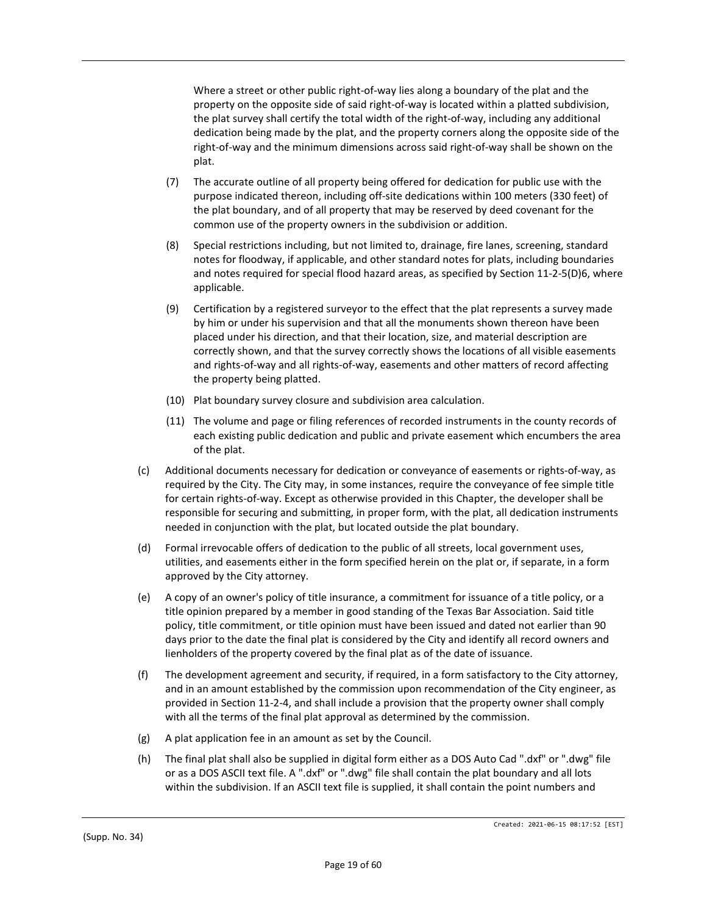Where a street or other public right-of-way lies along a boundary of the plat and the property on the opposite side of said right-of-way is located within a platted subdivision, the plat survey shall certify the total width of the right-of-way, including any additional dedication being made by the plat, and the property corners along the opposite side of the right-of-way and the minimum dimensions across said right-of-way shall be shown on the plat.

- (7) The accurate outline of all property being offered for dedication for public use with the purpose indicated thereon, including off-site dedications within 100 meters (330 feet) of the plat boundary, and of all property that may be reserved by deed covenant for the common use of the property owners in the subdivision or addition.
- (8) Special restrictions including, but not limited to, drainage, fire lanes, screening, standard notes for floodway, if applicable, and other standard notes for plats, including boundaries and notes required for special flood hazard areas, as specified by Section 11-2-5(D)6, where applicable.
- (9) Certification by a registered surveyor to the effect that the plat represents a survey made by him or under his supervision and that all the monuments shown thereon have been placed under his direction, and that their location, size, and material description are correctly shown, and that the survey correctly shows the locations of all visible easements and rights-of-way and all rights-of-way, easements and other matters of record affecting the property being platted.
- (10) Plat boundary survey closure and subdivision area calculation.
- (11) The volume and page or filing references of recorded instruments in the county records of each existing public dedication and public and private easement which encumbers the area of the plat.
- (c) Additional documents necessary for dedication or conveyance of easements or rights-of-way, as required by the City. The City may, in some instances, require the conveyance of fee simple title for certain rights-of-way. Except as otherwise provided in this Chapter, the developer shall be responsible for securing and submitting, in proper form, with the plat, all dedication instruments needed in conjunction with the plat, but located outside the plat boundary.
- (d) Formal irrevocable offers of dedication to the public of all streets, local government uses, utilities, and easements either in the form specified herein on the plat or, if separate, in a form approved by the City attorney.
- (e) A copy of an owner's policy of title insurance, a commitment for issuance of a title policy, or a title opinion prepared by a member in good standing of the Texas Bar Association. Said title policy, title commitment, or title opinion must have been issued and dated not earlier than 90 days prior to the date the final plat is considered by the City and identify all record owners and lienholders of the property covered by the final plat as of the date of issuance.
- (f) The development agreement and security, if required, in a form satisfactory to the City attorney, and in an amount established by the commission upon recommendation of the City engineer, as provided in Section 11-2-4, and shall include a provision that the property owner shall comply with all the terms of the final plat approval as determined by the commission.
- (g) A plat application fee in an amount as set by the Council.
- (h) The final plat shall also be supplied in digital form either as a DOS Auto Cad ".dxf" or ".dwg" file or as a DOS ASCII text file. A ".dxf" or ".dwg" file shall contain the plat boundary and all lots within the subdivision. If an ASCII text file is supplied, it shall contain the point numbers and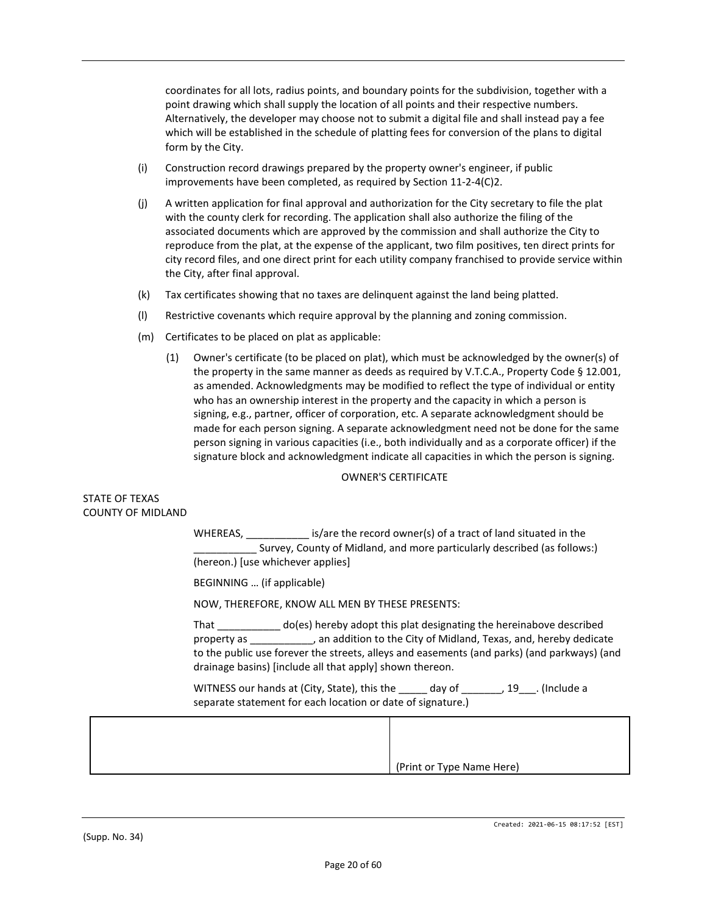coordinates for all lots, radius points, and boundary points for the subdivision, together with a point drawing which shall supply the location of all points and their respective numbers. Alternatively, the developer may choose not to submit a digital file and shall instead pay a fee which will be established in the schedule of platting fees for conversion of the plans to digital form by the City.

- (i) Construction record drawings prepared by the property owner's engineer, if public improvements have been completed, as required by Section 11-2-4(C)2.
- (j) A written application for final approval and authorization for the City secretary to file the plat with the county clerk for recording. The application shall also authorize the filing of the associated documents which are approved by the commission and shall authorize the City to reproduce from the plat, at the expense of the applicant, two film positives, ten direct prints for city record files, and one direct print for each utility company franchised to provide service within the City, after final approval.
- (k) Tax certificates showing that no taxes are delinquent against the land being platted.
- (l) Restrictive covenants which require approval by the planning and zoning commission.
- (m) Certificates to be placed on plat as applicable:
	- (1) Owner's certificate (to be placed on plat), which must be acknowledged by the owner(s) of the property in the same manner as deeds as required by V.T.C.A., Property Code § 12.001, as amended. Acknowledgments may be modified to reflect the type of individual or entity who has an ownership interest in the property and the capacity in which a person is signing, e.g., partner, officer of corporation, etc. A separate acknowledgment should be made for each person signing. A separate acknowledgment need not be done for the same person signing in various capacities (i.e., both individually and as a corporate officer) if the signature block and acknowledgment indicate all capacities in which the person is signing.

#### OWNER'S CERTIFICATE

#### STATE OF TEXAS COUNTY OF MIDLAND

WHEREAS, \_\_\_\_\_\_\_\_\_\_\_\_\_ is/are the record owner(s) of a tract of land situated in the Survey, County of Midland, and more particularly described (as follows:) (hereon.) [use whichever applies]

BEGINNING … (if applicable)

NOW, THEREFORE, KNOW ALL MEN BY THESE PRESENTS:

That \_\_\_\_\_\_\_\_\_\_\_ do(es) hereby adopt this plat designating the hereinabove described property as \_\_\_\_\_\_\_\_\_\_\_, an addition to the City of Midland, Texas, and, hereby dedicate to the public use forever the streets, alleys and easements (and parks) (and parkways) (and drainage basins) [include all that apply] shown thereon.

WITNESS our hands at (City, State), this the \_\_\_\_\_\_ day of \_\_\_\_\_\_\_, 19\_\_\_. (Include a separate statement for each location or date of signature.)

| (Print or Type Name Here) |
|---------------------------|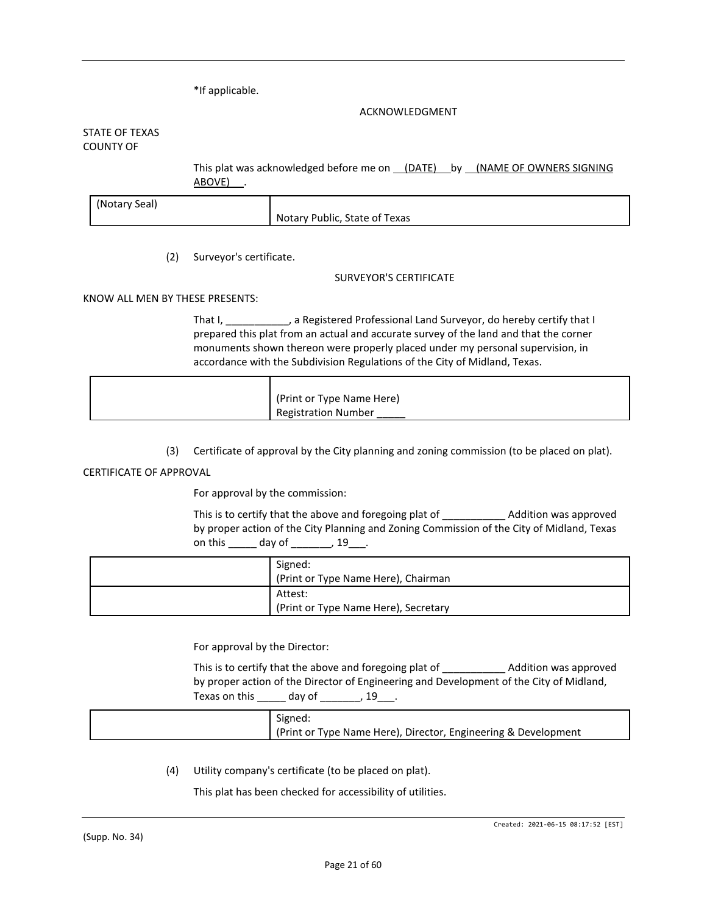\*If applicable.

#### ACKNOWLEDGMENT

#### STATE OF TEXAS COUNTY OF

This plat was acknowledged before me on (DATE) by (NAME OF OWNERS SIGNING ABOVE).

| (Notary Seal) |                               |
|---------------|-------------------------------|
|               | Notary Public, State of Texas |

(2) Surveyor's certificate.

#### SURVEYOR'S CERTIFICATE

#### KNOW ALL MEN BY THESE PRESENTS:

That I, \_\_\_\_\_\_\_\_\_\_\_, a Registered Professional Land Surveyor, do hereby certify that I prepared this plat from an actual and accurate survey of the land and that the corner monuments shown thereon were properly placed under my personal supervision, in accordance with the Subdivision Regulations of the City of Midland, Texas.

| (Print or Type Name Here)  |
|----------------------------|
| <b>Registration Number</b> |

(3) Certificate of approval by the City planning and zoning commission (to be placed on plat).

#### CERTIFICATE OF APPROVAL

For approval by the commission:

This is to certify that the above and foregoing plat of \_\_\_\_\_\_\_\_\_\_\_ Addition was approved by proper action of the City Planning and Zoning Commission of the City of Midland, Texas on this \_\_\_\_\_\_ day of \_\_\_\_\_\_\_, 19\_\_\_.

| Signed:                              |
|--------------------------------------|
| (Print or Type Name Here), Chairman  |
| Attest:                              |
| (Print or Type Name Here), Secretary |

For approval by the Director:

This is to certify that the above and foregoing plat of \_\_\_\_\_\_\_\_\_\_\_ Addition was approved by proper action of the Director of Engineering and Development of the City of Midland, Texas on this  $\_\_\_\_$  day of  $\_\_\_\_\_$  19 $\_\_\_\$ .

(4) Utility company's certificate (to be placed on plat).

This plat has been checked for accessibility of utilities.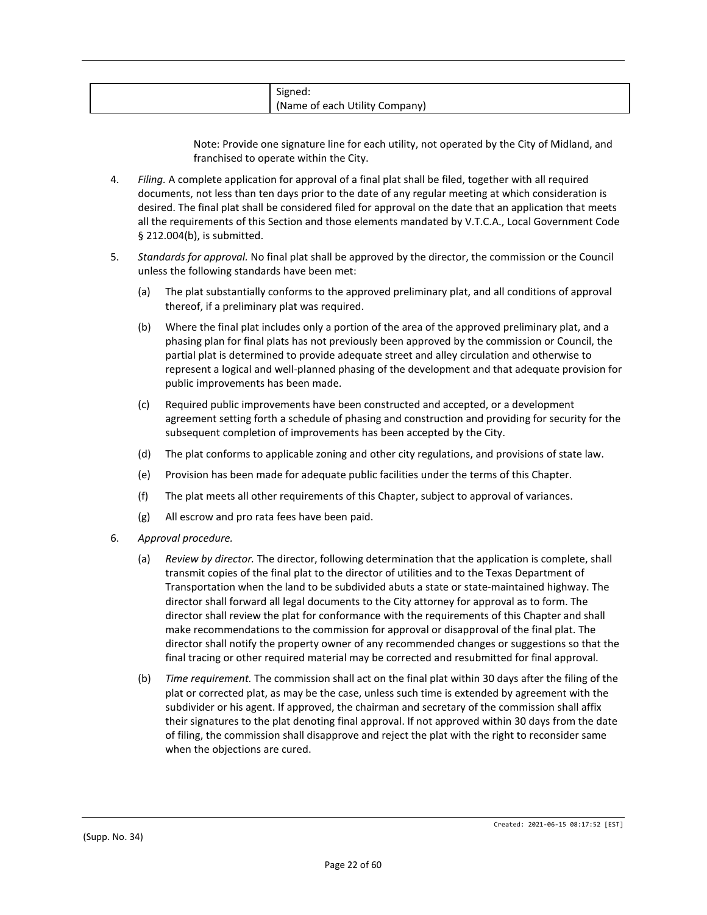| (Name of each)<br>Company)<br>`Utilit\<br>$\mathbf{v}$ |
|--------------------------------------------------------|
|--------------------------------------------------------|

Note: Provide one signature line for each utility, not operated by the City of Midland, and franchised to operate within the City.

- 4. *Filing.* A complete application for approval of a final plat shall be filed, together with all required documents, not less than ten days prior to the date of any regular meeting at which consideration is desired. The final plat shall be considered filed for approval on the date that an application that meets all the requirements of this Section and those elements mandated by V.T.C.A., Local Government Code § 212.004(b), is submitted.
- 5. *Standards for approval.* No final plat shall be approved by the director, the commission or the Council unless the following standards have been met:
	- (a) The plat substantially conforms to the approved preliminary plat, and all conditions of approval thereof, if a preliminary plat was required.
	- (b) Where the final plat includes only a portion of the area of the approved preliminary plat, and a phasing plan for final plats has not previously been approved by the commission or Council, the partial plat is determined to provide adequate street and alley circulation and otherwise to represent a logical and well-planned phasing of the development and that adequate provision for public improvements has been made.
	- (c) Required public improvements have been constructed and accepted, or a development agreement setting forth a schedule of phasing and construction and providing for security for the subsequent completion of improvements has been accepted by the City.
	- (d) The plat conforms to applicable zoning and other city regulations, and provisions of state law.
	- (e) Provision has been made for adequate public facilities under the terms of this Chapter.
	- (f) The plat meets all other requirements of this Chapter, subject to approval of variances.
	- (g) All escrow and pro rata fees have been paid.
- 6. *Approval procedure.*
	- (a) *Review by director.* The director, following determination that the application is complete, shall transmit copies of the final plat to the director of utilities and to the Texas Department of Transportation when the land to be subdivided abuts a state or state-maintained highway. The director shall forward all legal documents to the City attorney for approval as to form. The director shall review the plat for conformance with the requirements of this Chapter and shall make recommendations to the commission for approval or disapproval of the final plat. The director shall notify the property owner of any recommended changes or suggestions so that the final tracing or other required material may be corrected and resubmitted for final approval.
	- (b) *Time requirement.* The commission shall act on the final plat within 30 days after the filing of the plat or corrected plat, as may be the case, unless such time is extended by agreement with the subdivider or his agent. If approved, the chairman and secretary of the commission shall affix their signatures to the plat denoting final approval. If not approved within 30 days from the date of filing, the commission shall disapprove and reject the plat with the right to reconsider same when the objections are cured.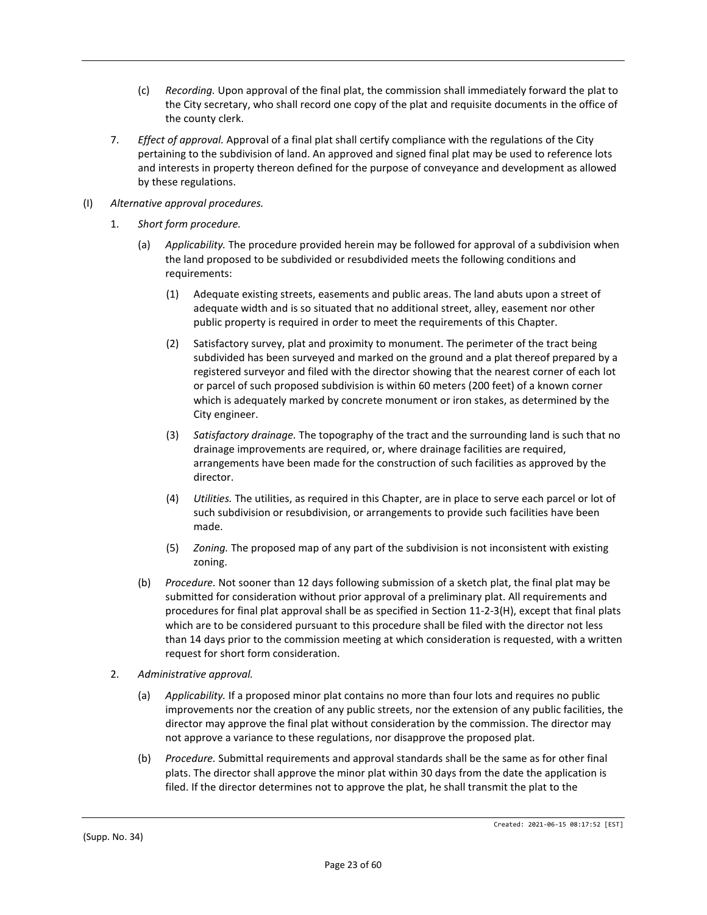- (c) *Recording.* Upon approval of the final plat, the commission shall immediately forward the plat to the City secretary, who shall record one copy of the plat and requisite documents in the office of the county clerk.
- 7. *Effect of approval.* Approval of a final plat shall certify compliance with the regulations of the City pertaining to the subdivision of land. An approved and signed final plat may be used to reference lots and interests in property thereon defined for the purpose of conveyance and development as allowed by these regulations.
- (I) *Alternative approval procedures.*
	- 1. *Short form procedure.*
		- (a) *Applicability.* The procedure provided herein may be followed for approval of a subdivision when the land proposed to be subdivided or resubdivided meets the following conditions and requirements:
			- (1) Adequate existing streets, easements and public areas. The land abuts upon a street of adequate width and is so situated that no additional street, alley, easement nor other public property is required in order to meet the requirements of this Chapter.
			- (2) Satisfactory survey, plat and proximity to monument. The perimeter of the tract being subdivided has been surveyed and marked on the ground and a plat thereof prepared by a registered surveyor and filed with the director showing that the nearest corner of each lot or parcel of such proposed subdivision is within 60 meters (200 feet) of a known corner which is adequately marked by concrete monument or iron stakes, as determined by the City engineer.
			- (3) *Satisfactory drainage.* The topography of the tract and the surrounding land is such that no drainage improvements are required, or, where drainage facilities are required, arrangements have been made for the construction of such facilities as approved by the director.
			- (4) *Utilities.* The utilities, as required in this Chapter, are in place to serve each parcel or lot of such subdivision or resubdivision, or arrangements to provide such facilities have been made.
			- (5) *Zoning.* The proposed map of any part of the subdivision is not inconsistent with existing zoning.
		- (b) *Procedure.* Not sooner than 12 days following submission of a sketch plat, the final plat may be submitted for consideration without prior approval of a preliminary plat. All requirements and procedures for final plat approval shall be as specified in Section 11-2-3(H), except that final plats which are to be considered pursuant to this procedure shall be filed with the director not less than 14 days prior to the commission meeting at which consideration is requested, with a written request for short form consideration.
	- 2. *Administrative approval.*
		- (a) *Applicability.* If a proposed minor plat contains no more than four lots and requires no public improvements nor the creation of any public streets, nor the extension of any public facilities, the director may approve the final plat without consideration by the commission. The director may not approve a variance to these regulations, nor disapprove the proposed plat.
		- (b) *Procedure.* Submittal requirements and approval standards shall be the same as for other final plats. The director shall approve the minor plat within 30 days from the date the application is filed. If the director determines not to approve the plat, he shall transmit the plat to the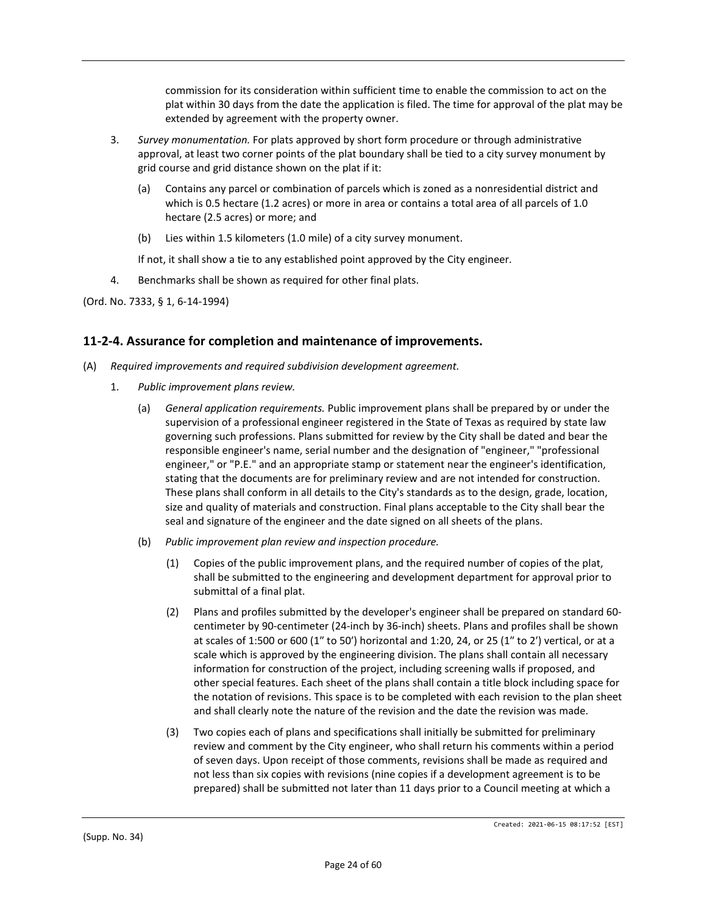commission for its consideration within sufficient time to enable the commission to act on the plat within 30 days from the date the application is filed. The time for approval of the plat may be extended by agreement with the property owner.

- 3. *Survey monumentation.* For plats approved by short form procedure or through administrative approval, at least two corner points of the plat boundary shall be tied to a city survey monument by grid course and grid distance shown on the plat if it:
	- (a) Contains any parcel or combination of parcels which is zoned as a nonresidential district and which is 0.5 hectare (1.2 acres) or more in area or contains a total area of all parcels of 1.0 hectare (2.5 acres) or more; and
	- (b) Lies within 1.5 kilometers (1.0 mile) of a city survey monument.

If not, it shall show a tie to any established point approved by the City engineer.

4. Benchmarks shall be shown as required for other final plats.

(Ord. No. 7333, § 1, 6-14-1994)

# **11-2-4. Assurance for completion and maintenance of improvements.**

- (A) *Required improvements and required subdivision development agreement.*
	- 1. *Public improvement plans review.*
		- (a) *General application requirements.* Public improvement plans shall be prepared by or under the supervision of a professional engineer registered in the State of Texas as required by state law governing such professions. Plans submitted for review by the City shall be dated and bear the responsible engineer's name, serial number and the designation of "engineer," "professional engineer," or "P.E." and an appropriate stamp or statement near the engineer's identification, stating that the documents are for preliminary review and are not intended for construction. These plans shall conform in all details to the City's standards as to the design, grade, location, size and quality of materials and construction. Final plans acceptable to the City shall bear the seal and signature of the engineer and the date signed on all sheets of the plans.
		- (b) *Public improvement plan review and inspection procedure.*
			- (1) Copies of the public improvement plans, and the required number of copies of the plat, shall be submitted to the engineering and development department for approval prior to submittal of a final plat.
			- (2) Plans and profiles submitted by the developer's engineer shall be prepared on standard 60 centimeter by 90-centimeter (24-inch by 36-inch) sheets. Plans and profiles shall be shown at scales of 1:500 or 600 (1″ to 50′) horizontal and 1:20, 24, or 25 (1″ to 2′) vertical, or at a scale which is approved by the engineering division. The plans shall contain all necessary information for construction of the project, including screening walls if proposed, and other special features. Each sheet of the plans shall contain a title block including space for the notation of revisions. This space is to be completed with each revision to the plan sheet and shall clearly note the nature of the revision and the date the revision was made.
			- (3) Two copies each of plans and specifications shall initially be submitted for preliminary review and comment by the City engineer, who shall return his comments within a period of seven days. Upon receipt of those comments, revisions shall be made as required and not less than six copies with revisions (nine copies if a development agreement is to be prepared) shall be submitted not later than 11 days prior to a Council meeting at which a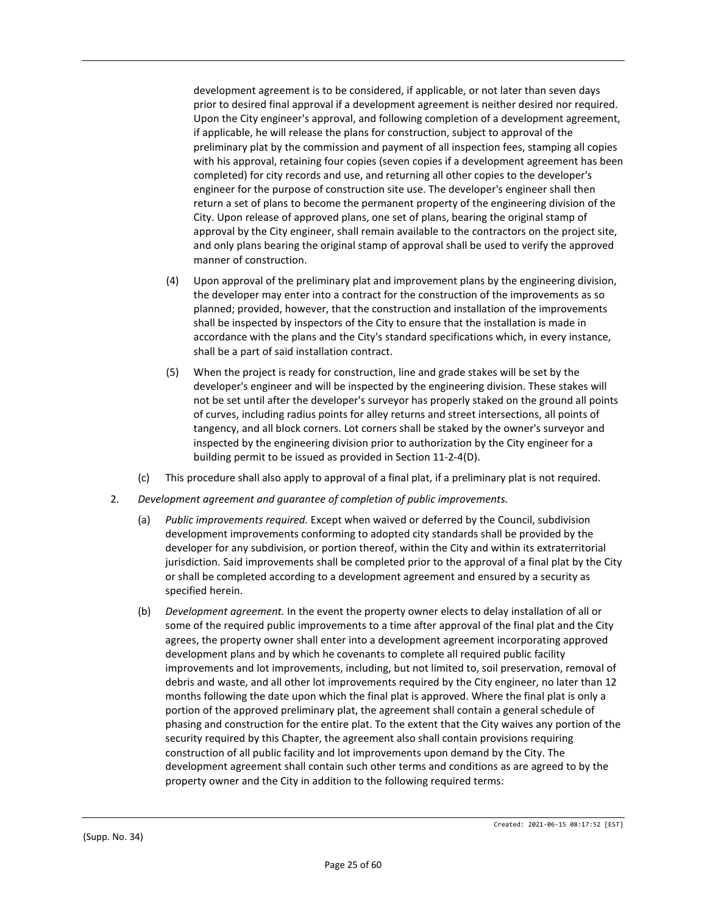development agreement is to be considered, if applicable, or not later than seven days prior to desired final approval if a development agreement is neither desired nor required. Upon the City engineer's approval, and following completion of a development agreement, if applicable, he will release the plans for construction, subject to approval of the preliminary plat by the commission and payment of all inspection fees, stamping all copies with his approval, retaining four copies (seven copies if a development agreement has been completed) for city records and use, and returning all other copies to the developer's engineer for the purpose of construction site use. The developer's engineer shall then return a set of plans to become the permanent property of the engineering division of the City. Upon release of approved plans, one set of plans, bearing the original stamp of approval by the City engineer, shall remain available to the contractors on the project site, and only plans bearing the original stamp of approval shall be used to verify the approved manner of construction.

- (4) Upon approval of the preliminary plat and improvement plans by the engineering division, the developer may enter into a contract for the construction of the improvements as so planned; provided, however, that the construction and installation of the improvements shall be inspected by inspectors of the City to ensure that the installation is made in accordance with the plans and the City's standard specifications which, in every instance, shall be a part of said installation contract.
- (5) When the project is ready for construction, line and grade stakes will be set by the developer's engineer and will be inspected by the engineering division. These stakes will not be set until after the developer's surveyor has properly staked on the ground all points of curves, including radius points for alley returns and street intersections, all points of tangency, and all block corners. Lot corners shall be staked by the owner's surveyor and inspected by the engineering division prior to authorization by the City engineer for a building permit to be issued as provided in Section 11-2-4(D).
- (c) This procedure shall also apply to approval of a final plat, if a preliminary plat is not required.
- 2. *Development agreement and guarantee of completion of public improvements.*
	- (a) *Public improvements required.* Except when waived or deferred by the Council, subdivision development improvements conforming to adopted city standards shall be provided by the developer for any subdivision, or portion thereof, within the City and within its extraterritorial jurisdiction. Said improvements shall be completed prior to the approval of a final plat by the City or shall be completed according to a development agreement and ensured by a security as specified herein.
	- (b) *Development agreement.* In the event the property owner elects to delay installation of all or some of the required public improvements to a time after approval of the final plat and the City agrees, the property owner shall enter into a development agreement incorporating approved development plans and by which he covenants to complete all required public facility improvements and lot improvements, including, but not limited to, soil preservation, removal of debris and waste, and all other lot improvements required by the City engineer, no later than 12 months following the date upon which the final plat is approved. Where the final plat is only a portion of the approved preliminary plat, the agreement shall contain a general schedule of phasing and construction for the entire plat. To the extent that the City waives any portion of the security required by this Chapter, the agreement also shall contain provisions requiring construction of all public facility and lot improvements upon demand by the City. The development agreement shall contain such other terms and conditions as are agreed to by the property owner and the City in addition to the following required terms: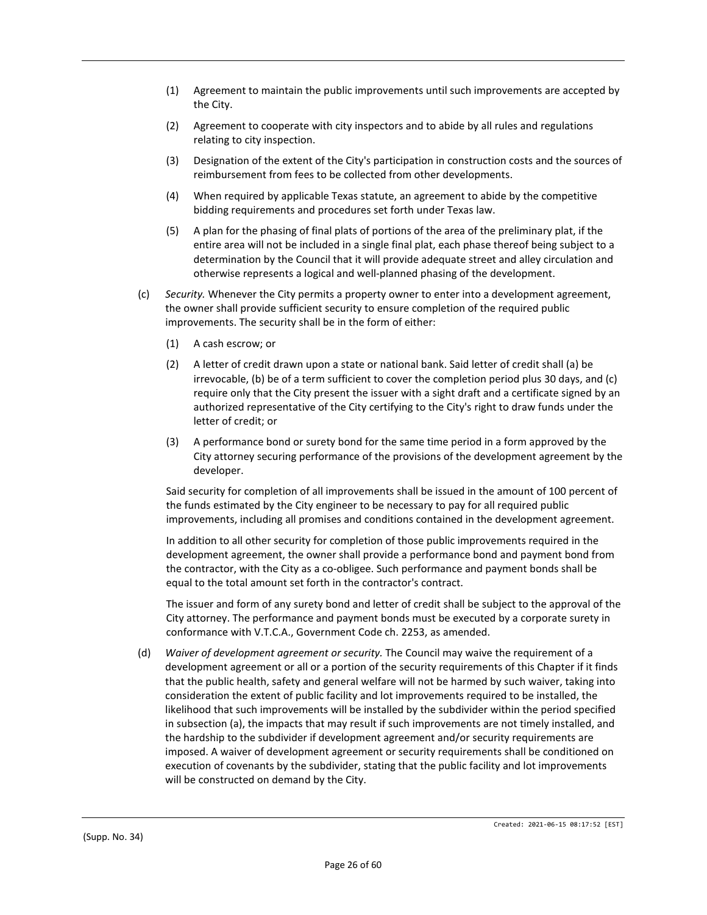- (1) Agreement to maintain the public improvements until such improvements are accepted by the City.
- (2) Agreement to cooperate with city inspectors and to abide by all rules and regulations relating to city inspection.
- (3) Designation of the extent of the City's participation in construction costs and the sources of reimbursement from fees to be collected from other developments.
- (4) When required by applicable Texas statute, an agreement to abide by the competitive bidding requirements and procedures set forth under Texas law.
- (5) A plan for the phasing of final plats of portions of the area of the preliminary plat, if the entire area will not be included in a single final plat, each phase thereof being subject to a determination by the Council that it will provide adequate street and alley circulation and otherwise represents a logical and well-planned phasing of the development.
- (c) *Security.* Whenever the City permits a property owner to enter into a development agreement, the owner shall provide sufficient security to ensure completion of the required public improvements. The security shall be in the form of either:
	- (1) A cash escrow; or
	- (2) A letter of credit drawn upon a state or national bank. Said letter of credit shall (a) be irrevocable, (b) be of a term sufficient to cover the completion period plus 30 days, and (c) require only that the City present the issuer with a sight draft and a certificate signed by an authorized representative of the City certifying to the City's right to draw funds under the letter of credit; or
	- (3) A performance bond or surety bond for the same time period in a form approved by the City attorney securing performance of the provisions of the development agreement by the developer.

Said security for completion of all improvements shall be issued in the amount of 100 percent of the funds estimated by the City engineer to be necessary to pay for all required public improvements, including all promises and conditions contained in the development agreement.

In addition to all other security for completion of those public improvements required in the development agreement, the owner shall provide a performance bond and payment bond from the contractor, with the City as a co-obligee. Such performance and payment bonds shall be equal to the total amount set forth in the contractor's contract.

The issuer and form of any surety bond and letter of credit shall be subject to the approval of the City attorney. The performance and payment bonds must be executed by a corporate surety in conformance with V.T.C.A., Government Code ch. 2253, as amended.

(d) *Waiver of development agreement or security.* The Council may waive the requirement of a development agreement or all or a portion of the security requirements of this Chapter if it finds that the public health, safety and general welfare will not be harmed by such waiver, taking into consideration the extent of public facility and lot improvements required to be installed, the likelihood that such improvements will be installed by the subdivider within the period specified in subsection (a), the impacts that may result if such improvements are not timely installed, and the hardship to the subdivider if development agreement and/or security requirements are imposed. A waiver of development agreement or security requirements shall be conditioned on execution of covenants by the subdivider, stating that the public facility and lot improvements will be constructed on demand by the City.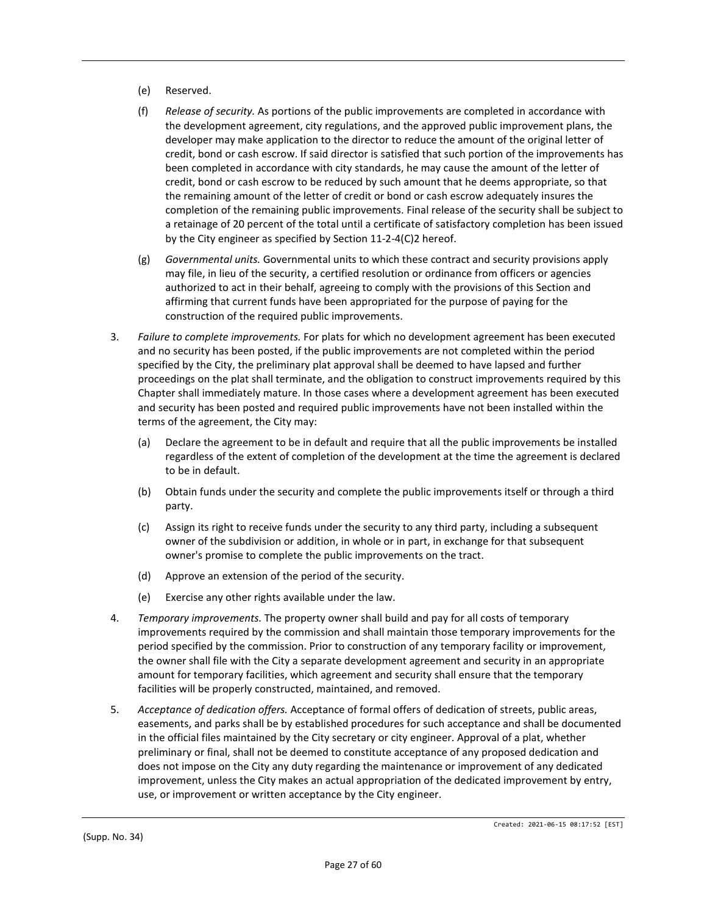- (e) Reserved.
- (f) *Release of security.* As portions of the public improvements are completed in accordance with the development agreement, city regulations, and the approved public improvement plans, the developer may make application to the director to reduce the amount of the original letter of credit, bond or cash escrow. If said director is satisfied that such portion of the improvements has been completed in accordance with city standards, he may cause the amount of the letter of credit, bond or cash escrow to be reduced by such amount that he deems appropriate, so that the remaining amount of the letter of credit or bond or cash escrow adequately insures the completion of the remaining public improvements. Final release of the security shall be subject to a retainage of 20 percent of the total until a certificate of satisfactory completion has been issued by the City engineer as specified by Section 11-2-4(C)2 hereof.
- (g) *Governmental units.* Governmental units to which these contract and security provisions apply may file, in lieu of the security, a certified resolution or ordinance from officers or agencies authorized to act in their behalf, agreeing to comply with the provisions of this Section and affirming that current funds have been appropriated for the purpose of paying for the construction of the required public improvements.
- 3. *Failure to complete improvements.* For plats for which no development agreement has been executed and no security has been posted, if the public improvements are not completed within the period specified by the City, the preliminary plat approval shall be deemed to have lapsed and further proceedings on the plat shall terminate, and the obligation to construct improvements required by this Chapter shall immediately mature. In those cases where a development agreement has been executed and security has been posted and required public improvements have not been installed within the terms of the agreement, the City may:
	- (a) Declare the agreement to be in default and require that all the public improvements be installed regardless of the extent of completion of the development at the time the agreement is declared to be in default.
	- (b) Obtain funds under the security and complete the public improvements itself or through a third party.
	- (c) Assign its right to receive funds under the security to any third party, including a subsequent owner of the subdivision or addition, in whole or in part, in exchange for that subsequent owner's promise to complete the public improvements on the tract.
	- (d) Approve an extension of the period of the security.
	- (e) Exercise any other rights available under the law.
- 4. *Temporary improvements.* The property owner shall build and pay for all costs of temporary improvements required by the commission and shall maintain those temporary improvements for the period specified by the commission. Prior to construction of any temporary facility or improvement, the owner shall file with the City a separate development agreement and security in an appropriate amount for temporary facilities, which agreement and security shall ensure that the temporary facilities will be properly constructed, maintained, and removed.
- 5. *Acceptance of dedication offers.* Acceptance of formal offers of dedication of streets, public areas, easements, and parks shall be by established procedures for such acceptance and shall be documented in the official files maintained by the City secretary or city engineer. Approval of a plat, whether preliminary or final, shall not be deemed to constitute acceptance of any proposed dedication and does not impose on the City any duty regarding the maintenance or improvement of any dedicated improvement, unless the City makes an actual appropriation of the dedicated improvement by entry, use, or improvement or written acceptance by the City engineer.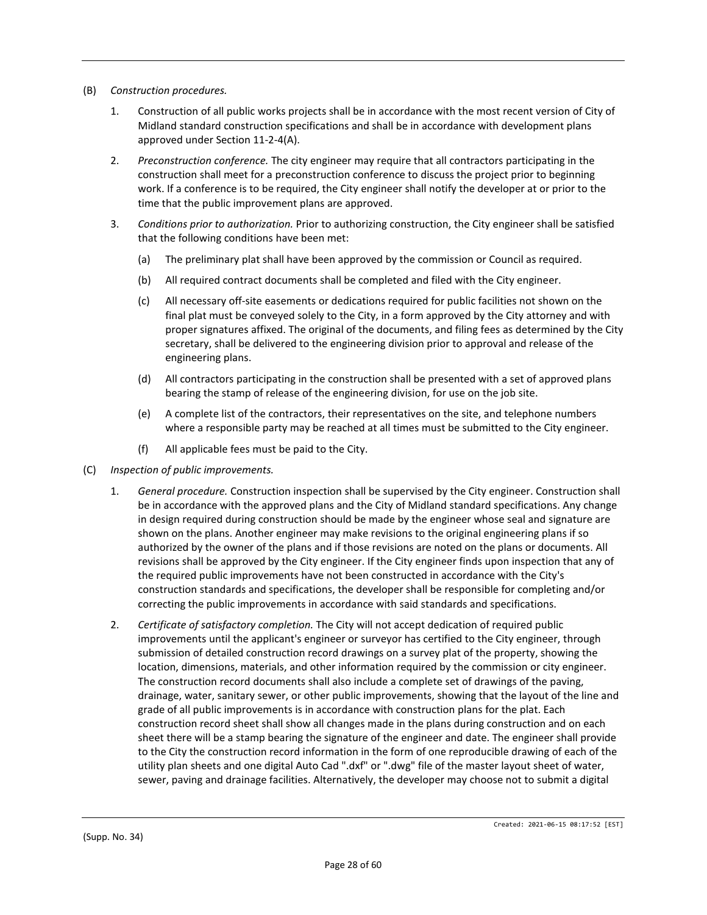- (B) *Construction procedures.*
	- 1. Construction of all public works projects shall be in accordance with the most recent version of City of Midland standard construction specifications and shall be in accordance with development plans approved under Section 11-2-4(A).
	- 2. *Preconstruction conference.* The city engineer may require that all contractors participating in the construction shall meet for a preconstruction conference to discuss the project prior to beginning work. If a conference is to be required, the City engineer shall notify the developer at or prior to the time that the public improvement plans are approved.
	- 3. *Conditions prior to authorization.* Prior to authorizing construction, the City engineer shall be satisfied that the following conditions have been met:
		- (a) The preliminary plat shall have been approved by the commission or Council as required.
		- (b) All required contract documents shall be completed and filed with the City engineer.
		- (c) All necessary off-site easements or dedications required for public facilities not shown on the final plat must be conveyed solely to the City, in a form approved by the City attorney and with proper signatures affixed. The original of the documents, and filing fees as determined by the City secretary, shall be delivered to the engineering division prior to approval and release of the engineering plans.
		- (d) All contractors participating in the construction shall be presented with a set of approved plans bearing the stamp of release of the engineering division, for use on the job site.
		- (e) A complete list of the contractors, their representatives on the site, and telephone numbers where a responsible party may be reached at all times must be submitted to the City engineer.
		- (f) All applicable fees must be paid to the City.
- (C) *Inspection of public improvements.*
	- 1. *General procedure.* Construction inspection shall be supervised by the City engineer. Construction shall be in accordance with the approved plans and the City of Midland standard specifications. Any change in design required during construction should be made by the engineer whose seal and signature are shown on the plans. Another engineer may make revisions to the original engineering plans if so authorized by the owner of the plans and if those revisions are noted on the plans or documents. All revisions shall be approved by the City engineer. If the City engineer finds upon inspection that any of the required public improvements have not been constructed in accordance with the City's construction standards and specifications, the developer shall be responsible for completing and/or correcting the public improvements in accordance with said standards and specifications.
	- 2. *Certificate of satisfactory completion.* The City will not accept dedication of required public improvements until the applicant's engineer or surveyor has certified to the City engineer, through submission of detailed construction record drawings on a survey plat of the property, showing the location, dimensions, materials, and other information required by the commission or city engineer. The construction record documents shall also include a complete set of drawings of the paving, drainage, water, sanitary sewer, or other public improvements, showing that the layout of the line and grade of all public improvements is in accordance with construction plans for the plat. Each construction record sheet shall show all changes made in the plans during construction and on each sheet there will be a stamp bearing the signature of the engineer and date. The engineer shall provide to the City the construction record information in the form of one reproducible drawing of each of the utility plan sheets and one digital Auto Cad ".dxf" or ".dwg" file of the master layout sheet of water, sewer, paving and drainage facilities. Alternatively, the developer may choose not to submit a digital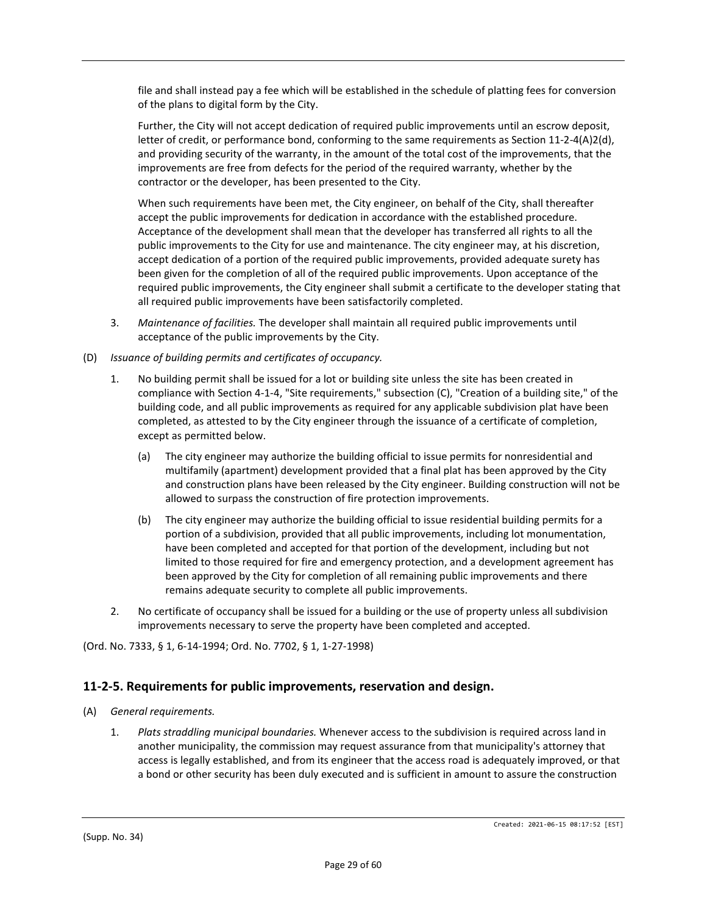file and shall instead pay a fee which will be established in the schedule of platting fees for conversion of the plans to digital form by the City.

Further, the City will not accept dedication of required public improvements until an escrow deposit, letter of credit, or performance bond, conforming to the same requirements as Section 11-2-4(A)2(d), and providing security of the warranty, in the amount of the total cost of the improvements, that the improvements are free from defects for the period of the required warranty, whether by the contractor or the developer, has been presented to the City.

When such requirements have been met, the City engineer, on behalf of the City, shall thereafter accept the public improvements for dedication in accordance with the established procedure. Acceptance of the development shall mean that the developer has transferred all rights to all the public improvements to the City for use and maintenance. The city engineer may, at his discretion, accept dedication of a portion of the required public improvements, provided adequate surety has been given for the completion of all of the required public improvements. Upon acceptance of the required public improvements, the City engineer shall submit a certificate to the developer stating that all required public improvements have been satisfactorily completed.

- 3. *Maintenance of facilities.* The developer shall maintain all required public improvements until acceptance of the public improvements by the City.
- (D) *Issuance of building permits and certificates of occupancy.*
	- 1. No building permit shall be issued for a lot or building site unless the site has been created in compliance with Section 4-1-4, "Site requirements," subsection (C), "Creation of a building site," of the building code, and all public improvements as required for any applicable subdivision plat have been completed, as attested to by the City engineer through the issuance of a certificate of completion, except as permitted below.
		- (a) The city engineer may authorize the building official to issue permits for nonresidential and multifamily (apartment) development provided that a final plat has been approved by the City and construction plans have been released by the City engineer. Building construction will not be allowed to surpass the construction of fire protection improvements.
		- (b) The city engineer may authorize the building official to issue residential building permits for a portion of a subdivision, provided that all public improvements, including lot monumentation, have been completed and accepted for that portion of the development, including but not limited to those required for fire and emergency protection, and a development agreement has been approved by the City for completion of all remaining public improvements and there remains adequate security to complete all public improvements.
	- 2. No certificate of occupancy shall be issued for a building or the use of property unless all subdivision improvements necessary to serve the property have been completed and accepted.

(Ord. No. 7333, § 1, 6-14-1994; Ord. No. 7702, § 1, 1-27-1998)

## **11-2-5. Requirements for public improvements, reservation and design.**

- (A) *General requirements.*
	- 1. *Plats straddling municipal boundaries.* Whenever access to the subdivision is required across land in another municipality, the commission may request assurance from that municipality's attorney that access is legally established, and from its engineer that the access road is adequately improved, or that a bond or other security has been duly executed and is sufficient in amount to assure the construction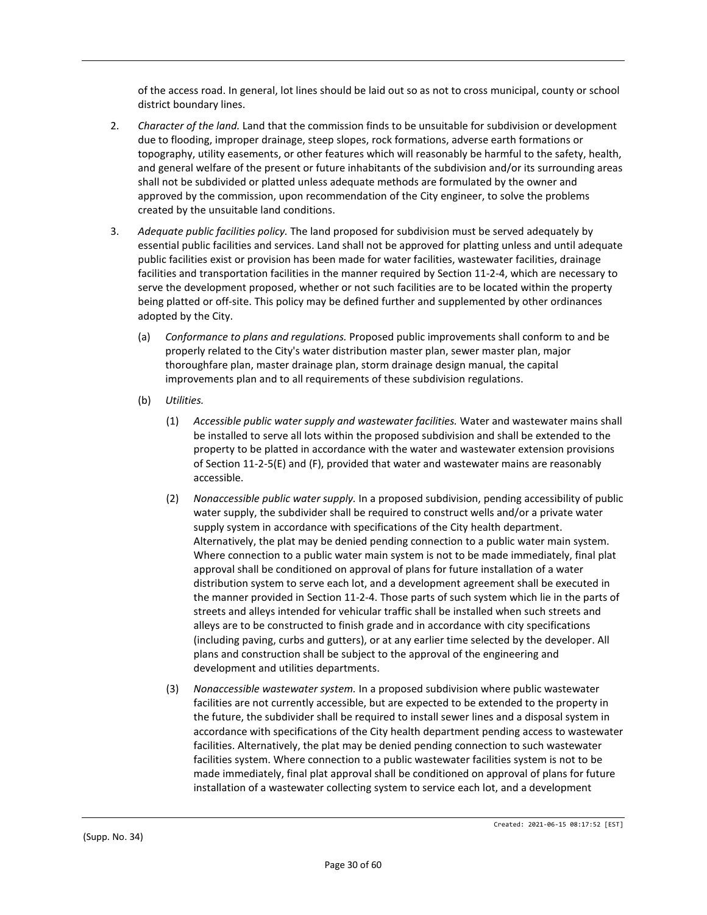of the access road. In general, lot lines should be laid out so as not to cross municipal, county or school district boundary lines.

- 2. *Character of the land.* Land that the commission finds to be unsuitable for subdivision or development due to flooding, improper drainage, steep slopes, rock formations, adverse earth formations or topography, utility easements, or other features which will reasonably be harmful to the safety, health, and general welfare of the present or future inhabitants of the subdivision and/or its surrounding areas shall not be subdivided or platted unless adequate methods are formulated by the owner and approved by the commission, upon recommendation of the City engineer, to solve the problems created by the unsuitable land conditions.
- 3. *Adequate public facilities policy.* The land proposed for subdivision must be served adequately by essential public facilities and services. Land shall not be approved for platting unless and until adequate public facilities exist or provision has been made for water facilities, wastewater facilities, drainage facilities and transportation facilities in the manner required by Section 11-2-4, which are necessary to serve the development proposed, whether or not such facilities are to be located within the property being platted or off-site. This policy may be defined further and supplemented by other ordinances adopted by the City.
	- (a) *Conformance to plans and regulations.* Proposed public improvements shall conform to and be properly related to the City's water distribution master plan, sewer master plan, major thoroughfare plan, master drainage plan, storm drainage design manual, the capital improvements plan and to all requirements of these subdivision regulations.
	- (b) *Utilities.*
		- (1) *Accessible public water supply and wastewater facilities.* Water and wastewater mains shall be installed to serve all lots within the proposed subdivision and shall be extended to the property to be platted in accordance with the water and wastewater extension provisions of Section 11-2-5(E) and (F), provided that water and wastewater mains are reasonably accessible.
		- (2) *Nonaccessible public water supply.* In a proposed subdivision, pending accessibility of public water supply, the subdivider shall be required to construct wells and/or a private water supply system in accordance with specifications of the City health department. Alternatively, the plat may be denied pending connection to a public water main system. Where connection to a public water main system is not to be made immediately, final plat approval shall be conditioned on approval of plans for future installation of a water distribution system to serve each lot, and a development agreement shall be executed in the manner provided in Section 11-2-4. Those parts of such system which lie in the parts of streets and alleys intended for vehicular traffic shall be installed when such streets and alleys are to be constructed to finish grade and in accordance with city specifications (including paving, curbs and gutters), or at any earlier time selected by the developer. All plans and construction shall be subject to the approval of the engineering and development and utilities departments.
		- (3) *Nonaccessible wastewater system.* In a proposed subdivision where public wastewater facilities are not currently accessible, but are expected to be extended to the property in the future, the subdivider shall be required to install sewer lines and a disposal system in accordance with specifications of the City health department pending access to wastewater facilities. Alternatively, the plat may be denied pending connection to such wastewater facilities system. Where connection to a public wastewater facilities system is not to be made immediately, final plat approval shall be conditioned on approval of plans for future installation of a wastewater collecting system to service each lot, and a development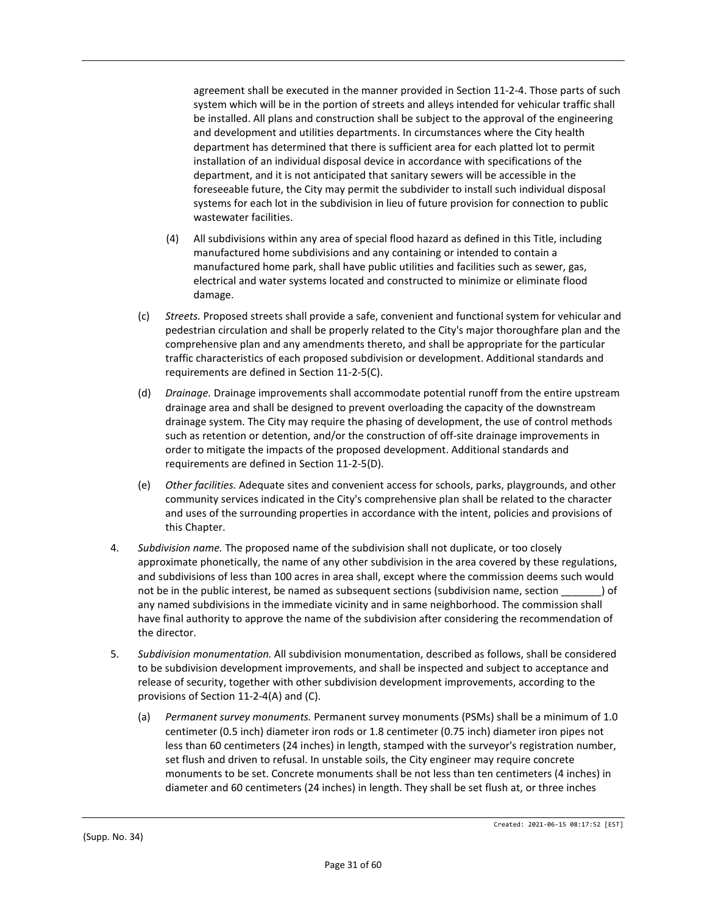agreement shall be executed in the manner provided in Section 11-2-4. Those parts of such system which will be in the portion of streets and alleys intended for vehicular traffic shall be installed. All plans and construction shall be subject to the approval of the engineering and development and utilities departments. In circumstances where the City health department has determined that there is sufficient area for each platted lot to permit installation of an individual disposal device in accordance with specifications of the department, and it is not anticipated that sanitary sewers will be accessible in the foreseeable future, the City may permit the subdivider to install such individual disposal systems for each lot in the subdivision in lieu of future provision for connection to public wastewater facilities.

- (4) All subdivisions within any area of special flood hazard as defined in this Title, including manufactured home subdivisions and any containing or intended to contain a manufactured home park, shall have public utilities and facilities such as sewer, gas, electrical and water systems located and constructed to minimize or eliminate flood damage.
- (c) *Streets.* Proposed streets shall provide a safe, convenient and functional system for vehicular and pedestrian circulation and shall be properly related to the City's major thoroughfare plan and the comprehensive plan and any amendments thereto, and shall be appropriate for the particular traffic characteristics of each proposed subdivision or development. Additional standards and requirements are defined in Section 11-2-5(C).
- (d) *Drainage.* Drainage improvements shall accommodate potential runoff from the entire upstream drainage area and shall be designed to prevent overloading the capacity of the downstream drainage system. The City may require the phasing of development, the use of control methods such as retention or detention, and/or the construction of off-site drainage improvements in order to mitigate the impacts of the proposed development. Additional standards and requirements are defined in Section 11-2-5(D).
- (e) *Other facilities.* Adequate sites and convenient access for schools, parks, playgrounds, and other community services indicated in the City's comprehensive plan shall be related to the character and uses of the surrounding properties in accordance with the intent, policies and provisions of this Chapter.
- 4. *Subdivision name.* The proposed name of the subdivision shall not duplicate, or too closely approximate phonetically, the name of any other subdivision in the area covered by these regulations, and subdivisions of less than 100 acres in area shall, except where the commission deems such would not be in the public interest, be named as subsequent sections (subdivision name, section \_\_\_\_\_\_\_) of any named subdivisions in the immediate vicinity and in same neighborhood. The commission shall have final authority to approve the name of the subdivision after considering the recommendation of the director.
- 5. *Subdivision monumentation.* All subdivision monumentation, described as follows, shall be considered to be subdivision development improvements, and shall be inspected and subject to acceptance and release of security, together with other subdivision development improvements, according to the provisions of Section 11-2-4(A) and (C).
	- (a) *Permanent survey monuments.* Permanent survey monuments (PSMs) shall be a minimum of 1.0 centimeter (0.5 inch) diameter iron rods or 1.8 centimeter (0.75 inch) diameter iron pipes not less than 60 centimeters (24 inches) in length, stamped with the surveyor's registration number, set flush and driven to refusal. In unstable soils, the City engineer may require concrete monuments to be set. Concrete monuments shall be not less than ten centimeters (4 inches) in diameter and 60 centimeters (24 inches) in length. They shall be set flush at, or three inches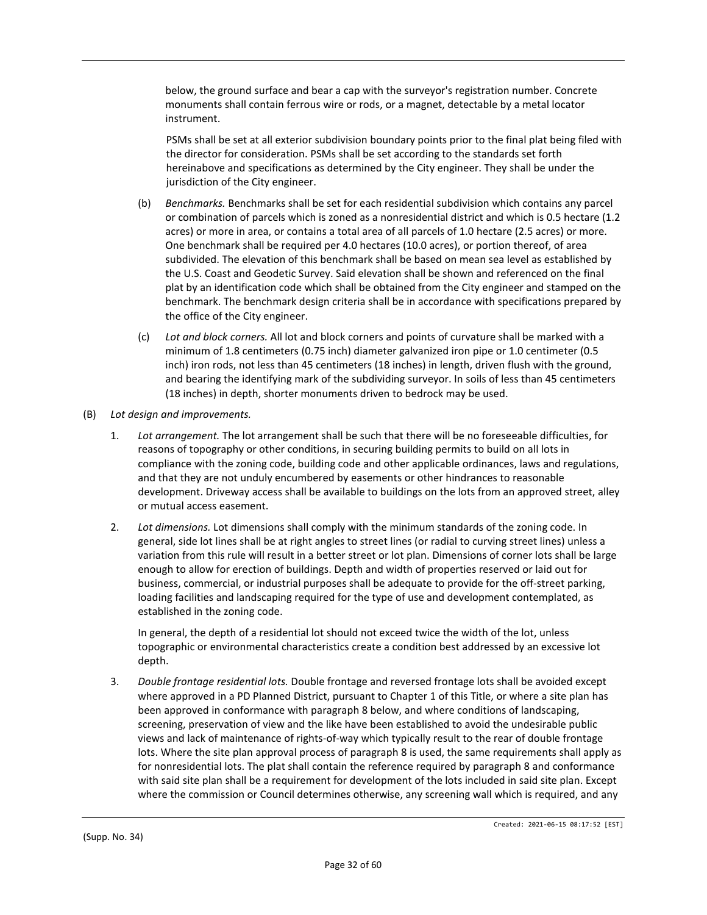below, the ground surface and bear a cap with the surveyor's registration number. Concrete monuments shall contain ferrous wire or rods, or a magnet, detectable by a metal locator instrument.

PSMs shall be set at all exterior subdivision boundary points prior to the final plat being filed with the director for consideration. PSMs shall be set according to the standards set forth hereinabove and specifications as determined by the City engineer. They shall be under the jurisdiction of the City engineer.

- (b) *Benchmarks.* Benchmarks shall be set for each residential subdivision which contains any parcel or combination of parcels which is zoned as a nonresidential district and which is 0.5 hectare (1.2 acres) or more in area, or contains a total area of all parcels of 1.0 hectare (2.5 acres) or more. One benchmark shall be required per 4.0 hectares (10.0 acres), or portion thereof, of area subdivided. The elevation of this benchmark shall be based on mean sea level as established by the U.S. Coast and Geodetic Survey. Said elevation shall be shown and referenced on the final plat by an identification code which shall be obtained from the City engineer and stamped on the benchmark. The benchmark design criteria shall be in accordance with specifications prepared by the office of the City engineer.
- (c) *Lot and block corners.* All lot and block corners and points of curvature shall be marked with a minimum of 1.8 centimeters (0.75 inch) diameter galvanized iron pipe or 1.0 centimeter (0.5 inch) iron rods, not less than 45 centimeters (18 inches) in length, driven flush with the ground, and bearing the identifying mark of the subdividing surveyor. In soils of less than 45 centimeters (18 inches) in depth, shorter monuments driven to bedrock may be used.
- (B) *Lot design and improvements.*
	- 1. *Lot arrangement.* The lot arrangement shall be such that there will be no foreseeable difficulties, for reasons of topography or other conditions, in securing building permits to build on all lots in compliance with the zoning code, building code and other applicable ordinances, laws and regulations, and that they are not unduly encumbered by easements or other hindrances to reasonable development. Driveway access shall be available to buildings on the lots from an approved street, alley or mutual access easement.
	- 2. *Lot dimensions.* Lot dimensions shall comply with the minimum standards of the zoning code. In general, side lot lines shall be at right angles to street lines (or radial to curving street lines) unless a variation from this rule will result in a better street or lot plan. Dimensions of corner lots shall be large enough to allow for erection of buildings. Depth and width of properties reserved or laid out for business, commercial, or industrial purposes shall be adequate to provide for the off-street parking, loading facilities and landscaping required for the type of use and development contemplated, as established in the zoning code.

In general, the depth of a residential lot should not exceed twice the width of the lot, unless topographic or environmental characteristics create a condition best addressed by an excessive lot depth.

3. *Double frontage residential lots.* Double frontage and reversed frontage lots shall be avoided except where approved in a PD Planned District, pursuant to Chapter 1 of this Title, or where a site plan has been approved in conformance with paragraph 8 below, and where conditions of landscaping, screening, preservation of view and the like have been established to avoid the undesirable public views and lack of maintenance of rights-of-way which typically result to the rear of double frontage lots. Where the site plan approval process of paragraph 8 is used, the same requirements shall apply as for nonresidential lots. The plat shall contain the reference required by paragraph 8 and conformance with said site plan shall be a requirement for development of the lots included in said site plan. Except where the commission or Council determines otherwise, any screening wall which is required, and any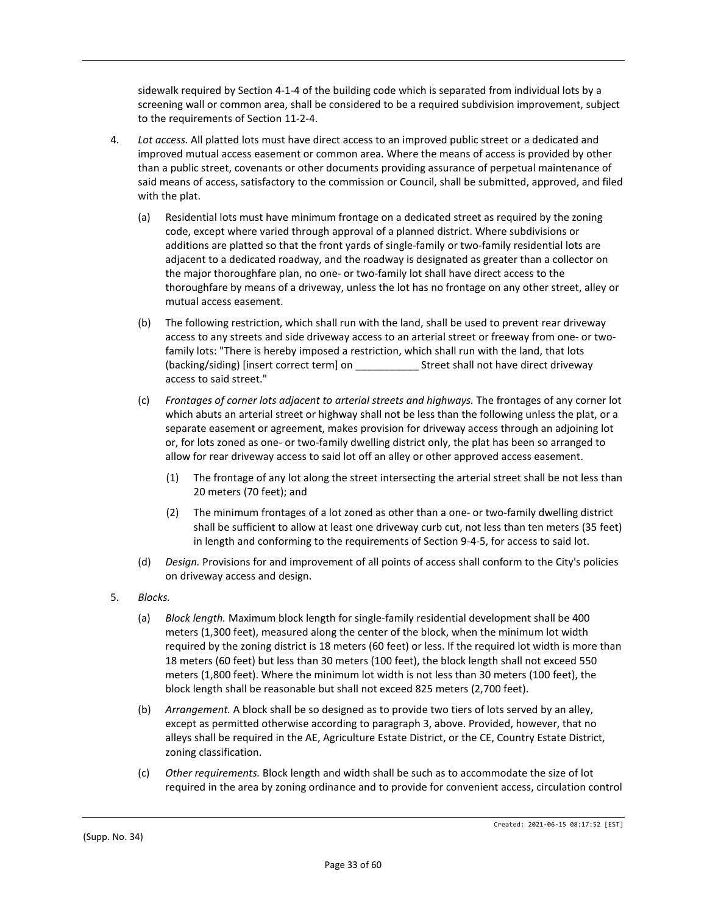sidewalk required by Section 4-1-4 of the building code which is separated from individual lots by a screening wall or common area, shall be considered to be a required subdivision improvement, subject to the requirements of Section 11-2-4.

- 4. *Lot access.* All platted lots must have direct access to an improved public street or a dedicated and improved mutual access easement or common area. Where the means of access is provided by other than a public street, covenants or other documents providing assurance of perpetual maintenance of said means of access, satisfactory to the commission or Council, shall be submitted, approved, and filed with the plat.
	- (a) Residential lots must have minimum frontage on a dedicated street as required by the zoning code, except where varied through approval of a planned district. Where subdivisions or additions are platted so that the front yards of single-family or two-family residential lots are adjacent to a dedicated roadway, and the roadway is designated as greater than a collector on the major thoroughfare plan, no one- or two-family lot shall have direct access to the thoroughfare by means of a driveway, unless the lot has no frontage on any other street, alley or mutual access easement.
	- (b) The following restriction, which shall run with the land, shall be used to prevent rear driveway access to any streets and side driveway access to an arterial street or freeway from one- or twofamily lots: "There is hereby imposed a restriction, which shall run with the land, that lots (backing/siding) [insert correct term] on **Exercise Street shall not have direct driveway** access to said street."
	- (c) *Frontages of corner lots adjacent to arterial streets and highways.* The frontages of any corner lot which abuts an arterial street or highway shall not be less than the following unless the plat, or a separate easement or agreement, makes provision for driveway access through an adjoining lot or, for lots zoned as one- or two-family dwelling district only, the plat has been so arranged to allow for rear driveway access to said lot off an alley or other approved access easement.
		- (1) The frontage of any lot along the street intersecting the arterial street shall be not less than 20 meters (70 feet); and
		- (2) The minimum frontages of a lot zoned as other than a one- or two-family dwelling district shall be sufficient to allow at least one driveway curb cut, not less than ten meters (35 feet) in length and conforming to the requirements of Section 9-4-5, for access to said lot.
	- (d) *Design.* Provisions for and improvement of all points of access shall conform to the City's policies on driveway access and design.
- 5. *Blocks.*
	- (a) *Block length.* Maximum block length for single-family residential development shall be 400 meters (1,300 feet), measured along the center of the block, when the minimum lot width required by the zoning district is 18 meters (60 feet) or less. If the required lot width is more than 18 meters (60 feet) but less than 30 meters (100 feet), the block length shall not exceed 550 meters (1,800 feet). Where the minimum lot width is not less than 30 meters (100 feet), the block length shall be reasonable but shall not exceed 825 meters (2,700 feet).
	- (b) *Arrangement.* A block shall be so designed as to provide two tiers of lots served by an alley, except as permitted otherwise according to paragraph 3, above. Provided, however, that no alleys shall be required in the AE, Agriculture Estate District, or the CE, Country Estate District, zoning classification.
	- (c) *Other requirements.* Block length and width shall be such as to accommodate the size of lot required in the area by zoning ordinance and to provide for convenient access, circulation control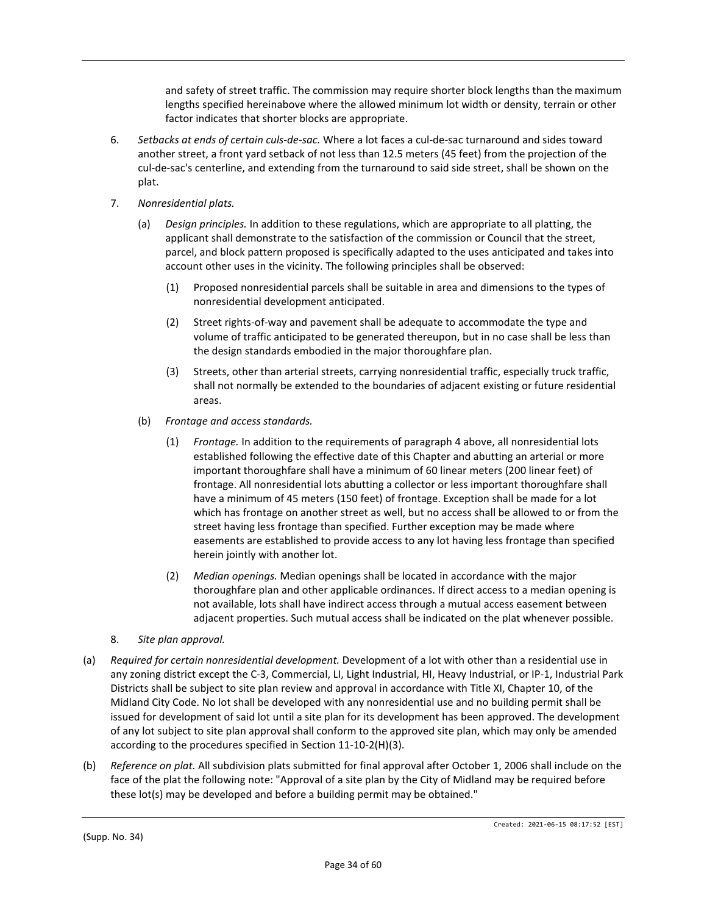and safety of street traffic. The commission may require shorter block lengths than the maximum lengths specified hereinabove where the allowed minimum lot width or density, terrain or other factor indicates that shorter blocks are appropriate.

- 6. *Setbacks at ends of certain culs-de-sac.* Where a lot faces a cul-de-sac turnaround and sides toward another street, a front yard setback of not less than 12.5 meters (45 feet) from the projection of the cul-de-sac's centerline, and extending from the turnaround to said side street, shall be shown on the plat.
- 7. *Nonresidential plats.*
	- (a) *Design principles.* In addition to these regulations, which are appropriate to all platting, the applicant shall demonstrate to the satisfaction of the commission or Council that the street, parcel, and block pattern proposed is specifically adapted to the uses anticipated and takes into account other uses in the vicinity. The following principles shall be observed:
		- (1) Proposed nonresidential parcels shall be suitable in area and dimensions to the types of nonresidential development anticipated.
		- (2) Street rights-of-way and pavement shall be adequate to accommodate the type and volume of traffic anticipated to be generated thereupon, but in no case shall be less than the design standards embodied in the major thoroughfare plan.
		- (3) Streets, other than arterial streets, carrying nonresidential traffic, especially truck traffic, shall not normally be extended to the boundaries of adjacent existing or future residential areas.
	- (b) *Frontage and access standards.*
		- (1) *Frontage.* In addition to the requirements of paragraph 4 above, all nonresidential lots established following the effective date of this Chapter and abutting an arterial or more important thoroughfare shall have a minimum of 60 linear meters (200 linear feet) of frontage. All nonresidential lots abutting a collector or less important thoroughfare shall have a minimum of 45 meters (150 feet) of frontage. Exception shall be made for a lot which has frontage on another street as well, but no access shall be allowed to or from the street having less frontage than specified. Further exception may be made where easements are established to provide access to any lot having less frontage than specified herein jointly with another lot.
		- (2) *Median openings.* Median openings shall be located in accordance with the major thoroughfare plan and other applicable ordinances. If direct access to a median opening is not available, lots shall have indirect access through a mutual access easement between adjacent properties. Such mutual access shall be indicated on the plat whenever possible.
- 8. *Site plan approval.*
- (a) *Required for certain nonresidential development.* Development of a lot with other than a residential use in any zoning district except the C-3, Commercial, LI, Light Industrial, HI, Heavy Industrial, or IP-1, Industrial Park Districts shall be subject to site plan review and approval in accordance with Title XI, Chapter 10, of the Midland City Code. No lot shall be developed with any nonresidential use and no building permit shall be issued for development of said lot until a site plan for its development has been approved. The development of any lot subject to site plan approval shall conform to the approved site plan, which may only be amended according to the procedures specified in Section 11-10-2(H)(3).
- (b) *Reference on plat.* All subdivision plats submitted for final approval after October 1, 2006 shall include on the face of the plat the following note: "Approval of a site plan by the City of Midland may be required before these lot(s) may be developed and before a building permit may be obtained."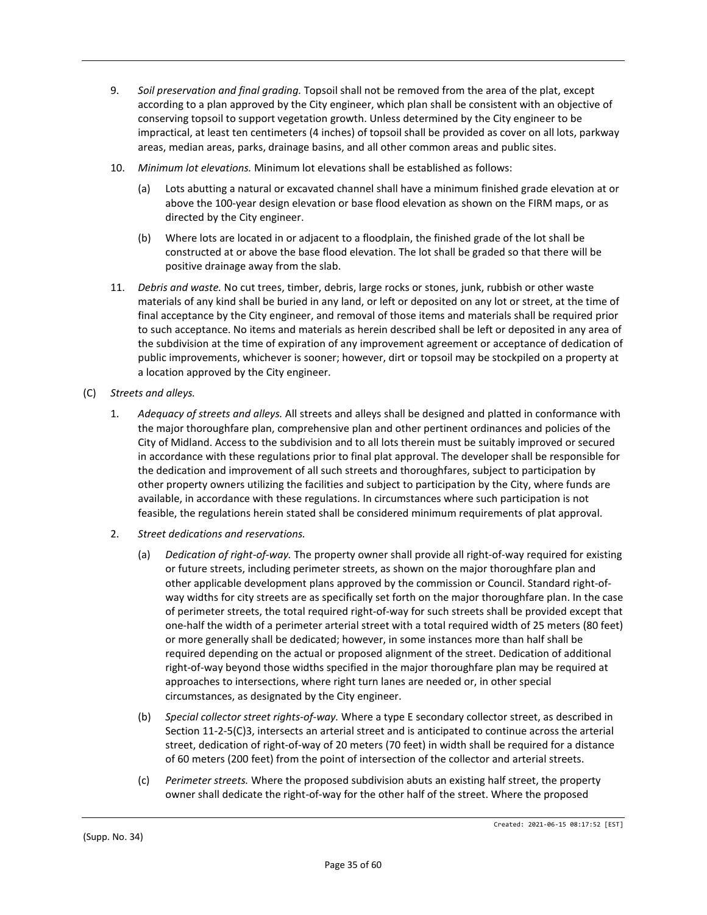- 9. *Soil preservation and final grading.* Topsoil shall not be removed from the area of the plat, except according to a plan approved by the City engineer, which plan shall be consistent with an objective of conserving topsoil to support vegetation growth. Unless determined by the City engineer to be impractical, at least ten centimeters (4 inches) of topsoil shall be provided as cover on all lots, parkway areas, median areas, parks, drainage basins, and all other common areas and public sites.
- 10. *Minimum lot elevations.* Minimum lot elevations shall be established as follows:
	- (a) Lots abutting a natural or excavated channel shall have a minimum finished grade elevation at or above the 100-year design elevation or base flood elevation as shown on the FIRM maps, or as directed by the City engineer.
	- (b) Where lots are located in or adjacent to a floodplain, the finished grade of the lot shall be constructed at or above the base flood elevation. The lot shall be graded so that there will be positive drainage away from the slab.
- 11. *Debris and waste.* No cut trees, timber, debris, large rocks or stones, junk, rubbish or other waste materials of any kind shall be buried in any land, or left or deposited on any lot or street, at the time of final acceptance by the City engineer, and removal of those items and materials shall be required prior to such acceptance. No items and materials as herein described shall be left or deposited in any area of the subdivision at the time of expiration of any improvement agreement or acceptance of dedication of public improvements, whichever is sooner; however, dirt or topsoil may be stockpiled on a property at a location approved by the City engineer.
- (C) *Streets and alleys.*
	- 1. *Adequacy of streets and alleys.* All streets and alleys shall be designed and platted in conformance with the major thoroughfare plan, comprehensive plan and other pertinent ordinances and policies of the City of Midland. Access to the subdivision and to all lots therein must be suitably improved or secured in accordance with these regulations prior to final plat approval. The developer shall be responsible for the dedication and improvement of all such streets and thoroughfares, subject to participation by other property owners utilizing the facilities and subject to participation by the City, where funds are available, in accordance with these regulations. In circumstances where such participation is not feasible, the regulations herein stated shall be considered minimum requirements of plat approval.
	- 2. *Street dedications and reservations.*
		- (a) *Dedication of right-of-way.* The property owner shall provide all right-of-way required for existing or future streets, including perimeter streets, as shown on the major thoroughfare plan and other applicable development plans approved by the commission or Council. Standard right-ofway widths for city streets are as specifically set forth on the major thoroughfare plan. In the case of perimeter streets, the total required right-of-way for such streets shall be provided except that one-half the width of a perimeter arterial street with a total required width of 25 meters (80 feet) or more generally shall be dedicated; however, in some instances more than half shall be required depending on the actual or proposed alignment of the street. Dedication of additional right-of-way beyond those widths specified in the major thoroughfare plan may be required at approaches to intersections, where right turn lanes are needed or, in other special circumstances, as designated by the City engineer.
		- (b) *Special collector street rights-of-way.* Where a type E secondary collector street, as described in Section 11-2-5(C)3, intersects an arterial street and is anticipated to continue across the arterial street, dedication of right-of-way of 20 meters (70 feet) in width shall be required for a distance of 60 meters (200 feet) from the point of intersection of the collector and arterial streets.
		- (c) *Perimeter streets.* Where the proposed subdivision abuts an existing half street, the property owner shall dedicate the right-of-way for the other half of the street. Where the proposed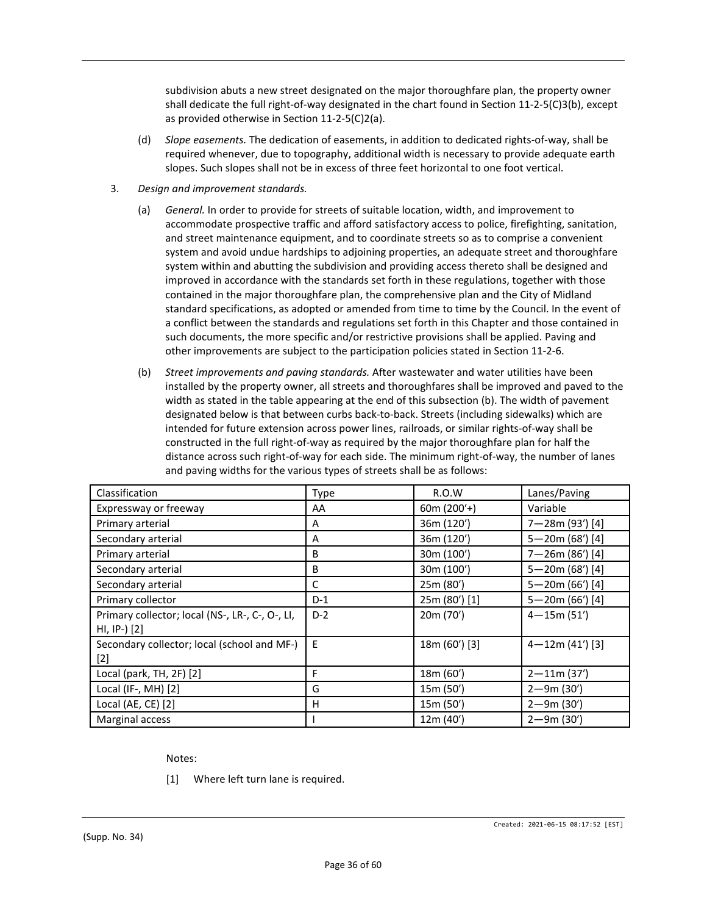subdivision abuts a new street designated on the major thoroughfare plan, the property owner shall dedicate the full right-of-way designated in the chart found in Section 11-2-5(C)3(b), except as provided otherwise in Section 11-2-5(C)2(a).

- (d) *Slope easements.* The dedication of easements, in addition to dedicated rights-of-way, shall be required whenever, due to topography, additional width is necessary to provide adequate earth slopes. Such slopes shall not be in excess of three feet horizontal to one foot vertical.
- 3. *Design and improvement standards.*
	- (a) *General.* In order to provide for streets of suitable location, width, and improvement to accommodate prospective traffic and afford satisfactory access to police, firefighting, sanitation, and street maintenance equipment, and to coordinate streets so as to comprise a convenient system and avoid undue hardships to adjoining properties, an adequate street and thoroughfare system within and abutting the subdivision and providing access thereto shall be designed and improved in accordance with the standards set forth in these regulations, together with those contained in the major thoroughfare plan, the comprehensive plan and the City of Midland standard specifications, as adopted or amended from time to time by the Council. In the event of a conflict between the standards and regulations set forth in this Chapter and those contained in such documents, the more specific and/or restrictive provisions shall be applied. Paving and other improvements are subject to the participation policies stated in Section 11-2-6.
	- (b) *Street improvements and paving standards.* After wastewater and water utilities have been installed by the property owner, all streets and thoroughfares shall be improved and paved to the width as stated in the table appearing at the end of this subsection (b). The width of pavement designated below is that between curbs back-to-back. Streets (including sidewalks) which are intended for future extension across power lines, railroads, or similar rights-of-way shall be constructed in the full right-of-way as required by the major thoroughfare plan for half the distance across such right-of-way for each side. The minimum right-of-way, the number of lanes and paving widths for the various types of streets shall be as follows:

| Classification                                  | Type  | R.O.W         | Lanes/Paving        |
|-------------------------------------------------|-------|---------------|---------------------|
| Expressway or freeway                           | AA    | 60 $m(200'+)$ | Variable            |
| Primary arterial                                | A     | 36m (120')    | 7-28m (93') [4]     |
| Secondary arterial                              | A     | 36m (120')    | 5-20m (68') [4]     |
| Primary arterial                                | В     | 30m (100')    | 7-26m (86') [4]     |
| Secondary arterial                              | В     | 30m (100')    | 5-20m (68') [4]     |
| Secondary arterial                              | C     | 25m (80')     | 5-20m (66') [4]     |
| Primary collector                               | $D-1$ | 25m (80') [1] | 5-20m (66') [4]     |
| Primary collector; local (NS-, LR-, C-, O-, LI, | $D-2$ | 20m (70')     | $4 - 15m(51')$      |
| $HI, IP [2]$                                    |       |               |                     |
| Secondary collector; local (school and MF-)     | E     | 18m (60') [3] | $4 - 12m (41')$ [3] |
| $[2]$                                           |       |               |                     |
| Local (park, TH, 2F) [2]                        | F     | 18m (60')     | $2 - 11m (37')$     |
| Local (IF-, MH) [2]                             | G     | 15m (50')     | $2 - 9m (30')$      |
| Local (AE, CE) [2]                              | H     | 15m (50')     | $2 - 9m (30')$      |
| Marginal access                                 |       | 12m (40')     | $2 - 9m (30')$      |

Notes:

[1] Where left turn lane is required.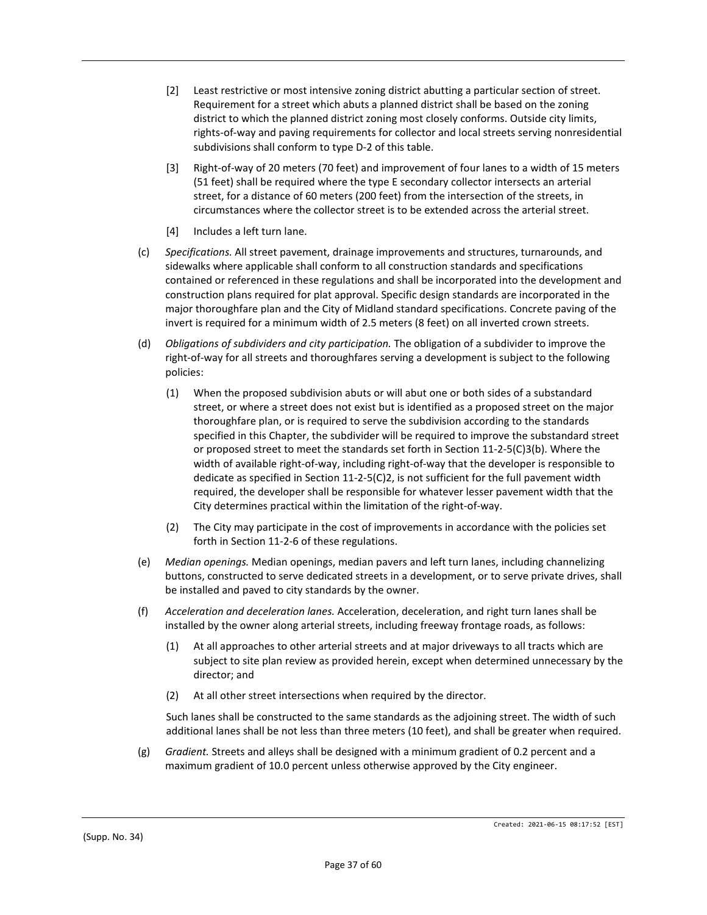- [2] Least restrictive or most intensive zoning district abutting a particular section of street. Requirement for a street which abuts a planned district shall be based on the zoning district to which the planned district zoning most closely conforms. Outside city limits, rights-of-way and paving requirements for collector and local streets serving nonresidential subdivisions shall conform to type D-2 of this table.
- [3] Right-of-way of 20 meters (70 feet) and improvement of four lanes to a width of 15 meters (51 feet) shall be required where the type E secondary collector intersects an arterial street, for a distance of 60 meters (200 feet) from the intersection of the streets, in circumstances where the collector street is to be extended across the arterial street.
- [4] Includes a left turn lane.
- (c) *Specifications.* All street pavement, drainage improvements and structures, turnarounds, and sidewalks where applicable shall conform to all construction standards and specifications contained or referenced in these regulations and shall be incorporated into the development and construction plans required for plat approval. Specific design standards are incorporated in the major thoroughfare plan and the City of Midland standard specifications. Concrete paving of the invert is required for a minimum width of 2.5 meters (8 feet) on all inverted crown streets.
- (d) *Obligations of subdividers and city participation.* The obligation of a subdivider to improve the right-of-way for all streets and thoroughfares serving a development is subject to the following policies:
	- (1) When the proposed subdivision abuts or will abut one or both sides of a substandard street, or where a street does not exist but is identified as a proposed street on the major thoroughfare plan, or is required to serve the subdivision according to the standards specified in this Chapter, the subdivider will be required to improve the substandard street or proposed street to meet the standards set forth in Section 11-2-5(C)3(b). Where the width of available right-of-way, including right-of-way that the developer is responsible to dedicate as specified in Section 11-2-5(C)2, is not sufficient for the full pavement width required, the developer shall be responsible for whatever lesser pavement width that the City determines practical within the limitation of the right-of-way.
	- (2) The City may participate in the cost of improvements in accordance with the policies set forth in Section 11-2-6 of these regulations.
- (e) *Median openings.* Median openings, median pavers and left turn lanes, including channelizing buttons, constructed to serve dedicated streets in a development, or to serve private drives, shall be installed and paved to city standards by the owner.
- (f) *Acceleration and deceleration lanes.* Acceleration, deceleration, and right turn lanes shall be installed by the owner along arterial streets, including freeway frontage roads, as follows:
	- (1) At all approaches to other arterial streets and at major driveways to all tracts which are subject to site plan review as provided herein, except when determined unnecessary by the director; and
	- (2) At all other street intersections when required by the director.

Such lanes shall be constructed to the same standards as the adjoining street. The width of such additional lanes shall be not less than three meters (10 feet), and shall be greater when required.

(g) *Gradient.* Streets and alleys shall be designed with a minimum gradient of 0.2 percent and a maximum gradient of 10.0 percent unless otherwise approved by the City engineer.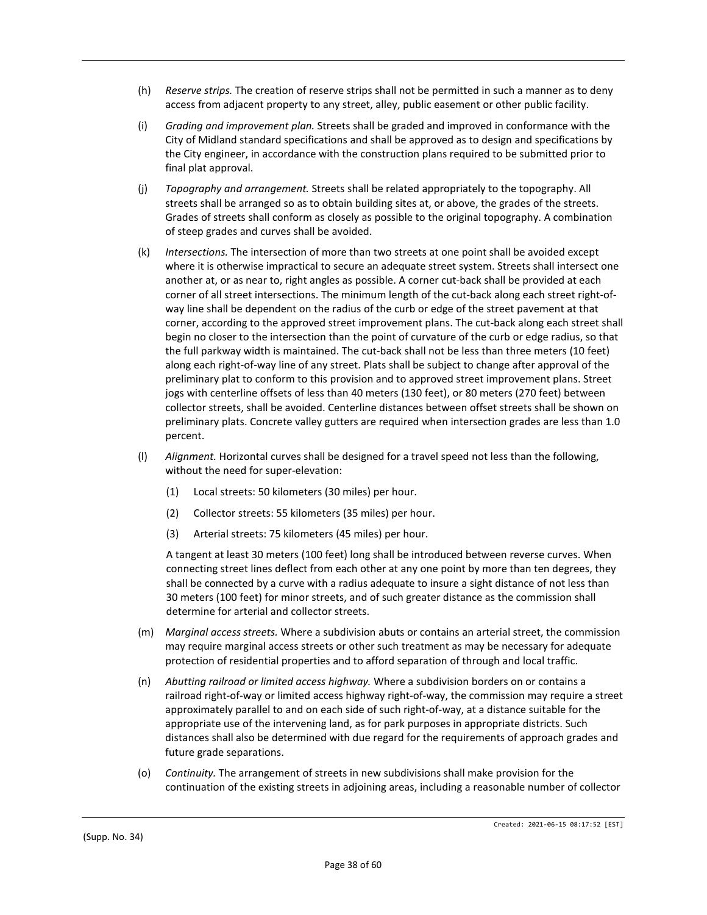- (h) *Reserve strips.* The creation of reserve strips shall not be permitted in such a manner as to deny access from adjacent property to any street, alley, public easement or other public facility.
- (i) *Grading and improvement plan.* Streets shall be graded and improved in conformance with the City of Midland standard specifications and shall be approved as to design and specifications by the City engineer, in accordance with the construction plans required to be submitted prior to final plat approval.
- (j) *Topography and arrangement.* Streets shall be related appropriately to the topography. All streets shall be arranged so as to obtain building sites at, or above, the grades of the streets. Grades of streets shall conform as closely as possible to the original topography. A combination of steep grades and curves shall be avoided.
- (k) *Intersections.* The intersection of more than two streets at one point shall be avoided except where it is otherwise impractical to secure an adequate street system. Streets shall intersect one another at, or as near to, right angles as possible. A corner cut-back shall be provided at each corner of all street intersections. The minimum length of the cut-back along each street right-ofway line shall be dependent on the radius of the curb or edge of the street pavement at that corner, according to the approved street improvement plans. The cut-back along each street shall begin no closer to the intersection than the point of curvature of the curb or edge radius, so that the full parkway width is maintained. The cut-back shall not be less than three meters (10 feet) along each right-of-way line of any street. Plats shall be subject to change after approval of the preliminary plat to conform to this provision and to approved street improvement plans. Street jogs with centerline offsets of less than 40 meters (130 feet), or 80 meters (270 feet) between collector streets, shall be avoided. Centerline distances between offset streets shall be shown on preliminary plats. Concrete valley gutters are required when intersection grades are less than 1.0 percent.
- (l) *Alignment.* Horizontal curves shall be designed for a travel speed not less than the following, without the need for super-elevation:
	- (1) Local streets: 50 kilometers (30 miles) per hour.
	- (2) Collector streets: 55 kilometers (35 miles) per hour.
	- (3) Arterial streets: 75 kilometers (45 miles) per hour.

A tangent at least 30 meters (100 feet) long shall be introduced between reverse curves. When connecting street lines deflect from each other at any one point by more than ten degrees, they shall be connected by a curve with a radius adequate to insure a sight distance of not less than 30 meters (100 feet) for minor streets, and of such greater distance as the commission shall determine for arterial and collector streets.

- (m) *Marginal access streets.* Where a subdivision abuts or contains an arterial street, the commission may require marginal access streets or other such treatment as may be necessary for adequate protection of residential properties and to afford separation of through and local traffic.
- (n) *Abutting railroad or limited access highway.* Where a subdivision borders on or contains a railroad right-of-way or limited access highway right-of-way, the commission may require a street approximately parallel to and on each side of such right-of-way, at a distance suitable for the appropriate use of the intervening land, as for park purposes in appropriate districts. Such distances shall also be determined with due regard for the requirements of approach grades and future grade separations.
- (o) *Continuity.* The arrangement of streets in new subdivisions shall make provision for the continuation of the existing streets in adjoining areas, including a reasonable number of collector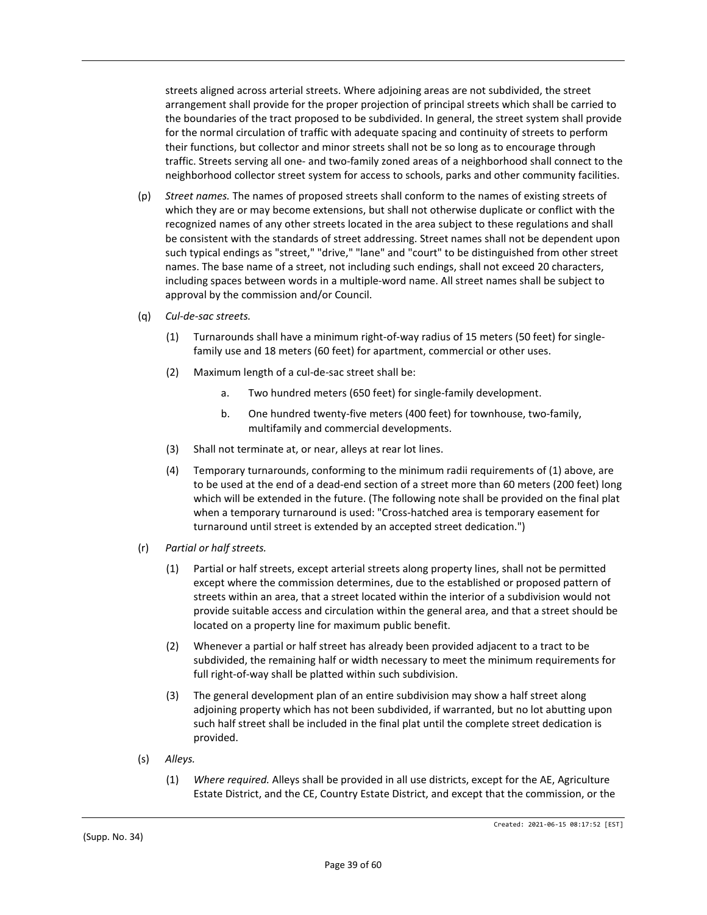streets aligned across arterial streets. Where adjoining areas are not subdivided, the street arrangement shall provide for the proper projection of principal streets which shall be carried to the boundaries of the tract proposed to be subdivided. In general, the street system shall provide for the normal circulation of traffic with adequate spacing and continuity of streets to perform their functions, but collector and minor streets shall not be so long as to encourage through traffic. Streets serving all one- and two-family zoned areas of a neighborhood shall connect to the neighborhood collector street system for access to schools, parks and other community facilities.

- (p) *Street names.* The names of proposed streets shall conform to the names of existing streets of which they are or may become extensions, but shall not otherwise duplicate or conflict with the recognized names of any other streets located in the area subject to these regulations and shall be consistent with the standards of street addressing. Street names shall not be dependent upon such typical endings as "street," "drive," "lane" and "court" to be distinguished from other street names. The base name of a street, not including such endings, shall not exceed 20 characters, including spaces between words in a multiple-word name. All street names shall be subject to approval by the commission and/or Council.
- (q) *Cul-de-sac streets.*
	- (1) Turnarounds shall have a minimum right-of-way radius of 15 meters (50 feet) for singlefamily use and 18 meters (60 feet) for apartment, commercial or other uses.
	- (2) Maximum length of a cul-de-sac street shall be:
		- a. Two hundred meters (650 feet) for single-family development.
		- b. One hundred twenty-five meters (400 feet) for townhouse, two-family, multifamily and commercial developments.
	- (3) Shall not terminate at, or near, alleys at rear lot lines.
	- (4) Temporary turnarounds, conforming to the minimum radii requirements of (1) above, are to be used at the end of a dead-end section of a street more than 60 meters (200 feet) long which will be extended in the future. (The following note shall be provided on the final plat when a temporary turnaround is used: "Cross-hatched area is temporary easement for turnaround until street is extended by an accepted street dedication.")
- (r) *Partial or half streets.*
	- (1) Partial or half streets, except arterial streets along property lines, shall not be permitted except where the commission determines, due to the established or proposed pattern of streets within an area, that a street located within the interior of a subdivision would not provide suitable access and circulation within the general area, and that a street should be located on a property line for maximum public benefit.
	- (2) Whenever a partial or half street has already been provided adjacent to a tract to be subdivided, the remaining half or width necessary to meet the minimum requirements for full right-of-way shall be platted within such subdivision.
	- (3) The general development plan of an entire subdivision may show a half street along adjoining property which has not been subdivided, if warranted, but no lot abutting upon such half street shall be included in the final plat until the complete street dedication is provided.
- (s) *Alleys.*
	- (1) *Where required.* Alleys shall be provided in all use districts, except for the AE, Agriculture Estate District, and the CE, Country Estate District, and except that the commission, or the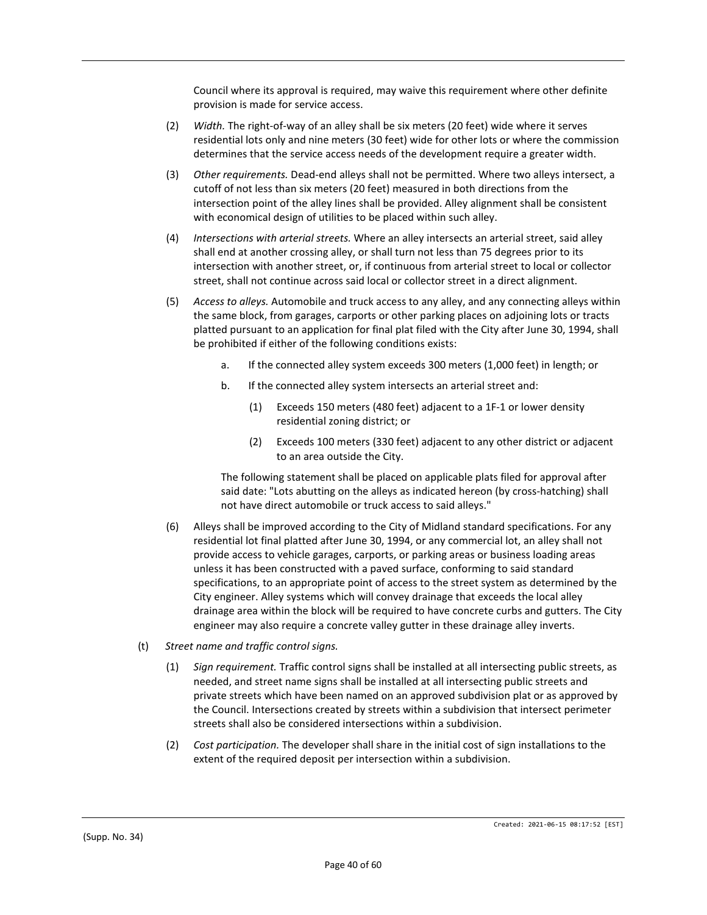Council where its approval is required, may waive this requirement where other definite provision is made for service access.

- (2) *Width.* The right-of-way of an alley shall be six meters (20 feet) wide where it serves residential lots only and nine meters (30 feet) wide for other lots or where the commission determines that the service access needs of the development require a greater width.
- (3) *Other requirements.* Dead-end alleys shall not be permitted. Where two alleys intersect, a cutoff of not less than six meters (20 feet) measured in both directions from the intersection point of the alley lines shall be provided. Alley alignment shall be consistent with economical design of utilities to be placed within such alley.
- (4) *Intersections with arterial streets.* Where an alley intersects an arterial street, said alley shall end at another crossing alley, or shall turn not less than 75 degrees prior to its intersection with another street, or, if continuous from arterial street to local or collector street, shall not continue across said local or collector street in a direct alignment.
- (5) *Access to alleys.* Automobile and truck access to any alley, and any connecting alleys within the same block, from garages, carports or other parking places on adjoining lots or tracts platted pursuant to an application for final plat filed with the City after June 30, 1994, shall be prohibited if either of the following conditions exists:
	- a. If the connected alley system exceeds 300 meters (1,000 feet) in length; or
	- b. If the connected alley system intersects an arterial street and:
		- (1) Exceeds 150 meters (480 feet) adjacent to a 1F-1 or lower density residential zoning district; or
		- (2) Exceeds 100 meters (330 feet) adjacent to any other district or adjacent to an area outside the City.

The following statement shall be placed on applicable plats filed for approval after said date: "Lots abutting on the alleys as indicated hereon (by cross-hatching) shall not have direct automobile or truck access to said alleys."

- (6) Alleys shall be improved according to the City of Midland standard specifications. For any residential lot final platted after June 30, 1994, or any commercial lot, an alley shall not provide access to vehicle garages, carports, or parking areas or business loading areas unless it has been constructed with a paved surface, conforming to said standard specifications, to an appropriate point of access to the street system as determined by the City engineer. Alley systems which will convey drainage that exceeds the local alley drainage area within the block will be required to have concrete curbs and gutters. The City engineer may also require a concrete valley gutter in these drainage alley inverts.
- (t) *Street name and traffic control signs.*
	- (1) *Sign requirement.* Traffic control signs shall be installed at all intersecting public streets, as needed, and street name signs shall be installed at all intersecting public streets and private streets which have been named on an approved subdivision plat or as approved by the Council. Intersections created by streets within a subdivision that intersect perimeter streets shall also be considered intersections within a subdivision.
	- (2) *Cost participation.* The developer shall share in the initial cost of sign installations to the extent of the required deposit per intersection within a subdivision.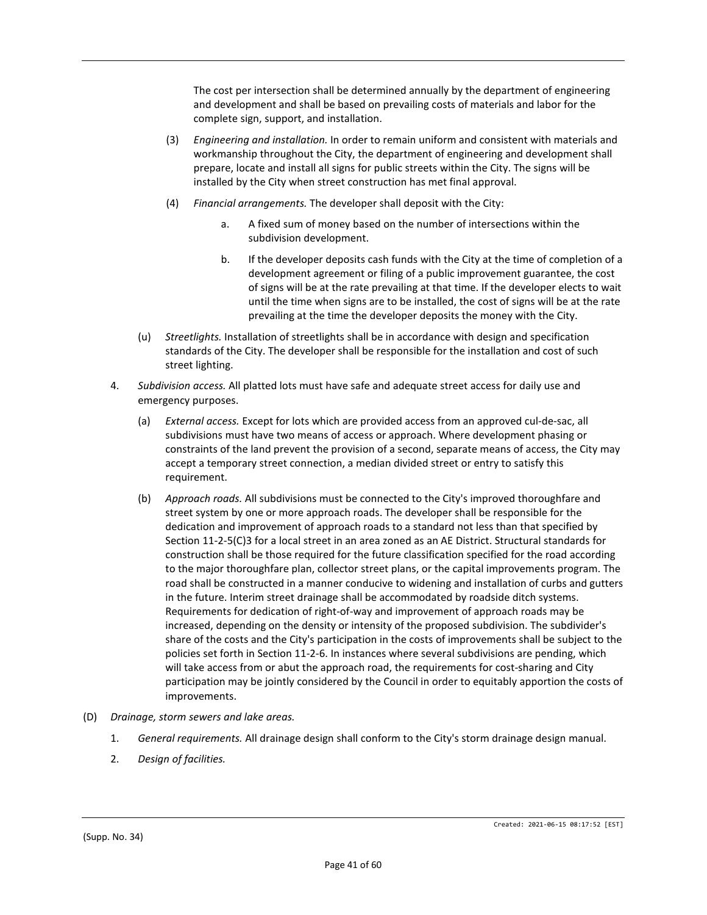The cost per intersection shall be determined annually by the department of engineering and development and shall be based on prevailing costs of materials and labor for the complete sign, support, and installation.

- (3) *Engineering and installation.* In order to remain uniform and consistent with materials and workmanship throughout the City, the department of engineering and development shall prepare, locate and install all signs for public streets within the City. The signs will be installed by the City when street construction has met final approval.
- (4) *Financial arrangements.* The developer shall deposit with the City:
	- a. A fixed sum of money based on the number of intersections within the subdivision development.
	- b. If the developer deposits cash funds with the City at the time of completion of a development agreement or filing of a public improvement guarantee, the cost of signs will be at the rate prevailing at that time. If the developer elects to wait until the time when signs are to be installed, the cost of signs will be at the rate prevailing at the time the developer deposits the money with the City.
- (u) *Streetlights.* Installation of streetlights shall be in accordance with design and specification standards of the City. The developer shall be responsible for the installation and cost of such street lighting.
- 4. *Subdivision access.* All platted lots must have safe and adequate street access for daily use and emergency purposes.
	- (a) *External access.* Except for lots which are provided access from an approved cul-de-sac, all subdivisions must have two means of access or approach. Where development phasing or constraints of the land prevent the provision of a second, separate means of access, the City may accept a temporary street connection, a median divided street or entry to satisfy this requirement.
	- (b) *Approach roads.* All subdivisions must be connected to the City's improved thoroughfare and street system by one or more approach roads. The developer shall be responsible for the dedication and improvement of approach roads to a standard not less than that specified by Section 11-2-5(C)3 for a local street in an area zoned as an AE District. Structural standards for construction shall be those required for the future classification specified for the road according to the major thoroughfare plan, collector street plans, or the capital improvements program. The road shall be constructed in a manner conducive to widening and installation of curbs and gutters in the future. Interim street drainage shall be accommodated by roadside ditch systems. Requirements for dedication of right-of-way and improvement of approach roads may be increased, depending on the density or intensity of the proposed subdivision. The subdivider's share of the costs and the City's participation in the costs of improvements shall be subject to the policies set forth in Section 11-2-6. In instances where several subdivisions are pending, which will take access from or abut the approach road, the requirements for cost-sharing and City participation may be jointly considered by the Council in order to equitably apportion the costs of improvements.
- (D) *Drainage, storm sewers and lake areas.*
	- 1. *General requirements.* All drainage design shall conform to the City's storm drainage design manual.
	- 2. *Design of facilities.*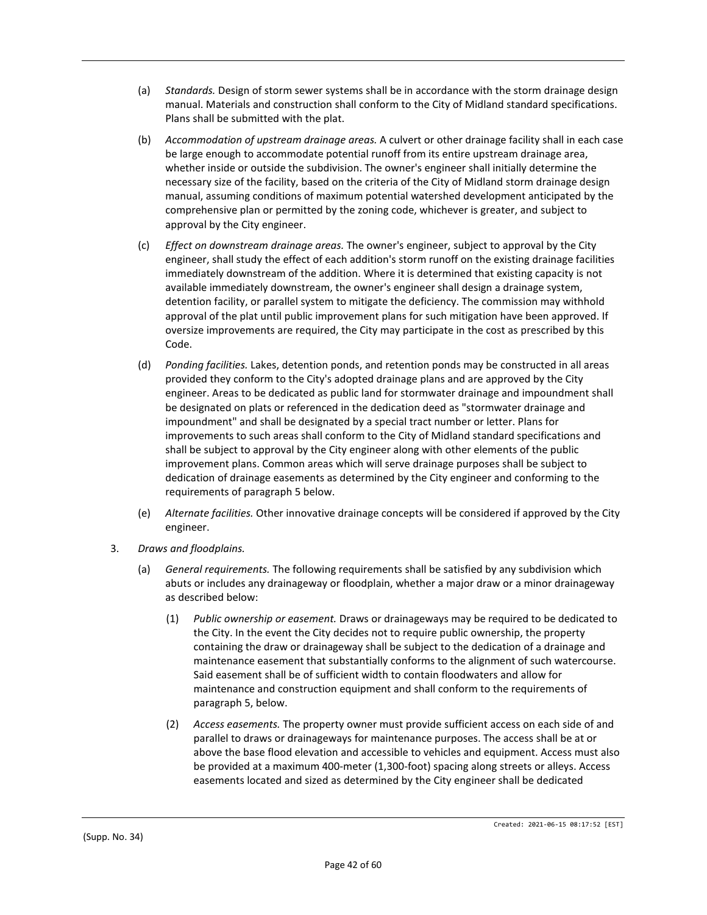- (a) *Standards.* Design of storm sewer systems shall be in accordance with the storm drainage design manual. Materials and construction shall conform to the City of Midland standard specifications. Plans shall be submitted with the plat.
- (b) *Accommodation of upstream drainage areas.* A culvert or other drainage facility shall in each case be large enough to accommodate potential runoff from its entire upstream drainage area, whether inside or outside the subdivision. The owner's engineer shall initially determine the necessary size of the facility, based on the criteria of the City of Midland storm drainage design manual, assuming conditions of maximum potential watershed development anticipated by the comprehensive plan or permitted by the zoning code, whichever is greater, and subject to approval by the City engineer.
- (c) *Effect on downstream drainage areas.* The owner's engineer, subject to approval by the City engineer, shall study the effect of each addition's storm runoff on the existing drainage facilities immediately downstream of the addition. Where it is determined that existing capacity is not available immediately downstream, the owner's engineer shall design a drainage system, detention facility, or parallel system to mitigate the deficiency. The commission may withhold approval of the plat until public improvement plans for such mitigation have been approved. If oversize improvements are required, the City may participate in the cost as prescribed by this Code.
- (d) *Ponding facilities.* Lakes, detention ponds, and retention ponds may be constructed in all areas provided they conform to the City's adopted drainage plans and are approved by the City engineer. Areas to be dedicated as public land for stormwater drainage and impoundment shall be designated on plats or referenced in the dedication deed as "stormwater drainage and impoundment" and shall be designated by a special tract number or letter. Plans for improvements to such areas shall conform to the City of Midland standard specifications and shall be subject to approval by the City engineer along with other elements of the public improvement plans. Common areas which will serve drainage purposes shall be subject to dedication of drainage easements as determined by the City engineer and conforming to the requirements of paragraph 5 below.
- (e) *Alternate facilities.* Other innovative drainage concepts will be considered if approved by the City engineer.
- 3. *Draws and floodplains.*
	- (a) *General requirements.* The following requirements shall be satisfied by any subdivision which abuts or includes any drainageway or floodplain, whether a major draw or a minor drainageway as described below:
		- (1) *Public ownership or easement.* Draws or drainageways may be required to be dedicated to the City. In the event the City decides not to require public ownership, the property containing the draw or drainageway shall be subject to the dedication of a drainage and maintenance easement that substantially conforms to the alignment of such watercourse. Said easement shall be of sufficient width to contain floodwaters and allow for maintenance and construction equipment and shall conform to the requirements of paragraph 5, below.
		- (2) *Access easements.* The property owner must provide sufficient access on each side of and parallel to draws or drainageways for maintenance purposes. The access shall be at or above the base flood elevation and accessible to vehicles and equipment. Access must also be provided at a maximum 400-meter (1,300-foot) spacing along streets or alleys. Access easements located and sized as determined by the City engineer shall be dedicated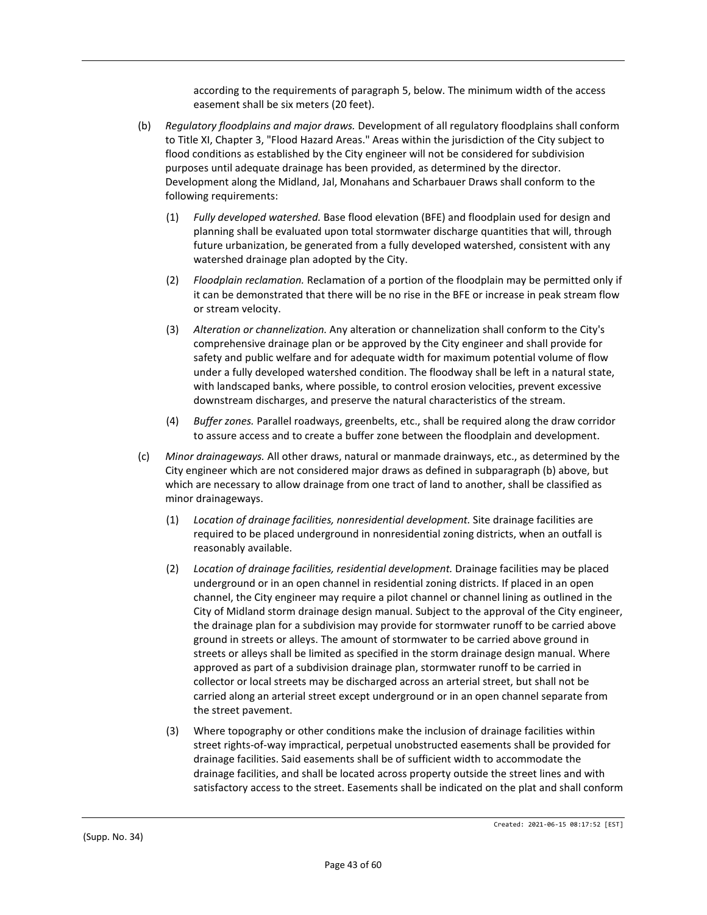according to the requirements of paragraph 5, below. The minimum width of the access easement shall be six meters (20 feet).

- (b) *Regulatory floodplains and major draws.* Development of all regulatory floodplains shall conform to Title XI, Chapter 3, "Flood Hazard Areas." Areas within the jurisdiction of the City subject to flood conditions as established by the City engineer will not be considered for subdivision purposes until adequate drainage has been provided, as determined by the director. Development along the Midland, Jal, Monahans and Scharbauer Draws shall conform to the following requirements:
	- (1) *Fully developed watershed.* Base flood elevation (BFE) and floodplain used for design and planning shall be evaluated upon total stormwater discharge quantities that will, through future urbanization, be generated from a fully developed watershed, consistent with any watershed drainage plan adopted by the City.
	- (2) *Floodplain reclamation.* Reclamation of a portion of the floodplain may be permitted only if it can be demonstrated that there will be no rise in the BFE or increase in peak stream flow or stream velocity.
	- (3) *Alteration or channelization.* Any alteration or channelization shall conform to the City's comprehensive drainage plan or be approved by the City engineer and shall provide for safety and public welfare and for adequate width for maximum potential volume of flow under a fully developed watershed condition. The floodway shall be left in a natural state, with landscaped banks, where possible, to control erosion velocities, prevent excessive downstream discharges, and preserve the natural characteristics of the stream.
	- (4) *Buffer zones.* Parallel roadways, greenbelts, etc., shall be required along the draw corridor to assure access and to create a buffer zone between the floodplain and development.
- (c) *Minor drainageways.* All other draws, natural or manmade drainways, etc., as determined by the City engineer which are not considered major draws as defined in subparagraph (b) above, but which are necessary to allow drainage from one tract of land to another, shall be classified as minor drainageways.
	- (1) *Location of drainage facilities, nonresidential development.* Site drainage facilities are required to be placed underground in nonresidential zoning districts, when an outfall is reasonably available.
	- (2) *Location of drainage facilities, residential development.* Drainage facilities may be placed underground or in an open channel in residential zoning districts. If placed in an open channel, the City engineer may require a pilot channel or channel lining as outlined in the City of Midland storm drainage design manual. Subject to the approval of the City engineer, the drainage plan for a subdivision may provide for stormwater runoff to be carried above ground in streets or alleys. The amount of stormwater to be carried above ground in streets or alleys shall be limited as specified in the storm drainage design manual. Where approved as part of a subdivision drainage plan, stormwater runoff to be carried in collector or local streets may be discharged across an arterial street, but shall not be carried along an arterial street except underground or in an open channel separate from the street pavement.
	- (3) Where topography or other conditions make the inclusion of drainage facilities within street rights-of-way impractical, perpetual unobstructed easements shall be provided for drainage facilities. Said easements shall be of sufficient width to accommodate the drainage facilities, and shall be located across property outside the street lines and with satisfactory access to the street. Easements shall be indicated on the plat and shall conform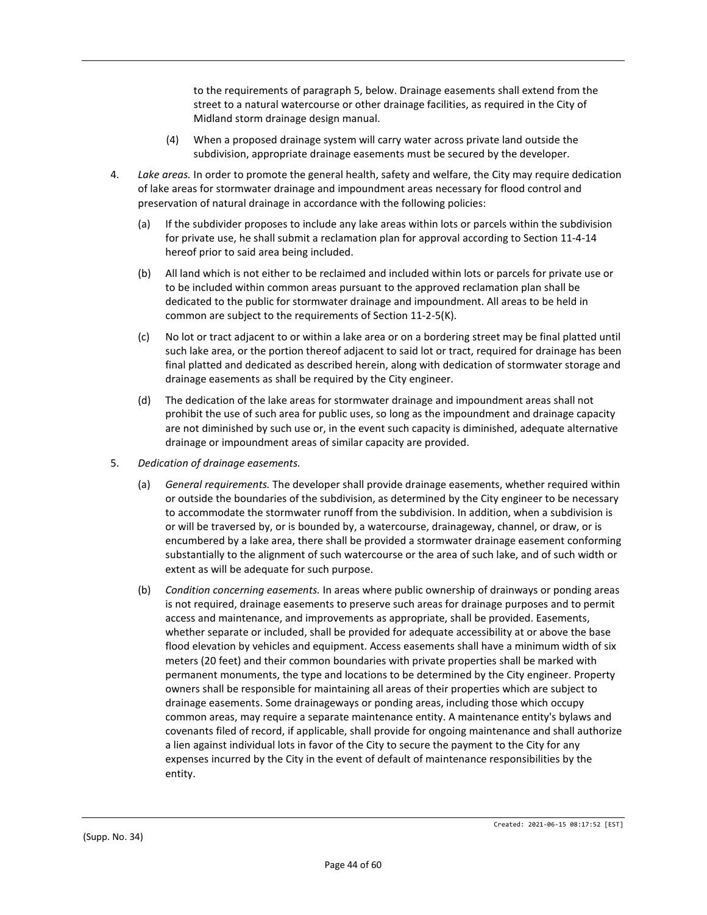to the requirements of paragraph 5, below. Drainage easements shall extend from the street to a natural watercourse or other drainage facilities, as required in the City of Midland storm drainage design manual.

- (4) When a proposed drainage system will carry water across private land outside the subdivision, appropriate drainage easements must be secured by the developer.
- 4. *Lake areas.* In order to promote the general health, safety and welfare, the City may require dedication of lake areas for stormwater drainage and impoundment areas necessary for flood control and preservation of natural drainage in accordance with the following policies:
	- (a) If the subdivider proposes to include any lake areas within lots or parcels within the subdivision for private use, he shall submit a reclamation plan for approval according to Section 11-4-14 hereof prior to said area being included.
	- (b) All land which is not either to be reclaimed and included within lots or parcels for private use or to be included within common areas pursuant to the approved reclamation plan shall be dedicated to the public for stormwater drainage and impoundment. All areas to be held in common are subject to the requirements of Section 11-2-5(K).
	- (c) No lot or tract adjacent to or within a lake area or on a bordering street may be final platted until such lake area, or the portion thereof adjacent to said lot or tract, required for drainage has been final platted and dedicated as described herein, along with dedication of stormwater storage and drainage easements as shall be required by the City engineer.
	- (d) The dedication of the lake areas for stormwater drainage and impoundment areas shall not prohibit the use of such area for public uses, so long as the impoundment and drainage capacity are not diminished by such use or, in the event such capacity is diminished, adequate alternative drainage or impoundment areas of similar capacity are provided.
- 5. *Dedication of drainage easements.*
	- (a) *General requirements.* The developer shall provide drainage easements, whether required within or outside the boundaries of the subdivision, as determined by the City engineer to be necessary to accommodate the stormwater runoff from the subdivision. In addition, when a subdivision is or will be traversed by, or is bounded by, a watercourse, drainageway, channel, or draw, or is encumbered by a lake area, there shall be provided a stormwater drainage easement conforming substantially to the alignment of such watercourse or the area of such lake, and of such width or extent as will be adequate for such purpose.
	- (b) *Condition concerning easements.* In areas where public ownership of drainways or ponding areas is not required, drainage easements to preserve such areas for drainage purposes and to permit access and maintenance, and improvements as appropriate, shall be provided. Easements, whether separate or included, shall be provided for adequate accessibility at or above the base flood elevation by vehicles and equipment. Access easements shall have a minimum width of six meters (20 feet) and their common boundaries with private properties shall be marked with permanent monuments, the type and locations to be determined by the City engineer. Property owners shall be responsible for maintaining all areas of their properties which are subject to drainage easements. Some drainageways or ponding areas, including those which occupy common areas, may require a separate maintenance entity. A maintenance entity's bylaws and covenants filed of record, if applicable, shall provide for ongoing maintenance and shall authorize a lien against individual lots in favor of the City to secure the payment to the City for any expenses incurred by the City in the event of default of maintenance responsibilities by the entity.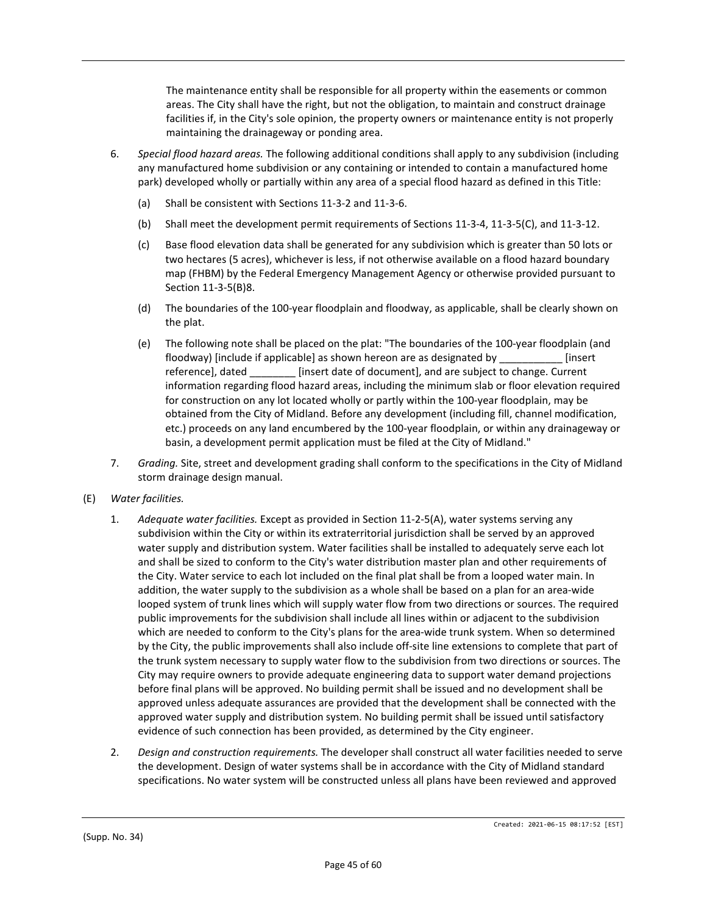The maintenance entity shall be responsible for all property within the easements or common areas. The City shall have the right, but not the obligation, to maintain and construct drainage facilities if, in the City's sole opinion, the property owners or maintenance entity is not properly maintaining the drainageway or ponding area.

- 6. *Special flood hazard areas.* The following additional conditions shall apply to any subdivision (including any manufactured home subdivision or any containing or intended to contain a manufactured home park) developed wholly or partially within any area of a special flood hazard as defined in this Title:
	- (a) Shall be consistent with Sections 11-3-2 and 11-3-6.
	- (b) Shall meet the development permit requirements of Sections 11-3-4, 11-3-5(C), and 11-3-12.
	- (c) Base flood elevation data shall be generated for any subdivision which is greater than 50 lots or two hectares (5 acres), whichever is less, if not otherwise available on a flood hazard boundary map (FHBM) by the Federal Emergency Management Agency or otherwise provided pursuant to Section 11-3-5(B)8.
	- (d) The boundaries of the 100-year floodplain and floodway, as applicable, shall be clearly shown on the plat.
	- (e) The following note shall be placed on the plat: "The boundaries of the 100-year floodplain (and floodway) [include if applicable] as shown hereon are as designated by [insert] reference], dated \_\_\_\_\_\_\_\_ [insert date of document], and are subject to change. Current information regarding flood hazard areas, including the minimum slab or floor elevation required for construction on any lot located wholly or partly within the 100-year floodplain, may be obtained from the City of Midland. Before any development (including fill, channel modification, etc.) proceeds on any land encumbered by the 100-year floodplain, or within any drainageway or basin, a development permit application must be filed at the City of Midland."
- 7. *Grading.* Site, street and development grading shall conform to the specifications in the City of Midland storm drainage design manual.
- (E) *Water facilities.*
	- 1. *Adequate water facilities.* Except as provided in Section 11-2-5(A), water systems serving any subdivision within the City or within its extraterritorial jurisdiction shall be served by an approved water supply and distribution system. Water facilities shall be installed to adequately serve each lot and shall be sized to conform to the City's water distribution master plan and other requirements of the City. Water service to each lot included on the final plat shall be from a looped water main. In addition, the water supply to the subdivision as a whole shall be based on a plan for an area-wide looped system of trunk lines which will supply water flow from two directions or sources. The required public improvements for the subdivision shall include all lines within or adjacent to the subdivision which are needed to conform to the City's plans for the area-wide trunk system. When so determined by the City, the public improvements shall also include off-site line extensions to complete that part of the trunk system necessary to supply water flow to the subdivision from two directions or sources. The City may require owners to provide adequate engineering data to support water demand projections before final plans will be approved. No building permit shall be issued and no development shall be approved unless adequate assurances are provided that the development shall be connected with the approved water supply and distribution system. No building permit shall be issued until satisfactory evidence of such connection has been provided, as determined by the City engineer.
	- 2. *Design and construction requirements.* The developer shall construct all water facilities needed to serve the development. Design of water systems shall be in accordance with the City of Midland standard specifications. No water system will be constructed unless all plans have been reviewed and approved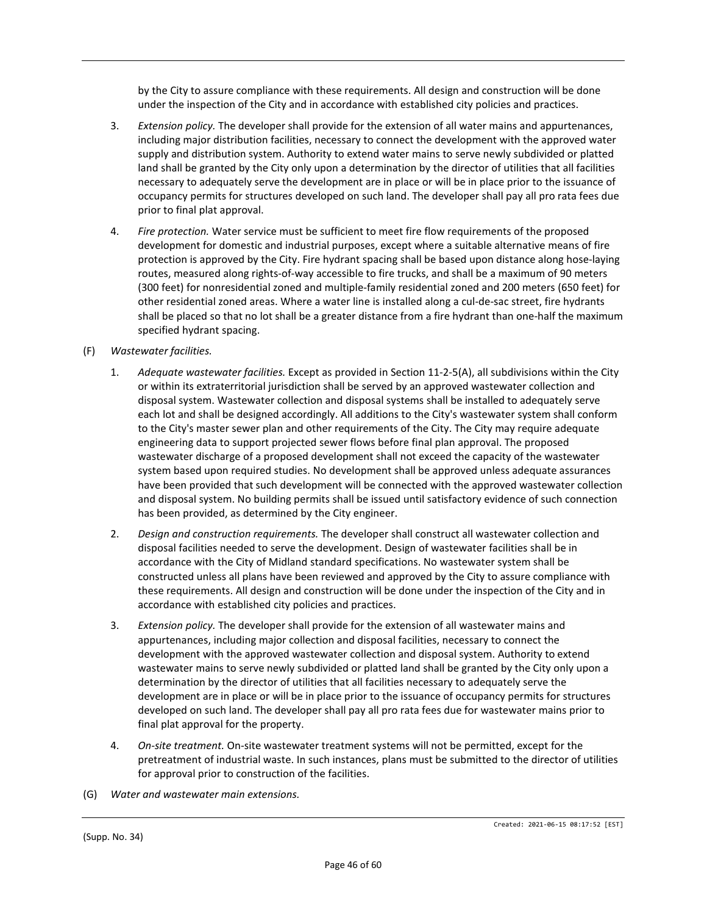by the City to assure compliance with these requirements. All design and construction will be done under the inspection of the City and in accordance with established city policies and practices.

- 3. *Extension policy.* The developer shall provide for the extension of all water mains and appurtenances, including major distribution facilities, necessary to connect the development with the approved water supply and distribution system. Authority to extend water mains to serve newly subdivided or platted land shall be granted by the City only upon a determination by the director of utilities that all facilities necessary to adequately serve the development are in place or will be in place prior to the issuance of occupancy permits for structures developed on such land. The developer shall pay all pro rata fees due prior to final plat approval.
- 4. *Fire protection.* Water service must be sufficient to meet fire flow requirements of the proposed development for domestic and industrial purposes, except where a suitable alternative means of fire protection is approved by the City. Fire hydrant spacing shall be based upon distance along hose-laying routes, measured along rights-of-way accessible to fire trucks, and shall be a maximum of 90 meters (300 feet) for nonresidential zoned and multiple-family residential zoned and 200 meters (650 feet) for other residential zoned areas. Where a water line is installed along a cul-de-sac street, fire hydrants shall be placed so that no lot shall be a greater distance from a fire hydrant than one-half the maximum specified hydrant spacing.
- (F) *Wastewater facilities.*
	- 1. *Adequate wastewater facilities.* Except as provided in Section 11-2-5(A), all subdivisions within the City or within its extraterritorial jurisdiction shall be served by an approved wastewater collection and disposal system. Wastewater collection and disposal systems shall be installed to adequately serve each lot and shall be designed accordingly. All additions to the City's wastewater system shall conform to the City's master sewer plan and other requirements of the City. The City may require adequate engineering data to support projected sewer flows before final plan approval. The proposed wastewater discharge of a proposed development shall not exceed the capacity of the wastewater system based upon required studies. No development shall be approved unless adequate assurances have been provided that such development will be connected with the approved wastewater collection and disposal system. No building permits shall be issued until satisfactory evidence of such connection has been provided, as determined by the City engineer.
	- 2. *Design and construction requirements.* The developer shall construct all wastewater collection and disposal facilities needed to serve the development. Design of wastewater facilities shall be in accordance with the City of Midland standard specifications. No wastewater system shall be constructed unless all plans have been reviewed and approved by the City to assure compliance with these requirements. All design and construction will be done under the inspection of the City and in accordance with established city policies and practices.
	- 3. *Extension policy.* The developer shall provide for the extension of all wastewater mains and appurtenances, including major collection and disposal facilities, necessary to connect the development with the approved wastewater collection and disposal system. Authority to extend wastewater mains to serve newly subdivided or platted land shall be granted by the City only upon a determination by the director of utilities that all facilities necessary to adequately serve the development are in place or will be in place prior to the issuance of occupancy permits for structures developed on such land. The developer shall pay all pro rata fees due for wastewater mains prior to final plat approval for the property.
	- 4. *On-site treatment.* On-site wastewater treatment systems will not be permitted, except for the pretreatment of industrial waste. In such instances, plans must be submitted to the director of utilities for approval prior to construction of the facilities.
- (G) *Water and wastewater main extensions.*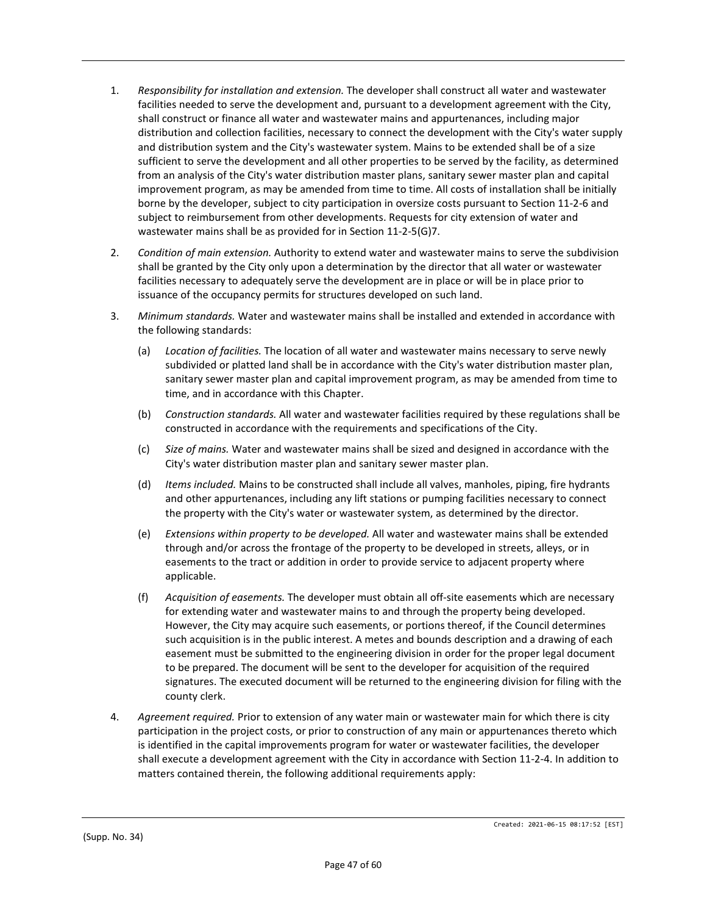- 1. *Responsibility for installation and extension.* The developer shall construct all water and wastewater facilities needed to serve the development and, pursuant to a development agreement with the City, shall construct or finance all water and wastewater mains and appurtenances, including major distribution and collection facilities, necessary to connect the development with the City's water supply and distribution system and the City's wastewater system. Mains to be extended shall be of a size sufficient to serve the development and all other properties to be served by the facility, as determined from an analysis of the City's water distribution master plans, sanitary sewer master plan and capital improvement program, as may be amended from time to time. All costs of installation shall be initially borne by the developer, subject to city participation in oversize costs pursuant to Section 11-2-6 and subject to reimbursement from other developments. Requests for city extension of water and wastewater mains shall be as provided for in Section 11-2-5(G)7.
- 2. *Condition of main extension.* Authority to extend water and wastewater mains to serve the subdivision shall be granted by the City only upon a determination by the director that all water or wastewater facilities necessary to adequately serve the development are in place or will be in place prior to issuance of the occupancy permits for structures developed on such land.
- 3. *Minimum standards.* Water and wastewater mains shall be installed and extended in accordance with the following standards:
	- (a) *Location of facilities.* The location of all water and wastewater mains necessary to serve newly subdivided or platted land shall be in accordance with the City's water distribution master plan, sanitary sewer master plan and capital improvement program, as may be amended from time to time, and in accordance with this Chapter.
	- (b) *Construction standards.* All water and wastewater facilities required by these regulations shall be constructed in accordance with the requirements and specifications of the City.
	- (c) *Size of mains.* Water and wastewater mains shall be sized and designed in accordance with the City's water distribution master plan and sanitary sewer master plan.
	- (d) *Items included.* Mains to be constructed shall include all valves, manholes, piping, fire hydrants and other appurtenances, including any lift stations or pumping facilities necessary to connect the property with the City's water or wastewater system, as determined by the director.
	- (e) *Extensions within property to be developed.* All water and wastewater mains shall be extended through and/or across the frontage of the property to be developed in streets, alleys, or in easements to the tract or addition in order to provide service to adjacent property where applicable.
	- (f) *Acquisition of easements.* The developer must obtain all off-site easements which are necessary for extending water and wastewater mains to and through the property being developed. However, the City may acquire such easements, or portions thereof, if the Council determines such acquisition is in the public interest. A metes and bounds description and a drawing of each easement must be submitted to the engineering division in order for the proper legal document to be prepared. The document will be sent to the developer for acquisition of the required signatures. The executed document will be returned to the engineering division for filing with the county clerk.
- 4. *Agreement required.* Prior to extension of any water main or wastewater main for which there is city participation in the project costs, or prior to construction of any main or appurtenances thereto which is identified in the capital improvements program for water or wastewater facilities, the developer shall execute a development agreement with the City in accordance with Section 11-2-4. In addition to matters contained therein, the following additional requirements apply: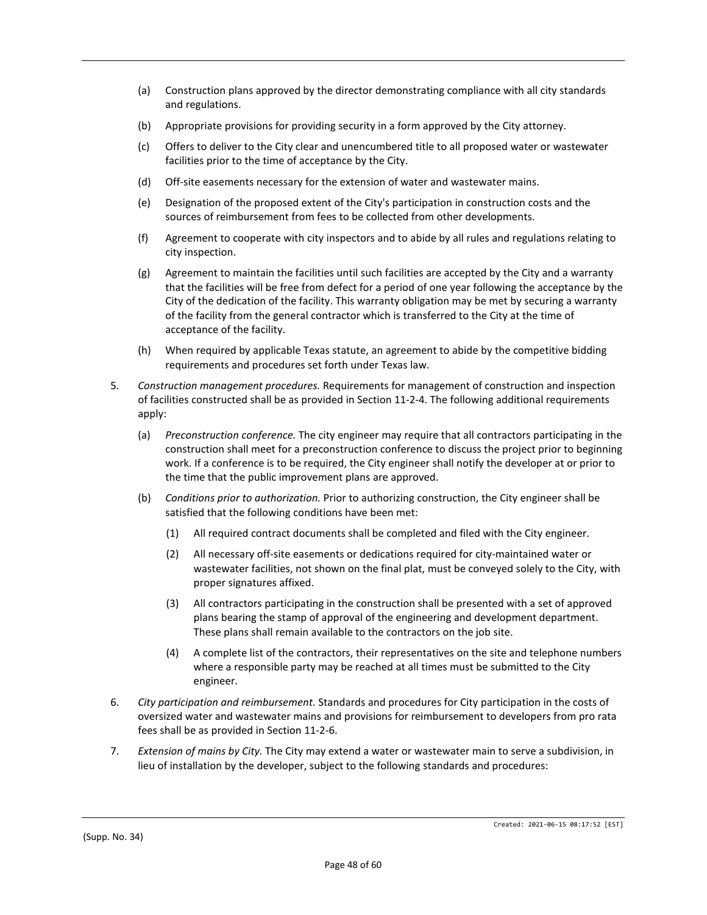- (a) Construction plans approved by the director demonstrating compliance with all city standards and regulations.
- (b) Appropriate provisions for providing security in a form approved by the City attorney.
- (c) Offers to deliver to the City clear and unencumbered title to all proposed water or wastewater facilities prior to the time of acceptance by the City.
- (d) Off-site easements necessary for the extension of water and wastewater mains.
- (e) Designation of the proposed extent of the City's participation in construction costs and the sources of reimbursement from fees to be collected from other developments.
- (f) Agreement to cooperate with city inspectors and to abide by all rules and regulations relating to city inspection.
- (g) Agreement to maintain the facilities until such facilities are accepted by the City and a warranty that the facilities will be free from defect for a period of one year following the acceptance by the City of the dedication of the facility. This warranty obligation may be met by securing a warranty of the facility from the general contractor which is transferred to the City at the time of acceptance of the facility.
- (h) When required by applicable Texas statute, an agreement to abide by the competitive bidding requirements and procedures set forth under Texas law.
- 5. *Construction management procedures.* Requirements for management of construction and inspection of facilities constructed shall be as provided in Section 11-2-4. The following additional requirements apply:
	- (a) *Preconstruction conference.* The city engineer may require that all contractors participating in the construction shall meet for a preconstruction conference to discuss the project prior to beginning work. If a conference is to be required, the City engineer shall notify the developer at or prior to the time that the public improvement plans are approved.
	- (b) *Conditions prior to authorization.* Prior to authorizing construction, the City engineer shall be satisfied that the following conditions have been met:
		- (1) All required contract documents shall be completed and filed with the City engineer.
		- (2) All necessary off-site easements or dedications required for city-maintained water or wastewater facilities, not shown on the final plat, must be conveyed solely to the City, with proper signatures affixed.
		- (3) All contractors participating in the construction shall be presented with a set of approved plans bearing the stamp of approval of the engineering and development department. These plans shall remain available to the contractors on the job site.
		- (4) A complete list of the contractors, their representatives on the site and telephone numbers where a responsible party may be reached at all times must be submitted to the City engineer.
- 6. *City participation and reimbursement.* Standards and procedures for City participation in the costs of oversized water and wastewater mains and provisions for reimbursement to developers from pro rata fees shall be as provided in Section 11-2-6.
- 7. *Extension of mains by City.* The City may extend a water or wastewater main to serve a subdivision, in lieu of installation by the developer, subject to the following standards and procedures: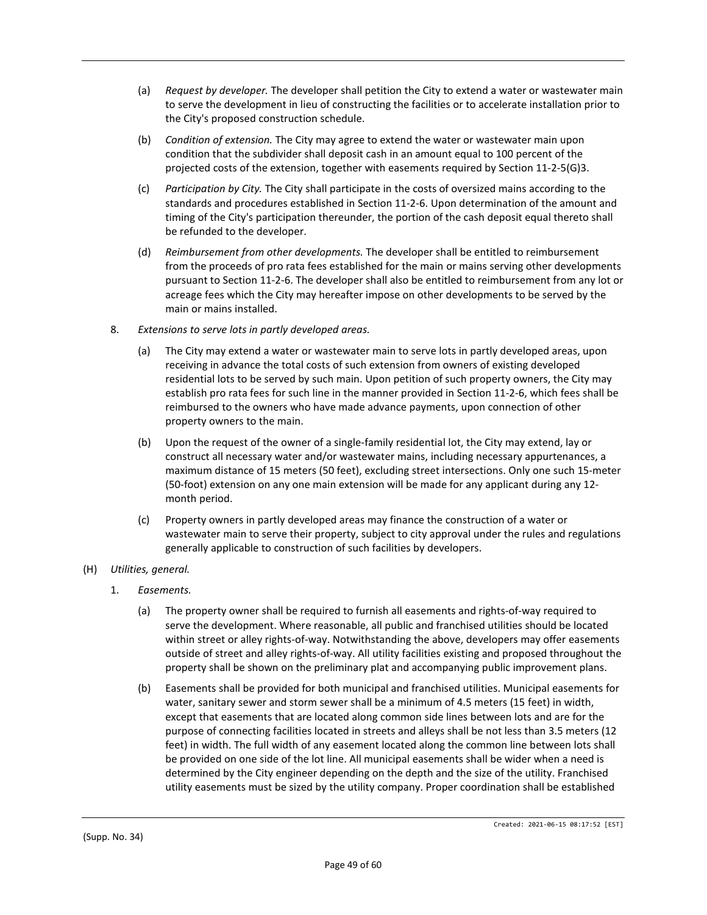- (a) *Request by developer.* The developer shall petition the City to extend a water or wastewater main to serve the development in lieu of constructing the facilities or to accelerate installation prior to the City's proposed construction schedule.
- (b) *Condition of extension.* The City may agree to extend the water or wastewater main upon condition that the subdivider shall deposit cash in an amount equal to 100 percent of the projected costs of the extension, together with easements required by Section 11-2-5(G)3.
- (c) *Participation by City.* The City shall participate in the costs of oversized mains according to the standards and procedures established in Section 11-2-6. Upon determination of the amount and timing of the City's participation thereunder, the portion of the cash deposit equal thereto shall be refunded to the developer.
- (d) *Reimbursement from other developments.* The developer shall be entitled to reimbursement from the proceeds of pro rata fees established for the main or mains serving other developments pursuant to Section 11-2-6. The developer shall also be entitled to reimbursement from any lot or acreage fees which the City may hereafter impose on other developments to be served by the main or mains installed.
- 8. *Extensions to serve lots in partly developed areas.*
	- (a) The City may extend a water or wastewater main to serve lots in partly developed areas, upon receiving in advance the total costs of such extension from owners of existing developed residential lots to be served by such main. Upon petition of such property owners, the City may establish pro rata fees for such line in the manner provided in Section 11-2-6, which fees shall be reimbursed to the owners who have made advance payments, upon connection of other property owners to the main.
	- (b) Upon the request of the owner of a single-family residential lot, the City may extend, lay or construct all necessary water and/or wastewater mains, including necessary appurtenances, a maximum distance of 15 meters (50 feet), excluding street intersections. Only one such 15-meter (50-foot) extension on any one main extension will be made for any applicant during any 12 month period.
	- (c) Property owners in partly developed areas may finance the construction of a water or wastewater main to serve their property, subject to city approval under the rules and regulations generally applicable to construction of such facilities by developers.

## (H) *Utilities, general.*

- 1. *Easements.*
	- (a) The property owner shall be required to furnish all easements and rights-of-way required to serve the development. Where reasonable, all public and franchised utilities should be located within street or alley rights-of-way. Notwithstanding the above, developers may offer easements outside of street and alley rights-of-way. All utility facilities existing and proposed throughout the property shall be shown on the preliminary plat and accompanying public improvement plans.
	- (b) Easements shall be provided for both municipal and franchised utilities. Municipal easements for water, sanitary sewer and storm sewer shall be a minimum of 4.5 meters (15 feet) in width, except that easements that are located along common side lines between lots and are for the purpose of connecting facilities located in streets and alleys shall be not less than 3.5 meters (12 feet) in width. The full width of any easement located along the common line between lots shall be provided on one side of the lot line. All municipal easements shall be wider when a need is determined by the City engineer depending on the depth and the size of the utility. Franchised utility easements must be sized by the utility company. Proper coordination shall be established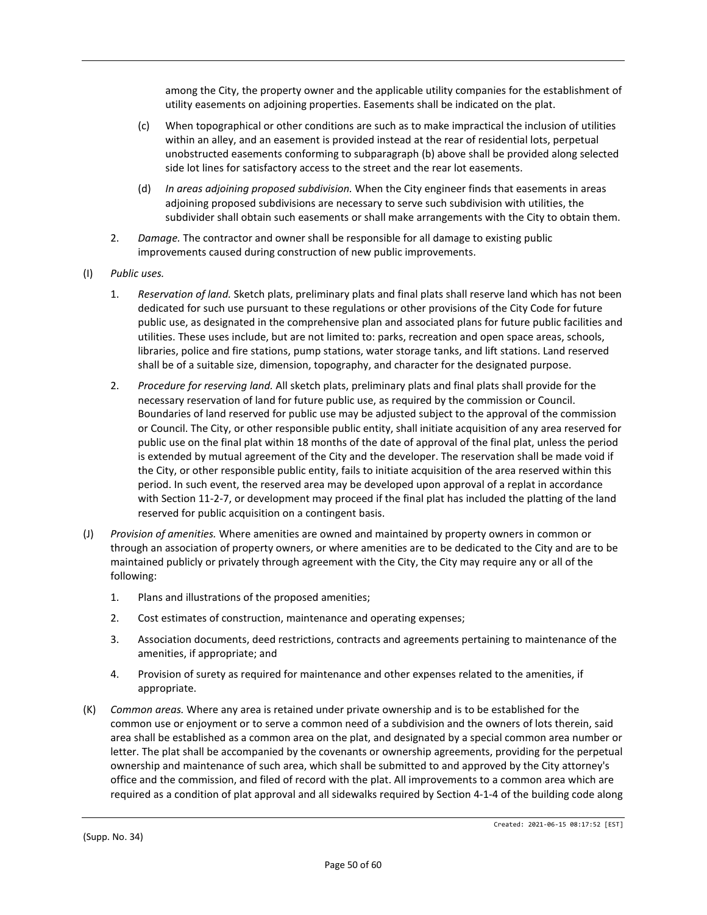among the City, the property owner and the applicable utility companies for the establishment of utility easements on adjoining properties. Easements shall be indicated on the plat.

- (c) When topographical or other conditions are such as to make impractical the inclusion of utilities within an alley, and an easement is provided instead at the rear of residential lots, perpetual unobstructed easements conforming to subparagraph (b) above shall be provided along selected side lot lines for satisfactory access to the street and the rear lot easements.
- (d) *In areas adjoining proposed subdivision.* When the City engineer finds that easements in areas adjoining proposed subdivisions are necessary to serve such subdivision with utilities, the subdivider shall obtain such easements or shall make arrangements with the City to obtain them.
- 2. *Damage.* The contractor and owner shall be responsible for all damage to existing public improvements caused during construction of new public improvements.
- (I) *Public uses.*
	- 1. *Reservation of land.* Sketch plats, preliminary plats and final plats shall reserve land which has not been dedicated for such use pursuant to these regulations or other provisions of the City Code for future public use, as designated in the comprehensive plan and associated plans for future public facilities and utilities. These uses include, but are not limited to: parks, recreation and open space areas, schools, libraries, police and fire stations, pump stations, water storage tanks, and lift stations. Land reserved shall be of a suitable size, dimension, topography, and character for the designated purpose.
	- 2. *Procedure for reserving land.* All sketch plats, preliminary plats and final plats shall provide for the necessary reservation of land for future public use, as required by the commission or Council. Boundaries of land reserved for public use may be adjusted subject to the approval of the commission or Council. The City, or other responsible public entity, shall initiate acquisition of any area reserved for public use on the final plat within 18 months of the date of approval of the final plat, unless the period is extended by mutual agreement of the City and the developer. The reservation shall be made void if the City, or other responsible public entity, fails to initiate acquisition of the area reserved within this period. In such event, the reserved area may be developed upon approval of a replat in accordance with Section 11-2-7, or development may proceed if the final plat has included the platting of the land reserved for public acquisition on a contingent basis.
- (J) *Provision of amenities.* Where amenities are owned and maintained by property owners in common or through an association of property owners, or where amenities are to be dedicated to the City and are to be maintained publicly or privately through agreement with the City, the City may require any or all of the following:
	- 1. Plans and illustrations of the proposed amenities;
	- 2. Cost estimates of construction, maintenance and operating expenses;
	- 3. Association documents, deed restrictions, contracts and agreements pertaining to maintenance of the amenities, if appropriate; and
	- 4. Provision of surety as required for maintenance and other expenses related to the amenities, if appropriate.
- (K) *Common areas.* Where any area is retained under private ownership and is to be established for the common use or enjoyment or to serve a common need of a subdivision and the owners of lots therein, said area shall be established as a common area on the plat, and designated by a special common area number or letter. The plat shall be accompanied by the covenants or ownership agreements, providing for the perpetual ownership and maintenance of such area, which shall be submitted to and approved by the City attorney's office and the commission, and filed of record with the plat. All improvements to a common area which are required as a condition of plat approval and all sidewalks required by Section 4-1-4 of the building code along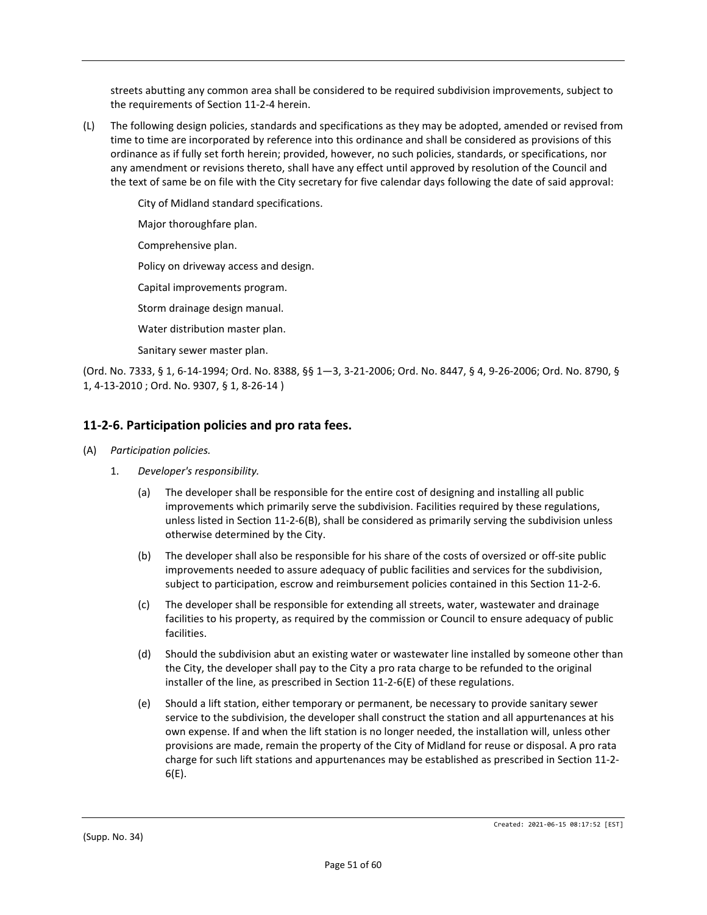streets abutting any common area shall be considered to be required subdivision improvements, subject to the requirements of Section 11-2-4 herein.

(L) The following design policies, standards and specifications as they may be adopted, amended or revised from time to time are incorporated by reference into this ordinance and shall be considered as provisions of this ordinance as if fully set forth herein; provided, however, no such policies, standards, or specifications, nor any amendment or revisions thereto, shall have any effect until approved by resolution of the Council and the text of same be on file with the City secretary for five calendar days following the date of said approval:

City of Midland standard specifications.

Major thoroughfare plan.

Comprehensive plan.

Policy on driveway access and design.

Capital improvements program.

Storm drainage design manual.

Water distribution master plan.

Sanitary sewer master plan.

(Ord. No. 7333, § 1, 6-14-1994; Ord. No. 8388, §§ 1—3, 3-21-2006; Ord. No. 8447, § 4, 9-26-2006; Ord. No. 8790, § 1, 4-13-2010 ; Ord. No. 9307, § 1, 8-26-14 )

## **11-2-6. Participation policies and pro rata fees.**

#### (A) *Participation policies.*

- 1. *Developer's responsibility.*
	- (a) The developer shall be responsible for the entire cost of designing and installing all public improvements which primarily serve the subdivision. Facilities required by these regulations, unless listed in Section 11-2-6(B), shall be considered as primarily serving the subdivision unless otherwise determined by the City.
	- (b) The developer shall also be responsible for his share of the costs of oversized or off-site public improvements needed to assure adequacy of public facilities and services for the subdivision, subject to participation, escrow and reimbursement policies contained in this Section 11-2-6.
	- (c) The developer shall be responsible for extending all streets, water, wastewater and drainage facilities to his property, as required by the commission or Council to ensure adequacy of public facilities.
	- (d) Should the subdivision abut an existing water or wastewater line installed by someone other than the City, the developer shall pay to the City a pro rata charge to be refunded to the original installer of the line, as prescribed in Section 11-2-6(E) of these regulations.
	- (e) Should a lift station, either temporary or permanent, be necessary to provide sanitary sewer service to the subdivision, the developer shall construct the station and all appurtenances at his own expense. If and when the lift station is no longer needed, the installation will, unless other provisions are made, remain the property of the City of Midland for reuse or disposal. A pro rata charge for such lift stations and appurtenances may be established as prescribed in Section 11-2- 6(E).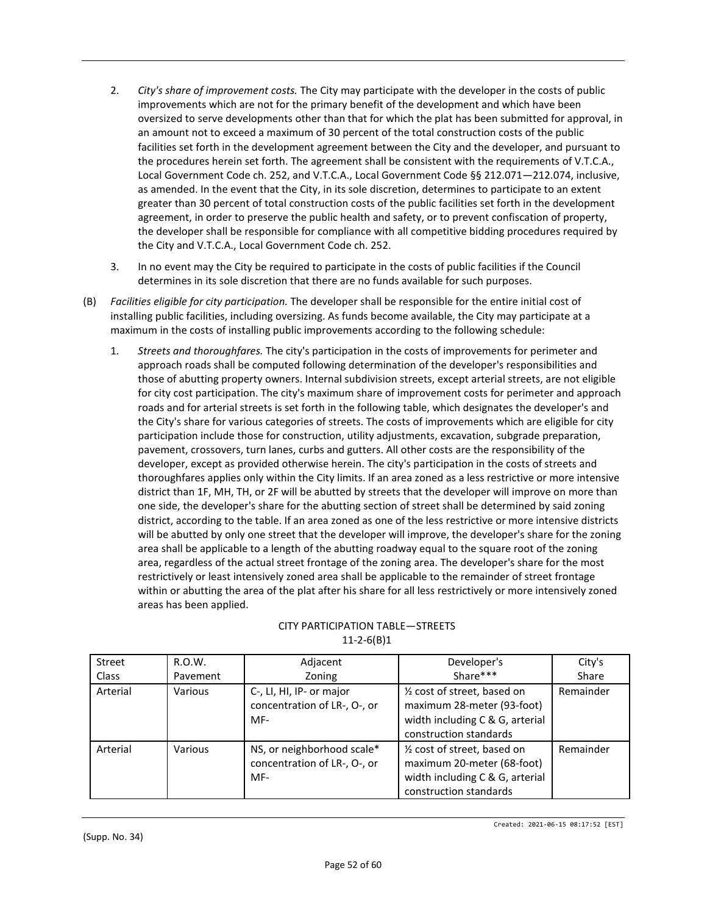- 2. *City's share of improvement costs.* The City may participate with the developer in the costs of public improvements which are not for the primary benefit of the development and which have been oversized to serve developments other than that for which the plat has been submitted for approval, in an amount not to exceed a maximum of 30 percent of the total construction costs of the public facilities set forth in the development agreement between the City and the developer, and pursuant to the procedures herein set forth. The agreement shall be consistent with the requirements of V.T.C.A., Local Government Code ch. 252, and V.T.C.A., Local Government Code §§ 212.071—212.074, inclusive, as amended. In the event that the City, in its sole discretion, determines to participate to an extent greater than 30 percent of total construction costs of the public facilities set forth in the development agreement, in order to preserve the public health and safety, or to prevent confiscation of property, the developer shall be responsible for compliance with all competitive bidding procedures required by the City and V.T.C.A., Local Government Code ch. 252.
- 3. In no event may the City be required to participate in the costs of public facilities if the Council determines in its sole discretion that there are no funds available for such purposes.
- (B) *Facilities eligible for city participation.* The developer shall be responsible for the entire initial cost of installing public facilities, including oversizing. As funds become available, the City may participate at a maximum in the costs of installing public improvements according to the following schedule:
	- 1. *Streets and thoroughfares.* The city's participation in the costs of improvements for perimeter and approach roads shall be computed following determination of the developer's responsibilities and those of abutting property owners. Internal subdivision streets, except arterial streets, are not eligible for city cost participation. The city's maximum share of improvement costs for perimeter and approach roads and for arterial streets is set forth in the following table, which designates the developer's and the City's share for various categories of streets. The costs of improvements which are eligible for city participation include those for construction, utility adjustments, excavation, subgrade preparation, pavement, crossovers, turn lanes, curbs and gutters. All other costs are the responsibility of the developer, except as provided otherwise herein. The city's participation in the costs of streets and thoroughfares applies only within the City limits. If an area zoned as a less restrictive or more intensive district than 1F, MH, TH, or 2F will be abutted by streets that the developer will improve on more than one side, the developer's share for the abutting section of street shall be determined by said zoning district, according to the table. If an area zoned as one of the less restrictive or more intensive districts will be abutted by only one street that the developer will improve, the developer's share for the zoning area shall be applicable to a length of the abutting roadway equal to the square root of the zoning area, regardless of the actual street frontage of the zoning area. The developer's share for the most restrictively or least intensively zoned area shall be applicable to the remainder of street frontage within or abutting the area of the plat after his share for all less restrictively or more intensively zoned areas has been applied.

| Street       | R.O.W.   | Adjacent                                                          | Developer's                                                                                                                         | City's    |
|--------------|----------|-------------------------------------------------------------------|-------------------------------------------------------------------------------------------------------------------------------------|-----------|
| <b>Class</b> | Pavement | Zoning                                                            | Share***                                                                                                                            | Share     |
| Arterial     | Various  | C-, LI, HI, IP- or major<br>concentration of LR-, O-, or<br>MF-   | 1/ <sub>2</sub> cost of street, based on<br>maximum 28-meter (93-foot)<br>width including C & G, arterial<br>construction standards | Remainder |
| Arterial     | Various  | NS, or neighborhood scale*<br>concentration of LR-, O-, or<br>MF- | 1/ <sub>2</sub> cost of street, based on<br>maximum 20-meter (68-foot)<br>width including C & G, arterial<br>construction standards | Remainder |

#### CITY PARTICIPATION TABLE—STREETS 11-2-6(B)1

Created: 2021-06-15 08:17:52 [EST]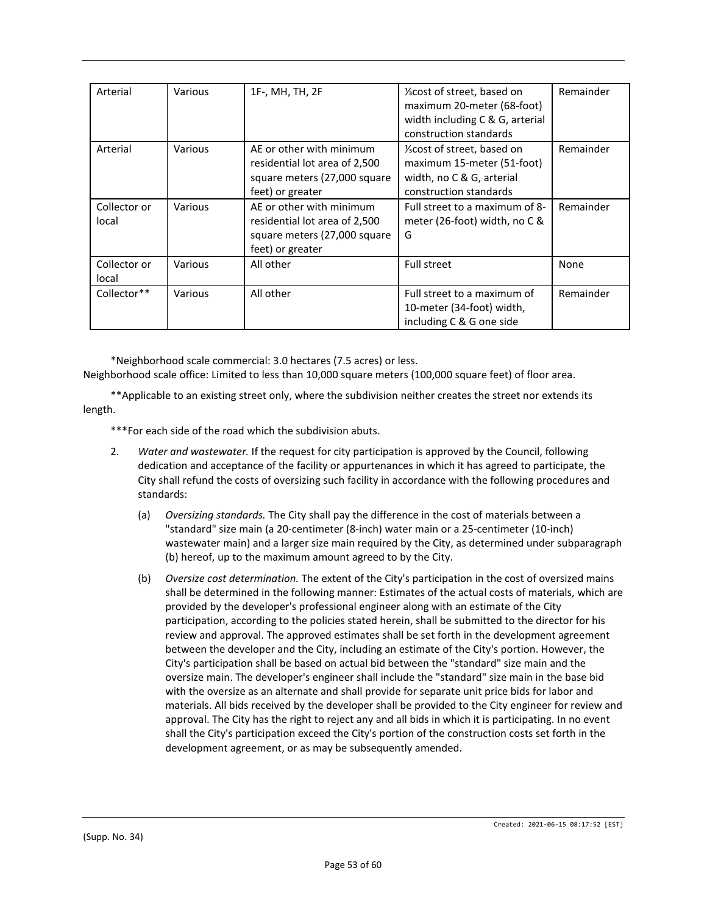| Arterial              | Various | 1F-, MH, TH, 2F                                                                                               | 1/ <sub>3</sub> cost of street, based on<br>maximum 20-meter (68-foot)<br>width including C & G, arterial<br>construction standards | Remainder |
|-----------------------|---------|---------------------------------------------------------------------------------------------------------------|-------------------------------------------------------------------------------------------------------------------------------------|-----------|
| Arterial              | Various | AE or other with minimum<br>residential lot area of 2,500<br>square meters (27,000 square<br>feet) or greater | 1/ <sub>3</sub> cost of street, based on<br>maximum 15-meter (51-foot)<br>width, no C & G, arterial<br>construction standards       | Remainder |
| Collector or<br>local | Various | AE or other with minimum<br>residential lot area of 2,500<br>square meters (27,000 square<br>feet) or greater | Full street to a maximum of 8-<br>meter (26-foot) width, no $C$ &<br>G                                                              | Remainder |
| Collector or<br>local | Various | All other                                                                                                     | <b>Full street</b>                                                                                                                  | None      |
| Collector**           | Various | All other                                                                                                     | Full street to a maximum of<br>10-meter (34-foot) width,<br>including C & G one side                                                | Remainder |

\*Neighborhood scale commercial: 3.0 hectares (7.5 acres) or less.

Neighborhood scale office: Limited to less than 10,000 square meters (100,000 square feet) of floor area.

\*\*Applicable to an existing street only, where the subdivision neither creates the street nor extends its length.

\*\*\*For each side of the road which the subdivision abuts.

- 2. *Water and wastewater.* If the request for city participation is approved by the Council, following dedication and acceptance of the facility or appurtenances in which it has agreed to participate, the City shall refund the costs of oversizing such facility in accordance with the following procedures and standards:
	- (a) *Oversizing standards.* The City shall pay the difference in the cost of materials between a "standard" size main (a 20-centimeter (8-inch) water main or a 25-centimeter (10-inch) wastewater main) and a larger size main required by the City, as determined under subparagraph (b) hereof, up to the maximum amount agreed to by the City.
	- (b) *Oversize cost determination.* The extent of the City's participation in the cost of oversized mains shall be determined in the following manner: Estimates of the actual costs of materials, which are provided by the developer's professional engineer along with an estimate of the City participation, according to the policies stated herein, shall be submitted to the director for his review and approval. The approved estimates shall be set forth in the development agreement between the developer and the City, including an estimate of the City's portion. However, the City's participation shall be based on actual bid between the "standard" size main and the oversize main. The developer's engineer shall include the "standard" size main in the base bid with the oversize as an alternate and shall provide for separate unit price bids for labor and materials. All bids received by the developer shall be provided to the City engineer for review and approval. The City has the right to reject any and all bids in which it is participating. In no event shall the City's participation exceed the City's portion of the construction costs set forth in the development agreement, or as may be subsequently amended.

Created: 2021-06-15 08:17:52 [EST]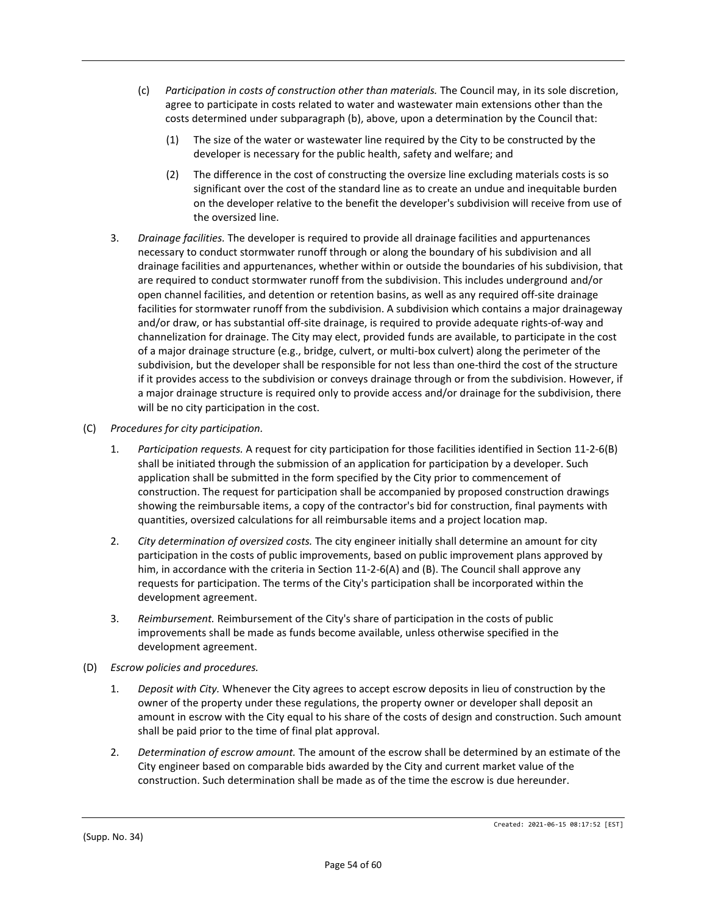- (c) *Participation in costs of construction other than materials.* The Council may, in its sole discretion, agree to participate in costs related to water and wastewater main extensions other than the costs determined under subparagraph (b), above, upon a determination by the Council that:
	- (1) The size of the water or wastewater line required by the City to be constructed by the developer is necessary for the public health, safety and welfare; and
	- (2) The difference in the cost of constructing the oversize line excluding materials costs is so significant over the cost of the standard line as to create an undue and inequitable burden on the developer relative to the benefit the developer's subdivision will receive from use of the oversized line.
- 3. *Drainage facilities.* The developer is required to provide all drainage facilities and appurtenances necessary to conduct stormwater runoff through or along the boundary of his subdivision and all drainage facilities and appurtenances, whether within or outside the boundaries of his subdivision, that are required to conduct stormwater runoff from the subdivision. This includes underground and/or open channel facilities, and detention or retention basins, as well as any required off-site drainage facilities for stormwater runoff from the subdivision. A subdivision which contains a major drainageway and/or draw, or has substantial off-site drainage, is required to provide adequate rights-of-way and channelization for drainage. The City may elect, provided funds are available, to participate in the cost of a major drainage structure (e.g., bridge, culvert, or multi-box culvert) along the perimeter of the subdivision, but the developer shall be responsible for not less than one-third the cost of the structure if it provides access to the subdivision or conveys drainage through or from the subdivision. However, if a major drainage structure is required only to provide access and/or drainage for the subdivision, there will be no city participation in the cost.
- (C) *Procedures for city participation.*
	- 1. *Participation requests.* A request for city participation for those facilities identified in Section 11-2-6(B) shall be initiated through the submission of an application for participation by a developer. Such application shall be submitted in the form specified by the City prior to commencement of construction. The request for participation shall be accompanied by proposed construction drawings showing the reimbursable items, a copy of the contractor's bid for construction, final payments with quantities, oversized calculations for all reimbursable items and a project location map.
	- 2. *City determination of oversized costs.* The city engineer initially shall determine an amount for city participation in the costs of public improvements, based on public improvement plans approved by him, in accordance with the criteria in Section 11-2-6(A) and (B). The Council shall approve any requests for participation. The terms of the City's participation shall be incorporated within the development agreement.
	- 3. *Reimbursement.* Reimbursement of the City's share of participation in the costs of public improvements shall be made as funds become available, unless otherwise specified in the development agreement.
- (D) *Escrow policies and procedures.*
	- 1. *Deposit with City.* Whenever the City agrees to accept escrow deposits in lieu of construction by the owner of the property under these regulations, the property owner or developer shall deposit an amount in escrow with the City equal to his share of the costs of design and construction. Such amount shall be paid prior to the time of final plat approval.
	- 2. *Determination of escrow amount.* The amount of the escrow shall be determined by an estimate of the City engineer based on comparable bids awarded by the City and current market value of the construction. Such determination shall be made as of the time the escrow is due hereunder.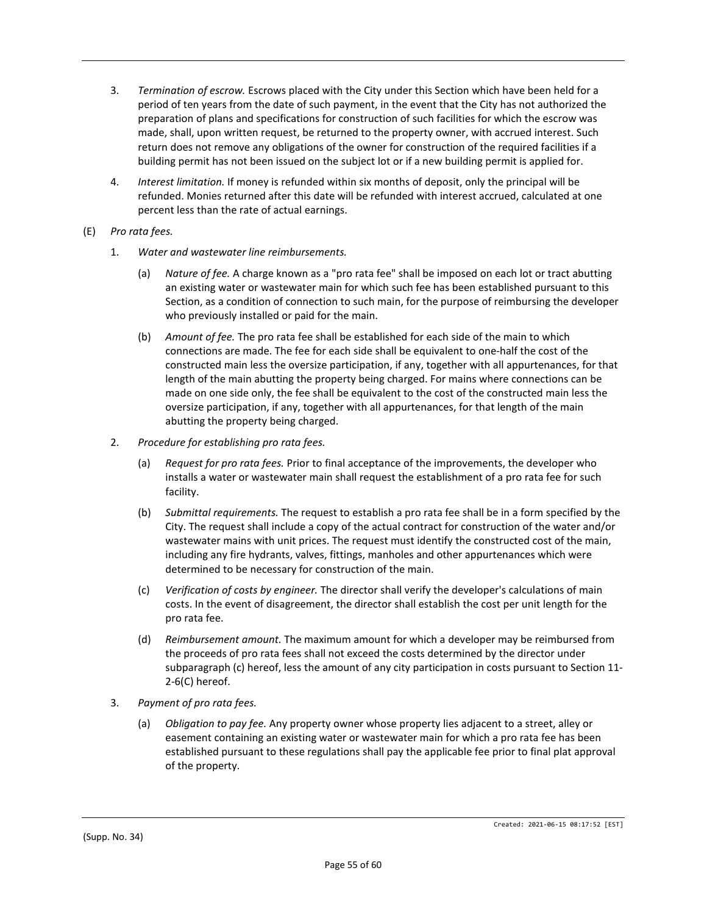- 3. *Termination of escrow.* Escrows placed with the City under this Section which have been held for a period of ten years from the date of such payment, in the event that the City has not authorized the preparation of plans and specifications for construction of such facilities for which the escrow was made, shall, upon written request, be returned to the property owner, with accrued interest. Such return does not remove any obligations of the owner for construction of the required facilities if a building permit has not been issued on the subject lot or if a new building permit is applied for.
- 4. *Interest limitation.* If money is refunded within six months of deposit, only the principal will be refunded. Monies returned after this date will be refunded with interest accrued, calculated at one percent less than the rate of actual earnings.
- (E) *Pro rata fees.*
	- 1. *Water and wastewater line reimbursements.*
		- (a) *Nature of fee.* A charge known as a "pro rata fee" shall be imposed on each lot or tract abutting an existing water or wastewater main for which such fee has been established pursuant to this Section, as a condition of connection to such main, for the purpose of reimbursing the developer who previously installed or paid for the main.
		- (b) *Amount of fee.* The pro rata fee shall be established for each side of the main to which connections are made. The fee for each side shall be equivalent to one-half the cost of the constructed main less the oversize participation, if any, together with all appurtenances, for that length of the main abutting the property being charged. For mains where connections can be made on one side only, the fee shall be equivalent to the cost of the constructed main less the oversize participation, if any, together with all appurtenances, for that length of the main abutting the property being charged.
	- 2. *Procedure for establishing pro rata fees.*
		- (a) *Request for pro rata fees.* Prior to final acceptance of the improvements, the developer who installs a water or wastewater main shall request the establishment of a pro rata fee for such facility.
		- (b) *Submittal requirements.* The request to establish a pro rata fee shall be in a form specified by the City. The request shall include a copy of the actual contract for construction of the water and/or wastewater mains with unit prices. The request must identify the constructed cost of the main, including any fire hydrants, valves, fittings, manholes and other appurtenances which were determined to be necessary for construction of the main.
		- (c) *Verification of costs by engineer.* The director shall verify the developer's calculations of main costs. In the event of disagreement, the director shall establish the cost per unit length for the pro rata fee.
		- (d) *Reimbursement amount.* The maximum amount for which a developer may be reimbursed from the proceeds of pro rata fees shall not exceed the costs determined by the director under subparagraph (c) hereof, less the amount of any city participation in costs pursuant to Section 11- 2-6(C) hereof.
	- 3. *Payment of pro rata fees.*
		- (a) *Obligation to pay fee.* Any property owner whose property lies adjacent to a street, alley or easement containing an existing water or wastewater main for which a pro rata fee has been established pursuant to these regulations shall pay the applicable fee prior to final plat approval of the property.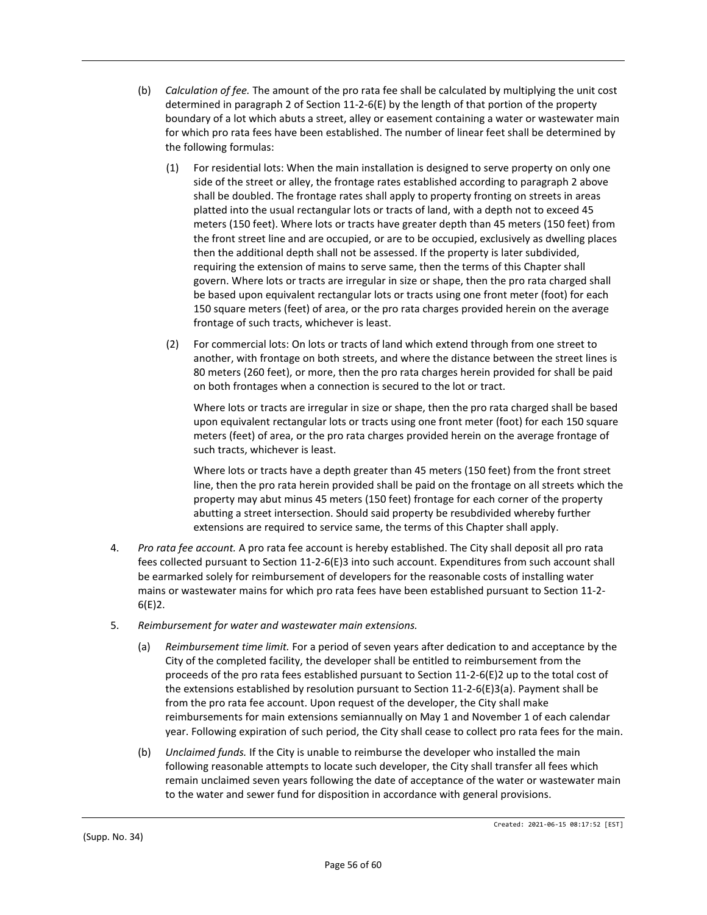- (b) *Calculation of fee.* The amount of the pro rata fee shall be calculated by multiplying the unit cost determined in paragraph 2 of Section 11-2-6(E) by the length of that portion of the property boundary of a lot which abuts a street, alley or easement containing a water or wastewater main for which pro rata fees have been established. The number of linear feet shall be determined by the following formulas:
	- (1) For residential lots: When the main installation is designed to serve property on only one side of the street or alley, the frontage rates established according to paragraph 2 above shall be doubled. The frontage rates shall apply to property fronting on streets in areas platted into the usual rectangular lots or tracts of land, with a depth not to exceed 45 meters (150 feet). Where lots or tracts have greater depth than 45 meters (150 feet) from the front street line and are occupied, or are to be occupied, exclusively as dwelling places then the additional depth shall not be assessed. If the property is later subdivided, requiring the extension of mains to serve same, then the terms of this Chapter shall govern. Where lots or tracts are irregular in size or shape, then the pro rata charged shall be based upon equivalent rectangular lots or tracts using one front meter (foot) for each 150 square meters (feet) of area, or the pro rata charges provided herein on the average frontage of such tracts, whichever is least.
	- (2) For commercial lots: On lots or tracts of land which extend through from one street to another, with frontage on both streets, and where the distance between the street lines is 80 meters (260 feet), or more, then the pro rata charges herein provided for shall be paid on both frontages when a connection is secured to the lot or tract.

Where lots or tracts are irregular in size or shape, then the pro rata charged shall be based upon equivalent rectangular lots or tracts using one front meter (foot) for each 150 square meters (feet) of area, or the pro rata charges provided herein on the average frontage of such tracts, whichever is least.

Where lots or tracts have a depth greater than 45 meters (150 feet) from the front street line, then the pro rata herein provided shall be paid on the frontage on all streets which the property may abut minus 45 meters (150 feet) frontage for each corner of the property abutting a street intersection. Should said property be resubdivided whereby further extensions are required to service same, the terms of this Chapter shall apply.

- 4. *Pro rata fee account.* A pro rata fee account is hereby established. The City shall deposit all pro rata fees collected pursuant to Section 11-2-6(E)3 into such account. Expenditures from such account shall be earmarked solely for reimbursement of developers for the reasonable costs of installing water mains or wastewater mains for which pro rata fees have been established pursuant to Section 11-2- 6(E)2.
- 5. *Reimbursement for water and wastewater main extensions.*
	- (a) *Reimbursement time limit.* For a period of seven years after dedication to and acceptance by the City of the completed facility, the developer shall be entitled to reimbursement from the proceeds of the pro rata fees established pursuant to Section 11-2-6(E)2 up to the total cost of the extensions established by resolution pursuant to Section 11-2-6(E)3(a). Payment shall be from the pro rata fee account. Upon request of the developer, the City shall make reimbursements for main extensions semiannually on May 1 and November 1 of each calendar year. Following expiration of such period, the City shall cease to collect pro rata fees for the main.
	- (b) *Unclaimed funds.* If the City is unable to reimburse the developer who installed the main following reasonable attempts to locate such developer, the City shall transfer all fees which remain unclaimed seven years following the date of acceptance of the water or wastewater main to the water and sewer fund for disposition in accordance with general provisions.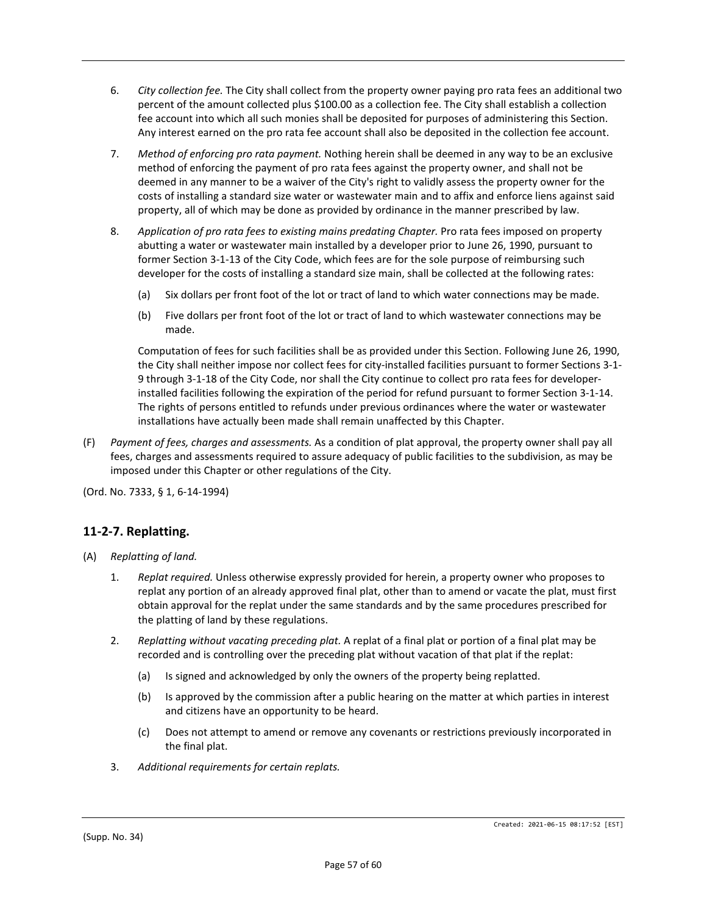- 6. *City collection fee.* The City shall collect from the property owner paying pro rata fees an additional two percent of the amount collected plus \$100.00 as a collection fee. The City shall establish a collection fee account into which all such monies shall be deposited for purposes of administering this Section. Any interest earned on the pro rata fee account shall also be deposited in the collection fee account.
- 7. *Method of enforcing pro rata payment.* Nothing herein shall be deemed in any way to be an exclusive method of enforcing the payment of pro rata fees against the property owner, and shall not be deemed in any manner to be a waiver of the City's right to validly assess the property owner for the costs of installing a standard size water or wastewater main and to affix and enforce liens against said property, all of which may be done as provided by ordinance in the manner prescribed by law.
- 8. *Application of pro rata fees to existing mains predating Chapter.* Pro rata fees imposed on property abutting a water or wastewater main installed by a developer prior to June 26, 1990, pursuant to former Section 3-1-13 of the City Code, which fees are for the sole purpose of reimbursing such developer for the costs of installing a standard size main, shall be collected at the following rates:
	- (a) Six dollars per front foot of the lot or tract of land to which water connections may be made.
	- (b) Five dollars per front foot of the lot or tract of land to which wastewater connections may be made.

Computation of fees for such facilities shall be as provided under this Section. Following June 26, 1990, the City shall neither impose nor collect fees for city-installed facilities pursuant to former Sections 3-1- 9 through 3-1-18 of the City Code, nor shall the City continue to collect pro rata fees for developerinstalled facilities following the expiration of the period for refund pursuant to former Section 3-1-14. The rights of persons entitled to refunds under previous ordinances where the water or wastewater installations have actually been made shall remain unaffected by this Chapter.

(F) *Payment of fees, charges and assessments.* As a condition of plat approval, the property owner shall pay all fees, charges and assessments required to assure adequacy of public facilities to the subdivision, as may be imposed under this Chapter or other regulations of the City.

(Ord. No. 7333, § 1, 6-14-1994)

# **11-2-7. Replatting.**

- (A) *Replatting of land.*
	- 1. *Replat required.* Unless otherwise expressly provided for herein, a property owner who proposes to replat any portion of an already approved final plat, other than to amend or vacate the plat, must first obtain approval for the replat under the same standards and by the same procedures prescribed for the platting of land by these regulations.
	- 2. *Replatting without vacating preceding plat.* A replat of a final plat or portion of a final plat may be recorded and is controlling over the preceding plat without vacation of that plat if the replat:
		- (a) Is signed and acknowledged by only the owners of the property being replatted.
		- (b) Is approved by the commission after a public hearing on the matter at which parties in interest and citizens have an opportunity to be heard.
		- (c) Does not attempt to amend or remove any covenants or restrictions previously incorporated in the final plat.
	- 3. *Additional requirements for certain replats.*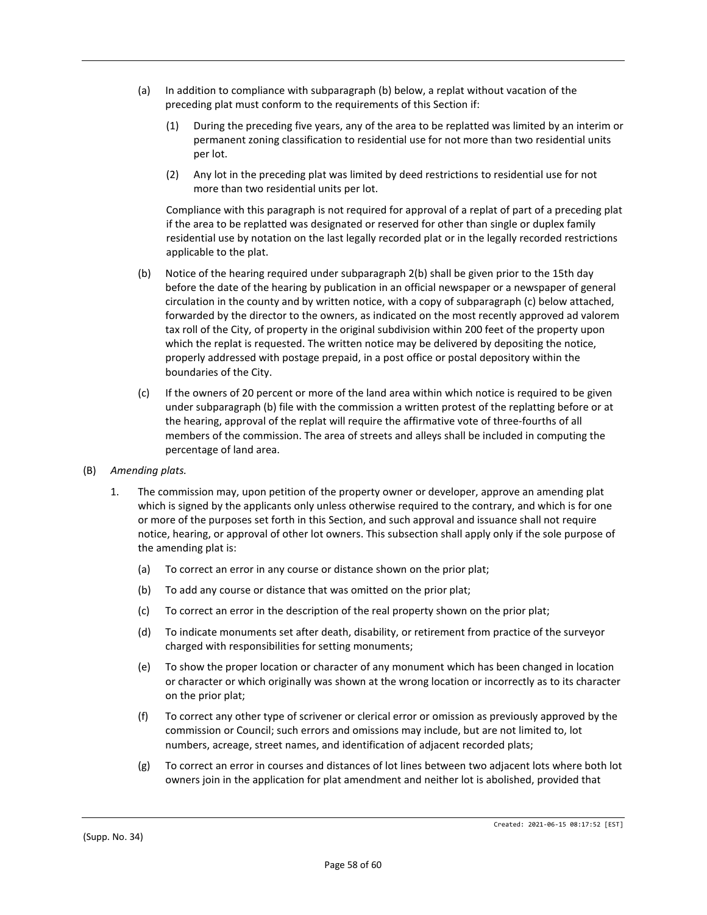- (a) In addition to compliance with subparagraph (b) below, a replat without vacation of the preceding plat must conform to the requirements of this Section if:
	- (1) During the preceding five years, any of the area to be replatted was limited by an interim or permanent zoning classification to residential use for not more than two residential units per lot.
	- (2) Any lot in the preceding plat was limited by deed restrictions to residential use for not more than two residential units per lot.

Compliance with this paragraph is not required for approval of a replat of part of a preceding plat if the area to be replatted was designated or reserved for other than single or duplex family residential use by notation on the last legally recorded plat or in the legally recorded restrictions applicable to the plat.

- (b) Notice of the hearing required under subparagraph 2(b) shall be given prior to the 15th day before the date of the hearing by publication in an official newspaper or a newspaper of general circulation in the county and by written notice, with a copy of subparagraph (c) below attached, forwarded by the director to the owners, as indicated on the most recently approved ad valorem tax roll of the City, of property in the original subdivision within 200 feet of the property upon which the replat is requested. The written notice may be delivered by depositing the notice, properly addressed with postage prepaid, in a post office or postal depository within the boundaries of the City.
- (c) If the owners of 20 percent or more of the land area within which notice is required to be given under subparagraph (b) file with the commission a written protest of the replatting before or at the hearing, approval of the replat will require the affirmative vote of three-fourths of all members of the commission. The area of streets and alleys shall be included in computing the percentage of land area.
- (B) *Amending plats.*
	- 1. The commission may, upon petition of the property owner or developer, approve an amending plat which is signed by the applicants only unless otherwise required to the contrary, and which is for one or more of the purposes set forth in this Section, and such approval and issuance shall not require notice, hearing, or approval of other lot owners. This subsection shall apply only if the sole purpose of the amending plat is:
		- (a) To correct an error in any course or distance shown on the prior plat;
		- (b) To add any course or distance that was omitted on the prior plat;
		- (c) To correct an error in the description of the real property shown on the prior plat;
		- (d) To indicate monuments set after death, disability, or retirement from practice of the surveyor charged with responsibilities for setting monuments;
		- (e) To show the proper location or character of any monument which has been changed in location or character or which originally was shown at the wrong location or incorrectly as to its character on the prior plat;
		- (f) To correct any other type of scrivener or clerical error or omission as previously approved by the commission or Council; such errors and omissions may include, but are not limited to, lot numbers, acreage, street names, and identification of adjacent recorded plats;
		- (g) To correct an error in courses and distances of lot lines between two adjacent lots where both lot owners join in the application for plat amendment and neither lot is abolished, provided that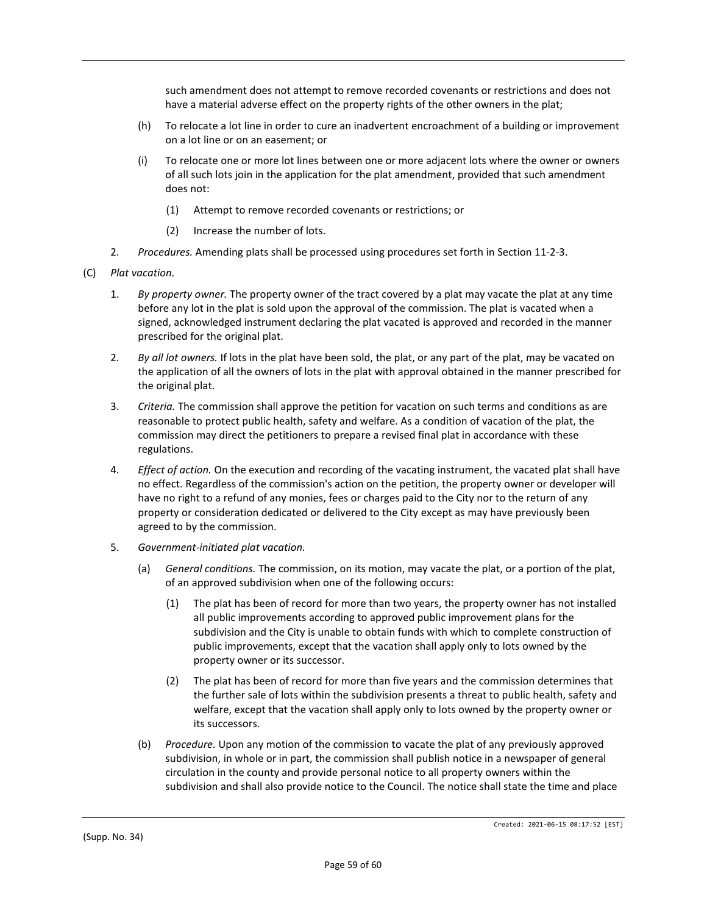such amendment does not attempt to remove recorded covenants or restrictions and does not have a material adverse effect on the property rights of the other owners in the plat;

- (h) To relocate a lot line in order to cure an inadvertent encroachment of a building or improvement on a lot line or on an easement; or
- (i) To relocate one or more lot lines between one or more adjacent lots where the owner or owners of all such lots join in the application for the plat amendment, provided that such amendment does not:
	- (1) Attempt to remove recorded covenants or restrictions; or
	- (2) Increase the number of lots.
- 2. *Procedures.* Amending plats shall be processed using procedures set forth in Section 11-2-3.
- (C) *Plat vacation.*
	- 1. *By property owner.* The property owner of the tract covered by a plat may vacate the plat at any time before any lot in the plat is sold upon the approval of the commission. The plat is vacated when a signed, acknowledged instrument declaring the plat vacated is approved and recorded in the manner prescribed for the original plat.
	- 2. *By all lot owners.* If lots in the plat have been sold, the plat, or any part of the plat, may be vacated on the application of all the owners of lots in the plat with approval obtained in the manner prescribed for the original plat.
	- 3. *Criteria.* The commission shall approve the petition for vacation on such terms and conditions as are reasonable to protect public health, safety and welfare. As a condition of vacation of the plat, the commission may direct the petitioners to prepare a revised final plat in accordance with these regulations.
	- 4. *Effect of action.* On the execution and recording of the vacating instrument, the vacated plat shall have no effect. Regardless of the commission's action on the petition, the property owner or developer will have no right to a refund of any monies, fees or charges paid to the City nor to the return of any property or consideration dedicated or delivered to the City except as may have previously been agreed to by the commission.
	- 5. *Government-initiated plat vacation.*
		- (a) *General conditions.* The commission, on its motion, may vacate the plat, or a portion of the plat, of an approved subdivision when one of the following occurs:
			- (1) The plat has been of record for more than two years, the property owner has not installed all public improvements according to approved public improvement plans for the subdivision and the City is unable to obtain funds with which to complete construction of public improvements, except that the vacation shall apply only to lots owned by the property owner or its successor.
			- (2) The plat has been of record for more than five years and the commission determines that the further sale of lots within the subdivision presents a threat to public health, safety and welfare, except that the vacation shall apply only to lots owned by the property owner or its successors.
		- (b) *Procedure.* Upon any motion of the commission to vacate the plat of any previously approved subdivision, in whole or in part, the commission shall publish notice in a newspaper of general circulation in the county and provide personal notice to all property owners within the subdivision and shall also provide notice to the Council. The notice shall state the time and place